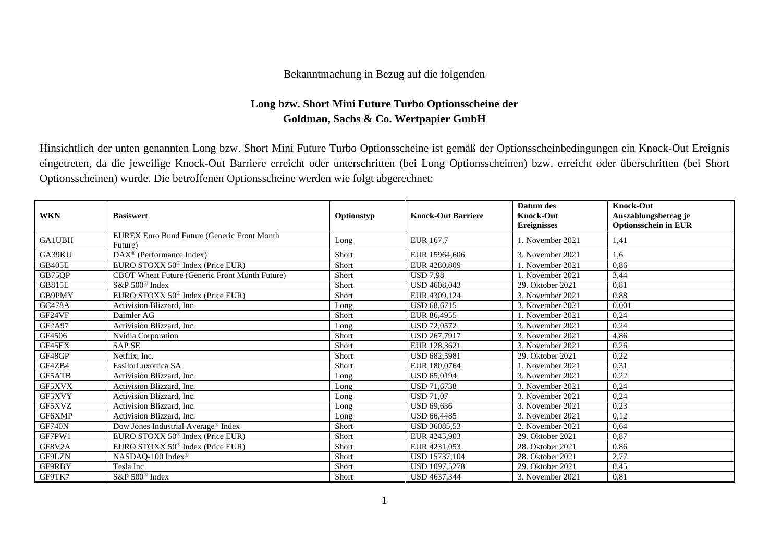## Bekanntmachung in Bezug auf die folgenden

## **Long bzw. Short Mini Future Turbo Optionsscheine der Goldman, Sachs & Co. Wertpapier GmbH**

Hinsichtlich der unten genannten Long bzw. Short Mini Future Turbo Optionsscheine ist gemäß der Optionsscheinbedingungen ein Knock-Out Ereignis eingetreten, da die jeweilige Knock-Out Barriere erreicht oder unterschritten (bei Long Optionsscheinen) bzw. erreicht oder überschritten (bei Short Optionsscheinen) wurde. Die betroffenen Optionsscheine werden wie folgt abgerechnet:

| <b>WKN</b>    | <b>Basiswert</b>                                        | Optionstyp | <b>Knock-Out Barriere</b> | Datum des<br><b>Knock-Out</b><br><b>Ereignisses</b> | <b>Knock-Out</b><br>Auszahlungsbetrag je<br><b>Optionsschein in EUR</b> |
|---------------|---------------------------------------------------------|------------|---------------------------|-----------------------------------------------------|-------------------------------------------------------------------------|
| <b>GA1UBH</b> | EUREX Euro Bund Future (Generic Front Month<br>Future)  | Long       | EUR 167,7                 | 1. November 2021                                    | 1,41                                                                    |
| GA39KU        | $\overline{\text{DAX}}^{\textcirc}$ (Performance Index) | Short      | EUR 15964,606             | 3. November 2021                                    | 1,6                                                                     |
| <b>GB405E</b> | EURO STOXX 50 <sup>®</sup> Index (Price EUR)            | Short      | EUR 4280,809              | 1. November 2021                                    | 0,86                                                                    |
| GB75QP        | CBOT Wheat Future (Generic Front Month Future)          | Short      | <b>USD 7.98</b>           | 1. November 2021                                    | 3,44                                                                    |
| <b>GB815E</b> | $S\&P 500^{\circ}$ Index                                | Short      | USD 4608,043              | 29. Oktober 2021                                    | 0,81                                                                    |
| GB9PMY        | EURO STOXX 50 <sup>®</sup> Index (Price EUR)            | Short      | EUR 4309.124              | 3. November 2021                                    | 0,88                                                                    |
| <b>GC478A</b> | Activision Blizzard, Inc.                               | Long       | USD 68,6715               | 3. November 2021                                    | 0,001                                                                   |
| GF24VF        | Daimler AG                                              | Short      | EUR 86,4955               | 1. November 2021                                    | 0,24                                                                    |
| GF2A97        | Activision Blizzard, Inc.                               | Long       | <b>USD 72.0572</b>        | 3. November 2021                                    | 0,24                                                                    |
| GF4506        | Nvidia Corporation                                      | Short      | USD 267,7917              | 3. November 2021                                    | 4,86                                                                    |
| GF45EX        | <b>SAP SE</b>                                           | Short      | EUR 128,3621              | 3. November 2021                                    | 0,26                                                                    |
| GF48GP        | Netflix, Inc.                                           | Short      | <b>USD 682.5981</b>       | 29. Oktober 2021                                    | 0,22                                                                    |
| GF4ZB4        | EssilorLuxottica SA                                     | Short      | EUR 180,0764              | 1. November 2021                                    | 0,31                                                                    |
| GF5ATB        | Activision Blizzard, Inc.                               | Long       | <b>USD 65,0194</b>        | 3. November 2021                                    | 0,22                                                                    |
| GF5XVX        | Activision Blizzard, Inc.                               | Long       | <b>USD 71.6738</b>        | 3. November 2021                                    | 0,24                                                                    |
| GF5XVY        | Activision Blizzard, Inc.                               | Long       | <b>USD 71,07</b>          | 3. November 2021                                    | 0,24                                                                    |
| GF5XVZ        | Activision Blizzard, Inc.                               | Long       | <b>USD 69.636</b>         | 3. November 2021                                    | 0,23                                                                    |
| GF6XMP        | Activision Blizzard, Inc.                               | Long       | <b>USD 66,4485</b>        | 3. November 2021                                    | 0,12                                                                    |
| <b>GF740N</b> | Dow Jones Industrial Average® Index                     | Short      | USD 36085,53              | 2. November 2021                                    | 0,64                                                                    |
| GF7PW1        | EURO STOXX $50^{\circ}$ Index (Price EUR)               | Short      | EUR 4245,903              | 29. Oktober 2021                                    | 0,87                                                                    |
| GF8V2A        | EURO STOXX $50^{\circ}$ Index (Price EUR)               | Short      | EUR 4231,053              | 28. Oktober 2021                                    | 0,86                                                                    |
| GF9LZN        | NASDAQ-100 Index®                                       | Short      | USD 15737,104             | 28. Oktober 2021                                    | 2,77                                                                    |
| GF9RBY        | Tesla Inc                                               | Short      | <b>USD 1097.5278</b>      | 29. Oktober 2021                                    | 0,45                                                                    |
| GF9TK7        | S&P 500 <sup>®</sup> Index                              | Short      | USD 4637,344              | 3. November 2021                                    | 0,81                                                                    |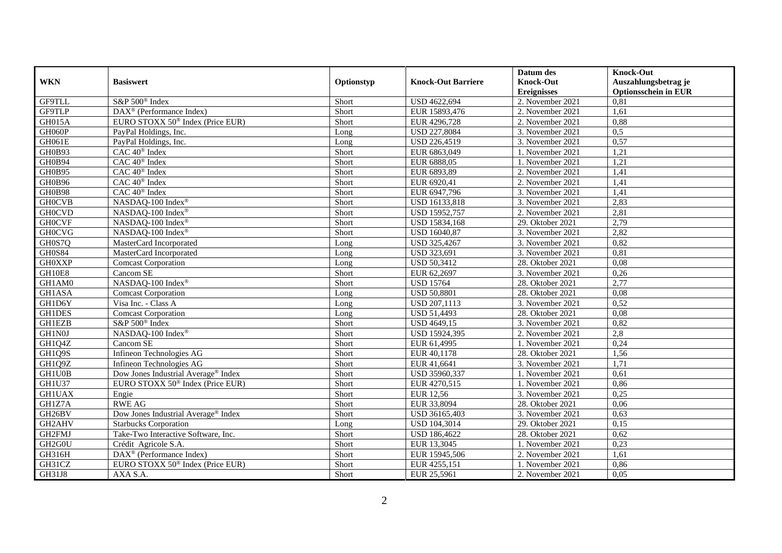|               |                                              |            |                           | Datum des          | <b>Knock-Out</b>            |
|---------------|----------------------------------------------|------------|---------------------------|--------------------|-----------------------------|
| <b>WKN</b>    | <b>Basiswert</b>                             | Optionstyp | <b>Knock-Out Barriere</b> | <b>Knock-Out</b>   | Auszahlungsbetrag je        |
|               |                                              |            |                           | <b>Ereignisses</b> | <b>Optionsschein in EUR</b> |
| GF9TLL        | S&P 500 <sup>®</sup> Index                   | Short      | USD 4622,694              | 2. November 2021   | 0,81                        |
| <b>GF9TLP</b> | DAX <sup>®</sup> (Performance Index)         | Short      | EUR 15893,476             | 2. November 2021   | 1,61                        |
| GH015A        | EURO STOXX 50 <sup>®</sup> Index (Price EUR) | Short      | EUR 4296,728              | 2. November 2021   | 0,88                        |
| GH060P        | PayPal Holdings, Inc.                        | Long       | USD 227,8084              | 3. November 2021   | 0,5                         |
| GH061E        | PayPal Holdings, Inc.                        | Long       | USD 226,4519              | 3. November 2021   | 0,57                        |
| GH0B93        | CAC 40 <sup>®</sup> Index                    | Short      | EUR 6863,049              | 1. November 2021   | 1,21                        |
| GH0B94        | $\overline{CAC 40^{\circledast}}$ Index      | Short      | EUR 6888,05               | 1. November 2021   | 1,21                        |
| GH0B95        | CAC 40 <sup>®</sup> Index                    | Short      | EUR 6893,89               | 2. November 2021   | 1,41                        |
| GH0B96        | CAC 40 <sup>®</sup> Index                    | Short      | EUR 6920,41               | 2. November 2021   | 1,41                        |
| GH0B98        | CAC 40 <sup>®</sup> Index                    | Short      | EUR 6947,796              | 3. November 2021   | 1,41                        |
| <b>GH0CVB</b> | NASDAQ-100 Index®                            | Short      | USD 16133,818             | 3. November 2021   | 2,83                        |
| <b>GH0CVD</b> | NASDAQ-100 Index®                            | Short      | USD 15952,757             | 2. November 2021   | 2,81                        |
| <b>GH0CVF</b> | NASDAQ-100 Index <sup>®</sup>                | Short      | USD 15834,168             | 29. Oktober 2021   | 2,79                        |
| <b>GH0CVG</b> | NASDAQ-100 Index®                            | Short      | USD 16040,87              | 3. November 2021   | 2,82                        |
| GH0S7Q        | MasterCard Incorporated                      | Long       | USD 325,4267              | 3. November 2021   | 0,82                        |
| <b>GH0S84</b> | MasterCard Incorporated                      | Long       | USD 323,691               | 3. November 2021   | 0,81                        |
| <b>GH0XXP</b> | <b>Comcast Corporation</b>                   | Long       | <b>USD 50,3412</b>        | 28. Oktober 2021   | 0,08                        |
| <b>GH10E8</b> | Cancom SE                                    | Short      | EUR 62,2697               | 3. November 2021   | 0,26                        |
| GH1AM0        | NASDAQ-100 Index®                            | Short      | <b>USD 15764</b>          | 28. Oktober 2021   | 2,77                        |
| GH1ASA        | <b>Comcast Corporation</b>                   | Long       | <b>USD 50,8801</b>        | 28. Oktober 2021   | 0,08                        |
| GH1D6Y        | Visa Inc. - Class A                          | Long       | USD 207,1113              | 3. November 2021   | 0,52                        |
| <b>GH1DES</b> | <b>Comcast Corporation</b>                   | Long       | <b>USD 51,4493</b>        | 28. Oktober 2021   | 0,08                        |
| <b>GH1EZB</b> | S&P 500 <sup>®</sup> Index                   | Short      | USD 4649,15               | 3. November 2021   | 0,82                        |
| GH1N0J        | NASDAQ-100 Index®                            | Short      | USD 15924,395             | 2. November 2021   | 2,8                         |
| GH1Q4Z        | Cancom SE                                    | Short      | EUR 61,4995               | 1. November 2021   | 0,24                        |
| GH1Q9S        | Infineon Technologies AG                     | Short      | EUR 40,1178               | 28. Oktober 2021   | 1,56                        |
| GH1Q9Z        | Infineon Technologies AG                     | Short      | EUR 41,6641               | 3. November 2021   | 1,71                        |
| GH1U0B        | Dow Jones Industrial Average® Index          | Short      | USD 35960.337             | 1. November 2021   | 0.61                        |
| GH1U37        | EURO STOXX 50 <sup>®</sup> Index (Price EUR) | Short      | EUR 4270,515              | 1. November 2021   | 0,86                        |
| <b>GH1UAX</b> | Engie                                        | Short      | <b>EUR 12,56</b>          | 3. November 2021   | 0,25                        |
| GH1Z7A        | <b>RWE AG</b>                                | Short      | EUR 33,8094               | 28. Oktober 2021   | 0,06                        |
| GH26BV        | Dow Jones Industrial Average® Index          | Short      | USD 36165,403             | 3. November 2021   | 0,63                        |
| GH2AHV        | <b>Starbucks Corporation</b>                 | Long       | USD 104,3014              | 29. Oktober 2021   | 0,15                        |
| GH2FMJ        | Take-Two Interactive Software, Inc.          | Short      | USD 186,4622              | 28. Oktober 2021   | 0,62                        |
| GH2G0U        | Crédit Agricole S.A.                         | Short      | EUR 13,3045               | 1. November 2021   | 0,23                        |
| GH316H        | DAX <sup>®</sup> (Performance Index)         | Short      | EUR 15945,506             | 2. November 2021   | 1,61                        |
| GH31CZ        | EURO STOXX 50 <sup>®</sup> Index (Price EUR) | Short      | EUR 4255,151              | 1. November 2021   | 0,86                        |
| GH31J8        | AXA S.A.                                     | Short      | EUR 25,5961               | 2. November 2021   | 0,05                        |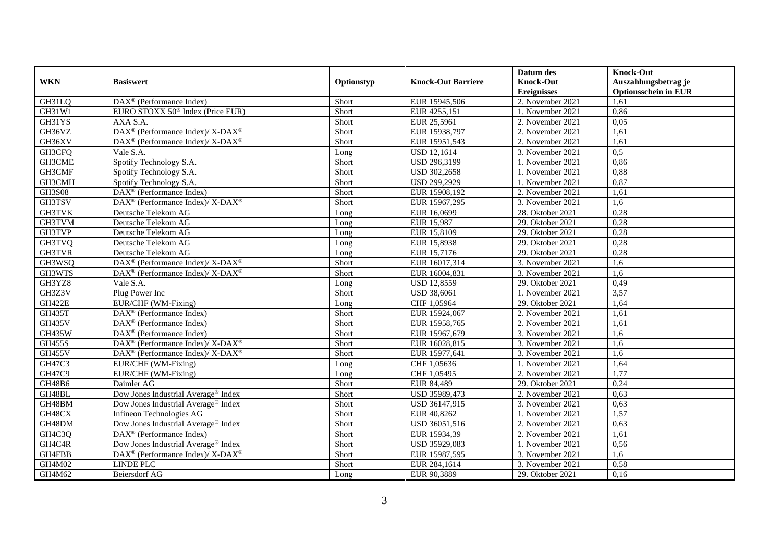|               |                                                             |            |                           | Datum des          | <b>Knock-Out</b>            |
|---------------|-------------------------------------------------------------|------------|---------------------------|--------------------|-----------------------------|
| <b>WKN</b>    | <b>Basiswert</b>                                            | Optionstyp | <b>Knock-Out Barriere</b> | <b>Knock-Out</b>   | Auszahlungsbetrag je        |
|               |                                                             |            |                           | <b>Ereignisses</b> | <b>Optionsschein in EUR</b> |
| GH31LQ        | $\overline{\text{DAX}^{\otimes}(\text{Performance Index})}$ | Short      | EUR 15945,506             | 2. November 2021   | 1,61                        |
| GH31W1        | EURO STOXX 50 <sup>®</sup> Index (Price EUR)                | Short      | EUR 4255,151              | 1. November 2021   | 0,86                        |
| GH31YS        | AXA S.A.                                                    | Short      | EUR 25,5961               | 2. November 2021   | 0,05                        |
| GH36VZ        | DAX <sup>®</sup> (Performance Index)/ X-DAX <sup>®</sup>    | Short      | EUR 15938,797             | 2. November 2021   | 1,61                        |
| GH36XV        | DAX <sup>®</sup> (Performance Index)/X-DAX <sup>®</sup>     | Short      | EUR 15951,543             | 2. November 2021   | 1,61                        |
| GH3CFQ        | Vale S.A.                                                   | Long       | <b>USD 12,1614</b>        | 3. November 2021   | 0,5                         |
| GH3CME        | Spotify Technology S.A.                                     | Short      | USD 296,3199              | 1. November 2021   | 0,86                        |
| GH3CMF        | Spotify Technology S.A.                                     | Short      | USD 302,2658              | 1. November 2021   | 0,88                        |
| GH3CMH        | Spotify Technology S.A.                                     | Short      | USD 299,2929              | 1. November 2021   | 0,87                        |
| <b>GH3S08</b> | DAX <sup>®</sup> (Performance Index)                        | Short      | EUR 15908,192             | 2. November 2021   | 1,61                        |
| GH3TSV        | DAX <sup>®</sup> (Performance Index)/X-DAX <sup>®</sup>     | Short      | EUR 15967,295             | 3. November 2021   | 1,6                         |
| <b>GH3TVK</b> | Deutsche Telekom AG                                         | Long       | EUR 16,0699               | 28. Oktober 2021   | 0,28                        |
| GH3TVM        | Deutsche Telekom AG                                         | Long       | EUR 15,987                | 29. Oktober 2021   | 0,28                        |
| GH3TVP        | Deutsche Telekom AG                                         | Long       | EUR 15,8109               | 29. Oktober 2021   | 0,28                        |
| GH3TVQ        | Deutsche Telekom AG                                         | Long       | EUR 15,8938               | 29. Oktober 2021   | 0,28                        |
| <b>GH3TVR</b> | Deutsche Telekom AG                                         | Long       | EUR 15,7176               | 29. Oktober 2021   | 0,28                        |
| GH3WSQ        | DAX <sup>®</sup> (Performance Index)/ X-DAX <sup>®</sup>    | Short      | EUR 16017,314             | 3. November 2021   | 1,6                         |
| GH3WTS        | $DAX^{\circledast}$ (Performance Index)/ X-DAX <sup>®</sup> | Short      | EUR 16004,831             | 3. November 2021   | 1,6                         |
| GH3YZ8        | Vale S.A.                                                   | Long       | <b>USD 12,8559</b>        | 29. Oktober 2021   | 0,49                        |
| GH3Z3V        | Plug Power Inc                                              | Short      | <b>USD 38,6061</b>        | 1. November 2021   | 3,57                        |
| <b>GH422E</b> | EUR/CHF (WM-Fixing)                                         | Long       | CHF 1,05964               | 29. Oktober 2021   | 1,64                        |
| <b>GH435T</b> | $\text{DAX}^{\textcircled{}}$ (Performance Index)           | Short      | EUR 15924,067             | 2. November 2021   | 1,61                        |
| <b>GH435V</b> | $DAX^{\circledR}$ (Performance Index)                       | Short      | EUR 15958,765             | 2. November 2021   | 1,61                        |
| <b>GH435W</b> | $DAX^{\circledR}$ (Performance Index)                       | Short      | EUR 15967,679             | 3. November 2021   | 1,6                         |
| <b>GH455S</b> | DAX <sup>®</sup> (Performance Index)/ X-DAX <sup>®</sup>    | Short      | EUR 16028,815             | 3. November 2021   | 1,6                         |
| <b>GH455V</b> | DAX <sup>®</sup> (Performance Index)/ X-DAX <sup>®</sup>    | Short      | EUR 15977,641             | 3. November 2021   | 1,6                         |
| GH47C3        | EUR/CHF (WM-Fixing)                                         | Long       | CHF 1,05636               | 1. November 2021   | 1,64                        |
| GH47C9        | EUR/CHF (WM-Fixing)                                         | Long       | CHF 1,05495               | 2. November 2021   | 1,77                        |
| GH48B6        | Daimler AG                                                  | Short      | <b>EUR 84,489</b>         | 29. Oktober 2021   | 0,24                        |
| GH48BL        | Dow Jones Industrial Average <sup>®</sup> Index             | Short      | USD 35989,473             | 2. November 2021   | 0.63                        |
| GH48BM        | Dow Jones Industrial Average® Index                         | Short      | USD 36147,915             | 3. November 2021   | 0,63                        |
| GH48CX        | Infineon Technologies AG                                    | Short      | EUR 40,8262               | 1. November 2021   | 1,57                        |
| GH48DM        | Dow Jones Industrial Average® Index                         | Short      | USD 36051,516             | 2. November 2021   | 0,63                        |
| GH4C3Q        | DAX <sup>®</sup> (Performance Index)                        | Short      | EUR 15934,39              | 2. November 2021   | 1,61                        |
| GH4C4R        | Dow Jones Industrial Average® Index                         | Short      | USD 35929,083             | 1. November 2021   | 0,56                        |
| GH4FBB        | DAX <sup>®</sup> (Performance Index)/ X-DAX <sup>®</sup>    | Short      | EUR 15987,595             | 3. November 2021   | 1,6                         |
| GH4M02        | <b>LINDE PLC</b>                                            | Short      | EUR 284,1614              | 3. November 2021   | 0,58                        |
| GH4M62        | <b>Beiersdorf AG</b>                                        | Long       | EUR 90,3889               | 29. Oktober 2021   | 0,16                        |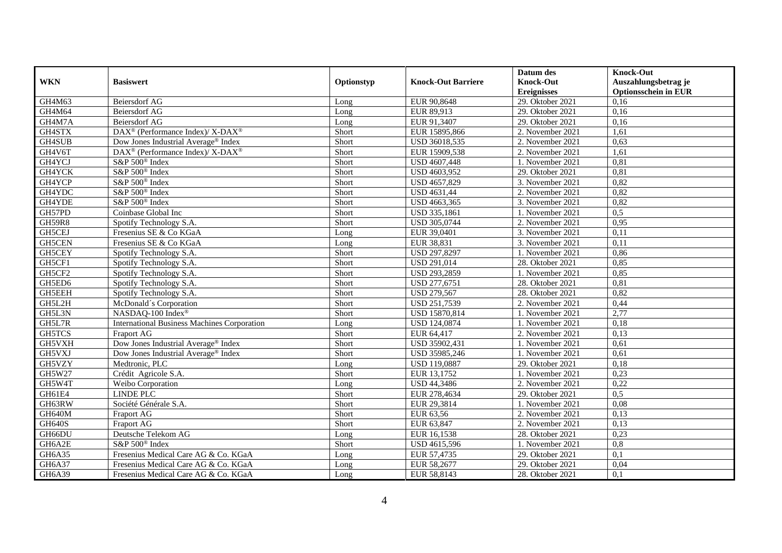|               |                                                                                         |            |                           | Datum des          | <b>Knock-Out</b>            |
|---------------|-----------------------------------------------------------------------------------------|------------|---------------------------|--------------------|-----------------------------|
| <b>WKN</b>    | <b>Basiswert</b>                                                                        | Optionstyp | <b>Knock-Out Barriere</b> | <b>Knock-Out</b>   | Auszahlungsbetrag je        |
|               |                                                                                         |            |                           | <b>Ereignisses</b> | <b>Optionsschein in EUR</b> |
| GH4M63        | Beiersdorf AG                                                                           | Long       | EUR 90,8648               | 29. Oktober 2021   | 0,16                        |
| GH4M64        | Beiersdorf AG                                                                           | Long       | EUR 89,913                | 29. Oktober 2021   | 0,16                        |
| GH4M7A        | Beiersdorf AG                                                                           | Long       | EUR 91,3407               | 29. Oktober 2021   | 0,16                        |
| GH4STX        | $\text{DAX}^{\circledast}$ (Performance Index)/ $\overline{\text{X-DAX}^{\circledast}}$ | Short      | EUR 15895,866             | 2. November 2021   | 1,61                        |
| GH4SUB        | Dow Jones Industrial Average® Index                                                     | Short      | USD 36018,535             | 2. November 2021   | 0,63                        |
| GH4V6T        | DAX <sup>®</sup> (Performance Index)/ X-DAX <sup>®</sup>                                | Short      | EUR 15909,538             | 2. November 2021   | 1,61                        |
| GH4YCJ        | S&P 500 <sup>®</sup> Index                                                              | Short      | USD 4607,448              | 1. November 2021   | 0,81                        |
| GH4YCK        | S&P 500 <sup>®</sup> Index                                                              | Short      | USD 4603,952              | 29. Oktober 2021   | 0,81                        |
| GH4YCP        | S&P 500 <sup>®</sup> Index                                                              | Short      | USD 4657,829              | 3. November 2021   | 0,82                        |
| GH4YDC        | S&P 500 <sup>®</sup> Index                                                              | Short      | <b>USD 4631,44</b>        | 2. November 2021   | 0,82                        |
| GH4YDE        | S&P 500 <sup>®</sup> Index                                                              | Short      | USD 4663,365              | 3. November 2021   | 0,82                        |
| GH57PD        | Coinbase Global Inc                                                                     | Short      | USD 335,1861              | 1. November 2021   | 0,5                         |
| <b>GH59R8</b> | Spotify Technology S.A.                                                                 | Short      | USD 305,0744              | 2. November 2021   | 0.95                        |
| GH5CEJ        | Fresenius SE & Co KGaA                                                                  | Long       | EUR 39,0401               | 3. November 2021   | 0,11                        |
| GH5CEN        | Fresenius SE & Co KGaA                                                                  | Long       | EUR 38,831                | 3. November 2021   | 0,11                        |
| GH5CEY        | Spotify Technology S.A.                                                                 | Short      | USD 297,8297              | 1. November 2021   | 0,86                        |
| GH5CF1        | Spotify Technology S.A.                                                                 | Short      | USD 291,014               | 28. Oktober 2021   | 0,85                        |
| GH5CF2        | Spotify Technology S.A.                                                                 | Short      | USD 293,2859              | 1. November 2021   | 0,85                        |
| GH5ED6        | Spotify Technology S.A.                                                                 | Short      | USD 277,6751              | 28. Oktober 2021   | 0,81                        |
| GH5EEH        | Spotify Technology S.A.                                                                 | Short      | <b>USD 279,567</b>        | 28. Oktober 2021   | 0,82                        |
| GH5L2H        | McDonald's Corporation                                                                  | Short      | USD 251,7539              | 2. November 2021   | 0,44                        |
| GH5L3N        | NASDAQ-100 Index®                                                                       | Short      | USD 15870,814             | 1. November 2021   | 2,77                        |
| GH5L7R        | <b>International Business Machines Corporation</b>                                      | Long       | <b>USD 124,0874</b>       | 1. November 2021   | 0,18                        |
| <b>GH5TCS</b> | Fraport AG                                                                              | Short      | EUR 64,417                | 2. November 2021   | 0,13                        |
| GH5VXH        | Dow Jones Industrial Average® Index                                                     | Short      | USD 35902,431             | 1. November 2021   | 0.61                        |
| GH5VXJ        | Dow Jones Industrial Average® Index                                                     | Short      | USD 35985,246             | 1. November 2021   | 0,61                        |
| GH5VZY        | Medtronic, PLC                                                                          | Long       | <b>USD 119,0887</b>       | 29. Oktober 2021   | 0,18                        |
| GH5W27        | Crédit Agricole S.A.                                                                    | Short      | EUR 13,1752               | 1. November 2021   | 0,23                        |
| GH5W4T        | Weibo Corporation                                                                       | Long       | <b>USD 44,3486</b>        | 2. November 2021   | 0,22                        |
| GH61E4        | <b>LINDE PLC</b>                                                                        | Short      | EUR 278,4634              | 29. Oktober 2021   | 0,5                         |
| GH63RW        | Société Générale S.A.                                                                   | Short      | EUR 29,3814               | 1. November 2021   | 0,08                        |
| GH640M        | Fraport AG                                                                              | Short      | EUR 63,56                 | 2. November 2021   | 0,13                        |
| <b>GH640S</b> | Fraport AG                                                                              | Short      | EUR 63,847                | 2. November 2021   | 0,13                        |
| GH66DU        | Deutsche Telekom AG                                                                     | Long       | EUR 16,1538               | 28. Oktober 2021   | 0,23                        |
| GH6A2E        | S&P 500 <sup>®</sup> Index                                                              | Short      | USD 4615,596              | 1. November 2021   | 0,8                         |
| GH6A35        | Fresenius Medical Care AG & Co. KGaA                                                    | Long       | EUR 57,4735               | 29. Oktober 2021   | 0,1                         |
| GH6A37        | Fresenius Medical Care AG & Co. KGaA                                                    | Long       | EUR 58,2677               | 29. Oktober 2021   | 0,04                        |
| GH6A39        | Fresenius Medical Care AG & Co. KGaA                                                    | Long       | EUR 58,8143               | 28. Oktober 2021   | 0,1                         |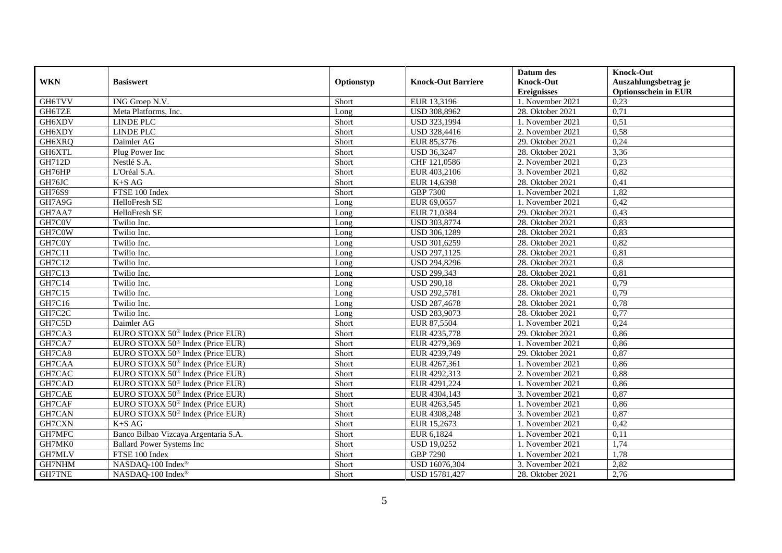|               |                                              |            |                           | Datum des          | <b>Knock-Out</b>            |
|---------------|----------------------------------------------|------------|---------------------------|--------------------|-----------------------------|
| <b>WKN</b>    | <b>Basiswert</b>                             | Optionstyp | <b>Knock-Out Barriere</b> | <b>Knock-Out</b>   | Auszahlungsbetrag je        |
|               |                                              |            |                           | <b>Ereignisses</b> | <b>Optionsschein in EUR</b> |
| <b>GH6TVV</b> | ING Groep N.V.                               | Short      | EUR 13,3196               | 1. November 2021   | 0,23                        |
| GH6TZE        | Meta Platforms, Inc.                         | Long       | USD 308,8962              | 28. Oktober 2021   | 0,71                        |
| GH6XDV        | <b>LINDE PLC</b>                             | Short      | USD 323,1994              | 1. November 2021   | 0,51                        |
| GH6XDY        | LINDE PLC                                    | Short      | USD 328,4416              | 2. November 2021   | 0,58                        |
| GH6XRQ        | Daimler AG                                   | Short      | EUR 85,3776               | 29. Oktober 2021   | 0,24                        |
| GH6XTL        | Plug Power Inc                               | Short      | <b>USD 36,3247</b>        | 28. Oktober 2021   | 3,36                        |
| <b>GH712D</b> | Nestlé S.A.                                  | Short      | CHF 121,0586              | 2. November 2021   | 0,23                        |
| GH76HP        | L'Oréal S.A.                                 | Short      | EUR 403,2106              | 3. November 2021   | 0,82                        |
| GH76JC        | $K+SAG$                                      | Short      | EUR 14,6398               | 28. Oktober 2021   | 0,41                        |
| GH76S9        | FTSE 100 Index                               | Short      | <b>GBP 7300</b>           | 1. November 2021   | 1,82                        |
| GH7A9G        | HelloFresh SE                                | Long       | EUR 69,0657               | 1. November 2021   | 0,42                        |
| GH7AA7        | HelloFresh SE                                | Long       | EUR 71,0384               | 29. Oktober 2021   | 0,43                        |
| GH7C0V        | Twilio Inc.                                  | Long       | USD 303,8774              | 28. Oktober 2021   | 0,83                        |
| GH7C0W        | Twilio Inc.                                  | Long       | USD 306,1289              | 28. Oktober 2021   | 0,83                        |
| GH7C0Y        | Twilio Inc.                                  | Long       | USD 301,6259              | 28. Oktober 2021   | 0,82                        |
| GH7C11        | Twilio Inc.                                  | Long       | USD 297,1125              | 28. Oktober 2021   | 0,81                        |
| GH7C12        | Twilio Inc.                                  | Long       | USD 294,8296              | 28. Oktober 2021   | 0,8                         |
| GH7C13        | Twilio Inc.                                  | Long       | <b>USD 299.343</b>        | 28. Oktober 2021   | 0.81                        |
| GH7C14        | Twilio Inc.                                  | Long       | <b>USD 290,18</b>         | 28. Oktober 2021   | 0,79                        |
| GH7C15        | Twilio Inc.                                  | Long       | USD 292,5781              | 28. Oktober 2021   | 0,79                        |
| GH7C16        | Twilio Inc.                                  | Long       | <b>USD 287,4678</b>       | 28. Oktober 2021   | 0,78                        |
| GH7C2C        | Twilio Inc.                                  | Long       | USD 283,9073              | 28. Oktober 2021   | 0,77                        |
| GH7C5D        | Daimler AG                                   | Short      | EUR 87,5504               | 1. November 2021   | 0,24                        |
| GH7CA3        | EURO STOXX 50 <sup>®</sup> Index (Price EUR) | Short      | EUR 4235,778              | 29. Oktober 2021   | 0,86                        |
| GH7CA7        | EURO STOXX 50 <sup>®</sup> Index (Price EUR) | Short      | EUR 4279,369              | 1. November 2021   | 0,86                        |
| GH7CA8        | EURO STOXX 50 <sup>®</sup> Index (Price EUR) | Short      | EUR 4239,749              | 29. Oktober 2021   | 0,87                        |
| GH7CAA        | EURO STOXX 50 <sup>®</sup> Index (Price EUR) | Short      | EUR 4267,361              | 1. November 2021   | 0,86                        |
| GH7CAC        | EURO STOXX 50 <sup>®</sup> Index (Price EUR) | Short      | EUR 4292,313              | 2. November 2021   | 0,88                        |
| GH7CAD        | EURO STOXX 50 <sup>®</sup> Index (Price EUR) | Short      | EUR 4291,224              | 1. November 2021   | 0,86                        |
| GH7CAE        | EURO STOXX 50 <sup>®</sup> Index (Price EUR) | Short      | EUR 4304,143              | 3. November 2021   | 0,87                        |
| GH7CAF        | EURO STOXX 50 <sup>®</sup> Index (Price EUR) | Short      | EUR 4263,545              | 1. November 2021   | 0,86                        |
| GH7CAN        | EURO STOXX 50 <sup>®</sup> Index (Price EUR) | Short      | EUR 4308,248              | 3. November 2021   | 0,87                        |
| GH7CXN        | $K+SAG$                                      | Short      | EUR 15,2673               | 1. November 2021   | 0,42                        |
| GH7MFC        | Banco Bilbao Vizcaya Argentaria S.A.         | Short      | EUR 6,1824                | 1. November 2021   | 0,11                        |
| GH7MK0        | <b>Ballard Power Systems Inc</b>             | Short      | <b>USD 19,0252</b>        | 1. November 2021   | 1,74                        |
| GH7MLV        | FTSE 100 Index                               | Short      | <b>GBP 7290</b>           | 1. November 2021   | 1,78                        |
| GH7NHM        | NASDAQ-100 Index®                            | Short      | USD 16076,304             | 3. November 2021   | 2,82                        |
| <b>GH7TNE</b> | NASDAQ-100 Index®                            | Short      | USD 15781,427             | 28. Oktober 2021   | 2,76                        |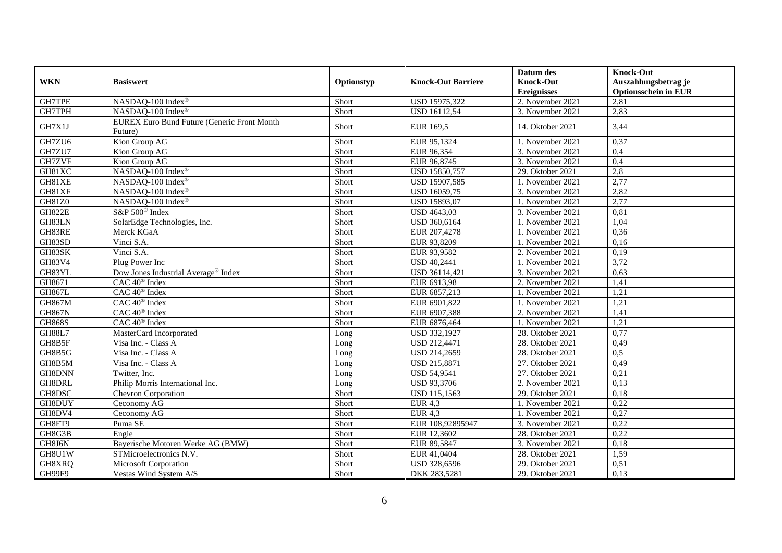|               |                                                               |            |                           | Datum des          | <b>Knock-Out</b>            |
|---------------|---------------------------------------------------------------|------------|---------------------------|--------------------|-----------------------------|
| <b>WKN</b>    | <b>Basiswert</b>                                              | Optionstyp | <b>Knock-Out Barriere</b> | <b>Knock-Out</b>   | Auszahlungsbetrag je        |
|               |                                                               |            |                           | <b>Ereignisses</b> | <b>Optionsschein in EUR</b> |
| <b>GH7TPE</b> | NASDAQ-100 Index®                                             | Short      | USD 15975,322             | 2. November 2021   | 2,81                        |
| GH7TPH        | NASDAQ-100 Index®                                             | Short      | <b>USD 16112,54</b>       | 3. November 2021   | 2,83                        |
| GH7X1J        | <b>EUREX Euro Bund Future (Generic Front Month</b><br>Future) | Short      | EUR 169,5                 | 14. Oktober 2021   | 3,44                        |
| GH7ZU6        | Kion Group AG                                                 | Short      | EUR 95,1324               | 1. November 2021   | 0,37                        |
| GH7ZU7        | Kion Group AG                                                 | Short      | EUR 96,354                | 3. November 2021   | 0,4                         |
| GH7ZVF        | Kion Group AG                                                 | Short      | EUR 96,8745               | 3. November 2021   | 0,4                         |
| GH81XC        | NASDAQ-100 Index®                                             | Short      | USD 15850,757             | 29. Oktober 2021   | 2,8                         |
| GH81XE        | NASDAQ-100 Index®                                             | Short      | USD 15907,585             | 1. November 2021   | 2,77                        |
| GH81XF        | NASDAQ-100 Index®                                             | Short      | <b>USD 16059,75</b>       | 3. November 2021   | 2,82                        |
| GH81Z0        | NASDAQ-100 Index®                                             | Short      | USD 15893,07              | 1. November 2021   | 2,77                        |
| <b>GH822E</b> | S&P 500 <sup>®</sup> Index                                    | Short      | <b>USD 4643,03</b>        | 3. November 2021   | 0.81                        |
| GH83LN        | SolarEdge Technologies, Inc.                                  | Short      | USD 360,6164              | 1. November 2021   | 1,04                        |
| GH83RE        | Merck KGaA                                                    | Short      | EUR 207,4278              | 1. November 2021   | 0,36                        |
| GH83SD        | Vinci S.A.                                                    | Short      | EUR 93,8209               | 1. November 2021   | 0,16                        |
| GH83SK        | Vinci S.A.                                                    | Short      | EUR 93,9582               | 2. November 2021   | 0,19                        |
| GH83V4        | Plug Power Inc                                                | Short      | <b>USD 40,2441</b>        | 1. November 2021   | 3,72                        |
| GH83YL        | Dow Jones Industrial Average <sup>®</sup> Index               | Short      | USD 36114.421             | 3. November 2021   | 0.63                        |
| GH8671        | CAC 40 <sup>®</sup> Index                                     | Short      | EUR 6913,98               | 2. November 2021   | 1,41                        |
| <b>GH867L</b> | CAC 40 <sup>®</sup> Index                                     | Short      | EUR 6857,213              | 1. November 2021   | 1,21                        |
| <b>GH867M</b> | CAC 40 <sup>®</sup> Index                                     | Short      | EUR 6901,822              | 1. November 2021   | 1,21                        |
| <b>GH867N</b> | $CAC 40$ <sup>®</sup> Index                                   | Short      | EUR 6907,388              | 2. November 2021   | 1,41                        |
| <b>GH868S</b> | CAC 40 <sup>®</sup> Index                                     | Short      | EUR 6876,464              | 1. November 2021   | 1,21                        |
| <b>GH88L7</b> | MasterCard Incorporated                                       | Long       | USD 332,1927              | 28. Oktober 2021   | 0,77                        |
| GH8B5F        | Visa Inc. - Class A                                           | Long       | USD 212,4471              | 28. Oktober 2021   | 0,49                        |
| GH8B5G        | Visa Inc. - Class A                                           | Long       | USD 214,2659              | 28. Oktober 2021   | 0,5                         |
| GH8B5M        | Visa Inc. - Class A                                           | Long       | USD 215,8871              | 27. Oktober 2021   | 0,49                        |
| GH8DNN        | Twitter, Inc.                                                 | Long       | <b>USD 54,9541</b>        | 27. Oktober 2021   | 0,21                        |
| GH8DRL        | Philip Morris International Inc.                              | Long       | <b>USD 93,3706</b>        | 2. November 2021   | 0,13                        |
| GH8DSC        | <b>Chevron Corporation</b>                                    | Short      | USD 115,1563              | 29. Oktober 2021   | 0,18                        |
| GH8DUY        | Ceconomy AG                                                   | Short      | <b>EUR 4,3</b>            | 1. November 2021   | 0,22                        |
| GH8DV4        | Ceconomy AG                                                   | Short      | <b>EUR 4,3</b>            | 1. November 2021   | 0,27                        |
| GH8FT9        | Puma SE                                                       | Short      | EUR 108,92895947          | 3. November 2021   | 0,22                        |
| GH8G3B        | Engie                                                         | Short      | EUR 12,3602               | 28. Oktober 2021   | 0,22                        |
| GH8J6N        | Bayerische Motoren Werke AG (BMW)                             | Short      | EUR 89,5847               | 3. November 2021   | 0,18                        |
| GH8U1W        | STMicroelectronics N.V.                                       | Short      | EUR 41,0404               | 28. Oktober 2021   | 1,59                        |
| GH8XRQ        | Microsoft Corporation                                         | Short      | USD 328,6596              | 29. Oktober 2021   | 0,51                        |
| GH99F9        | Vestas Wind System A/S                                        | Short      | DKK 283,5281              | 29. Oktober 2021   | 0,13                        |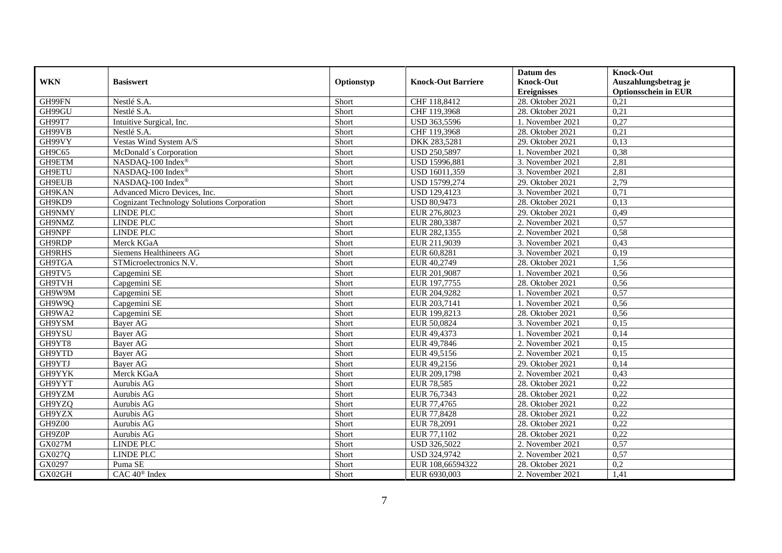|               |                                                   |            |                           | Datum des          | <b>Knock-Out</b>            |
|---------------|---------------------------------------------------|------------|---------------------------|--------------------|-----------------------------|
| <b>WKN</b>    | <b>Basiswert</b>                                  | Optionstyp | <b>Knock-Out Barriere</b> | <b>Knock-Out</b>   | Auszahlungsbetrag je        |
|               |                                                   |            |                           | <b>Ereignisses</b> | <b>Optionsschein in EUR</b> |
| GH99FN        | Nestlé S.A.                                       | Short      | CHF 118,8412              | 28. Oktober 2021   | 0,21                        |
| GH99GU        | Nestlé S.A.                                       | Short      | CHF 119,3968              | 28. Oktober 2021   | 0,21                        |
| GH99T7        | Intuitive Surgical, Inc.                          | Short      | USD 363,5596              | 1. November 2021   | 0,27                        |
| GH99VB        | Nestlé S.A.                                       | Short      | CHF 119,3968              | 28. Oktober 2021   | 0,21                        |
| GH99VY        | Vestas Wind System A/S                            | Short      | DKK 283,5281              | 29. Oktober 2021   | 0,13                        |
| GH9C65        | McDonald's Corporation                            | Short      | USD 250,5897              | 1. November 2021   | 0,38                        |
| GH9ETM        | NASDAQ-100 Index®                                 | Short      | USD 15996,881             | 3. November 2021   | 2,81                        |
| GH9ETU        | NASDAQ-100 Index®                                 | Short      | USD 16011,359             | 3. November 2021   | 2,81                        |
| GH9EUB        | NASDAQ-100 Index®                                 | Short      | USD 15799,274             | 29. Oktober 2021   | 2,79                        |
| GH9KAN        | Advanced Micro Devices, Inc.                      | Short      | USD 129,4123              | 3. November 2021   | 0,71                        |
| GH9KD9        | <b>Cognizant Technology Solutions Corporation</b> | Short      | <b>USD 80,9473</b>        | 28. Oktober 2021   | 0,13                        |
| GH9NMY        | <b>LINDE PLC</b>                                  | Short      | EUR 276,8023              | 29. Oktober 2021   | 0,49                        |
| GH9NMZ        | <b>LINDE PLC</b>                                  | Short      | EUR 280,3387              | 2. November 2021   | 0,57                        |
| GH9NPF        | <b>LINDE PLC</b>                                  | Short      | EUR 282,1355              | 2. November 2021   | 0,58                        |
| GH9RDP        | Merck KGaA                                        | Short      | EUR 211,9039              | 3. November 2021   | 0,43                        |
| GH9RHS        | Siemens Healthineers AG                           | Short      | EUR 60,8281               | 3. November 2021   | 0,19                        |
| GH9TGA        | STMicroelectronics N.V.                           | Short      | EUR 40,2749               | 28. Oktober 2021   | 1,56                        |
| GH9TV5        | Capgemini SE                                      | Short      | EUR 201,9087              | 1. November 2021   | 0,56                        |
| <b>GH9TVH</b> | Capgemini SE                                      | Short      | EUR 197,7755              | 28. Oktober 2021   | 0,56                        |
| GH9W9M        | Capgemini SE                                      | Short      | EUR 204,9282              | 1. November 2021   | 0,57                        |
| GH9W9Q        | Capgemini SE                                      | Short      | EUR 203,7141              | 1. November 2021   | 0,56                        |
| GH9WA2        | Capgemini SE                                      | Short      | EUR 199,8213              | 28. Oktober 2021   | 0,56                        |
| GH9YSM        | Bayer AG                                          | Short      | EUR 50,0824               | 3. November 2021   | 0,15                        |
| GH9YSU        | Bayer AG                                          | Short      | EUR 49,4373               | 1. November 2021   | 0,14                        |
| GH9YT8        | Bayer AG                                          | Short      | EUR 49,7846               | 2. November 2021   | 0,15                        |
| GH9YTD        | <b>Bayer AG</b>                                   | Short      | EUR 49,5156               | 2. November 2021   | 0,15                        |
| GH9YTJ        | Bayer AG                                          | Short      | EUR 49,2156               | 29. Oktober 2021   | 0,14                        |
| GH9YYK        | Merck KGaA                                        | Short      | EUR 209,1798              | 2. November 2021   | 0,43                        |
| GH9YYT        | Aurubis AG                                        | Short      | EUR 78,585                | 28. Oktober 2021   | 0,22                        |
| GH9YZM        | Aurubis AG                                        | Short      | EUR 76,7343               | 28. Oktober 2021   | 0,22                        |
| GH9YZQ        | Aurubis AG                                        | Short      | EUR 77,4765               | 28. Oktober 2021   | 0,22                        |
| GH9YZX        | Aurubis AG                                        | Short      | EUR 77,8428               | 28. Oktober 2021   | 0,22                        |
| GH9Z00        | Aurubis AG                                        | Short      | EUR 78,2091               | 28. Oktober 2021   | 0,22                        |
| GH9Z0P        | Aurubis AG                                        | Short      | EUR 77,1102               | 28. Oktober 2021   | 0,22                        |
| <b>GX027M</b> | <b>LINDE PLC</b>                                  | Short      | USD 326,5022              | 2. November 2021   | 0,57                        |
| GX027Q        | <b>LINDE PLC</b>                                  | Short      | USD 324,9742              | 2. November 2021   | 0,57                        |
| GX0297        | Puma SE                                           | Short      | EUR 108,66594322          | 28. Oktober 2021   | 0,2                         |
| GX02GH        | CAC 40 <sup>®</sup> Index                         | Short      | EUR 6930,003              | 2. November 2021   | 1,41                        |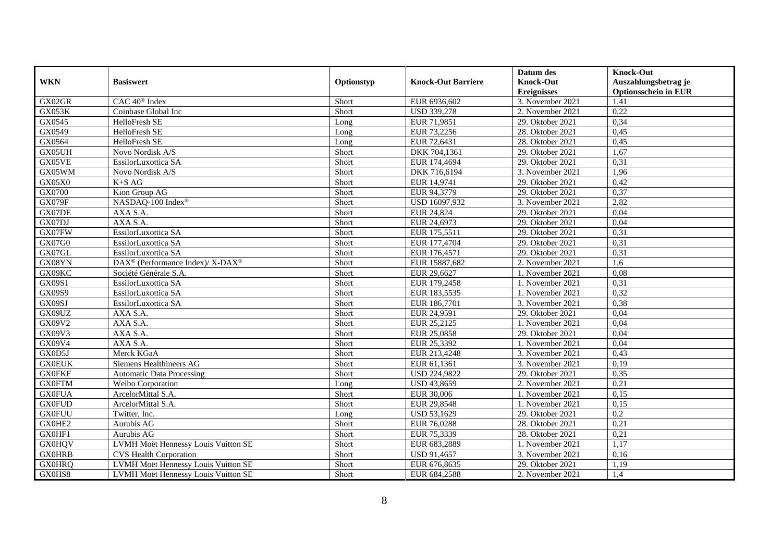|               |                                                          |            |                           | Datum des          | <b>Knock-Out</b>            |
|---------------|----------------------------------------------------------|------------|---------------------------|--------------------|-----------------------------|
| <b>WKN</b>    | <b>Basiswert</b>                                         | Optionstyp | <b>Knock-Out Barriere</b> | <b>Knock-Out</b>   | Auszahlungsbetrag je        |
|               |                                                          |            |                           | <b>Ereignisses</b> | <b>Optionsschein in EUR</b> |
| GX02GR        | CAC 40 <sup>®</sup> Index                                | Short      | EUR 6936,602              | 3. November 2021   | 1,41                        |
| GX053K        | Coinbase Global Inc                                      | Short      | <b>USD 339,278</b>        | 2. November 2021   | 0,22                        |
| GX0545        | HelloFresh SE                                            | Long       | EUR 71,9851               | 29. Oktober 2021   | 0,34                        |
| GX0549        | HelloFresh SE                                            | Long       | EUR 73,2256               | 28. Oktober 2021   | 0,45                        |
| GX0564        | HelloFresh SE                                            | Long       | EUR 72,6431               | 28. Oktober 2021   | 0,45                        |
| GX05UH        | Novo Nordisk A/S                                         | Short      | DKK 704,1361              | 29. Oktober 2021   | 1,67                        |
| GX05VE        | EssilorLuxottica SA                                      | Short      | EUR 174,4694              | 29. Oktober 2021   | 0,31                        |
| GX05WM        | Novo Nordisk A/S                                         | Short      | DKK 716,6194              | 3. November 2021   | 1,96                        |
| <b>GX05X0</b> | $K+SAG$                                                  | Short      | EUR 14,9741               | 29. Oktober 2021   | 0,42                        |
| GX0700        | Kion Group AG                                            | Short      | EUR 94,3779               | 29. Oktober 2021   | 0,37                        |
| <b>GX079F</b> | NASDAQ-100 Index®                                        | Short      | USD 16097,932             | 3. November 2021   | 2,82                        |
| GX07DE        | AXA S.A.                                                 | Short      | EUR 24,824                | 29. Oktober 2021   | 0,04                        |
| GX07DJ        | AXA S.A.                                                 | Short      | EUR 24,6973               | 29. Oktober 2021   | 0,04                        |
| GX07FW        | EssilorLuxottica SA                                      | Short      | EUR 175,5511              | 29. Oktober 2021   | 0,31                        |
| GX07G0        | EssilorLuxottica SA                                      | Short      | EUR 177,4704              | 29. Oktober 2021   | 0,31                        |
| GX07GL        | EssilorLuxottica SA                                      | Short      | EUR 176,4571              | 29. Oktober 2021   | 0,31                        |
| GX08YN        | DAX <sup>®</sup> (Performance Index)/ X-DAX <sup>®</sup> | Short      | EUR 15887,682             | 2. November 2021   | 1,6                         |
| GX09KC        | Société Générale S.A.                                    | Short      | EUR 29,6627               | 1. November 2021   | 0.08                        |
| GX09S1        | EssilorLuxottica SA                                      | Short      | EUR 179,2458              | 1. November 2021   | 0,31                        |
| GX09S9        | EssilorLuxottica SA                                      | Short      | EUR 183,5535              | 1. November 2021   | 0,32                        |
| GX09SJ        | EssilorLuxottica SA                                      | Short      | EUR 186,7701              | 3. November 2021   | 0,38                        |
| GX09UZ        | AXA S.A.                                                 | Short      | EUR 24,9591               | 29. Oktober 2021   | 0,04                        |
| GX09V2        | AXA S.A.                                                 | Short      | EUR 25,2125               | 1. November 2021   | 0,04                        |
| GX09V3        | AXA S.A.                                                 | Short      | EUR 25,0858               | 29. Oktober 2021   | 0,04                        |
| GX09V4        | AXA S.A.                                                 | Short      | EUR 25,3392               | 1. November 2021   | 0,04                        |
| GX0D5J        | Merck KGaA                                               | Short      | EUR 213,4248              | 3. November 2021   | 0,43                        |
| <b>GX0EUK</b> | Siemens Healthineers AG                                  | Short      | EUR 61,1361               | 3. November 2021   | 0,19                        |
| <b>GX0FKF</b> | <b>Automatic Data Processing</b>                         | Short      | <b>USD 224,9822</b>       | 29. Oktober 2021   | 0,35                        |
| <b>GX0FTM</b> | Weibo Corporation                                        | Long       | <b>USD 43,8659</b>        | 2. November 2021   | 0,21                        |
| <b>GX0FUA</b> | ArcelorMittal S.A.                                       | Short      | EUR 30,006                | 1. November 2021   | 0,15                        |
| <b>GX0FUD</b> | ArcelorMittal S.A.                                       | Short      | EUR 29,8548               | 1. November 2021   | 0,15                        |
| <b>GX0FUU</b> | Twitter, Inc.                                            | Long       | USD 53,1629               | 29. Oktober 2021   | 0,2                         |
| GX0HE2        | Aurubis AG                                               | Short      | EUR 76,0288               | 28. Oktober 2021   | 0,21                        |
| GX0HF1        | Aurubis AG                                               | Short      | EUR 75,3339               | 28. Oktober 2021   | 0,21                        |
| <b>GX0HQV</b> | LVMH Moët Hennessy Louis Vuitton SE                      | Short      | EUR 683,2889              | 1. November 2021   | 1,17                        |
| <b>GX0HRB</b> | <b>CVS Health Corporation</b>                            | Short      | USD 91,4657               | 3. November 2021   | 0,16                        |
| <b>GX0HRQ</b> | LVMH Moët Hennessy Louis Vuitton SE                      | Short      | EUR 676,8635              | 29. Oktober 2021   | 1,19                        |
| GX0HS8        | LVMH Moët Hennessy Louis Vuitton SE                      | Short      | EUR 684,2588              | 2. November 2021   | 1,4                         |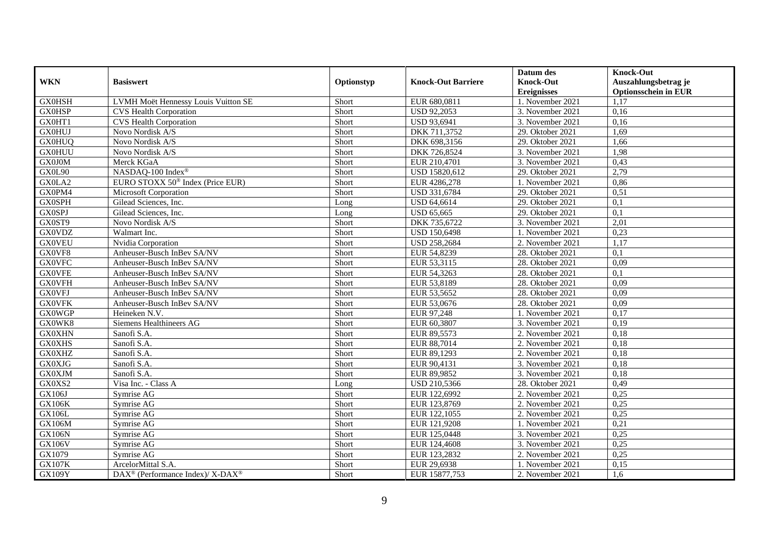|               |                                                          |            |                           | Datum des          | <b>Knock-Out</b>            |
|---------------|----------------------------------------------------------|------------|---------------------------|--------------------|-----------------------------|
| <b>WKN</b>    | <b>Basiswert</b>                                         | Optionstyp | <b>Knock-Out Barriere</b> | <b>Knock-Out</b>   | Auszahlungsbetrag je        |
|               |                                                          |            |                           | <b>Ereignisses</b> | <b>Optionsschein in EUR</b> |
| <b>GX0HSH</b> | LVMH Moët Hennessy Louis Vuitton SE                      | Short      | EUR 680,0811              | 1. November 2021   | 1,17                        |
| <b>GX0HSP</b> | <b>CVS Health Corporation</b>                            | Short      | <b>USD 92,2053</b>        | 3. November 2021   | 0,16                        |
| GX0HT1        | <b>CVS Health Corporation</b>                            | Short      | USD 93,6941               | 3. November 2021   | 0,16                        |
| <b>GX0HUJ</b> | Novo Nordisk A/S                                         | Short      | DKK 711,3752              | 29. Oktober 2021   | 1,69                        |
| <b>GX0HUQ</b> | Novo Nordisk A/S                                         | Short      | DKK 698,3156              | 29. Oktober 2021   | 1,66                        |
| <b>GX0HUU</b> | Novo Nordisk A/S                                         | Short      | DKK 726,8524              | 3. November 2021   | 1,98                        |
| GX0J0M        | Merck KGaA                                               | Short      | EUR 210,4701              | 3. November 2021   | 0,43                        |
| GX0L90        | NASDAQ-100 Index®                                        | Short      | USD 15820,612             | 29. Oktober 2021   | 2,79                        |
| GX0LA2        | EURO STOXX 50 <sup>®</sup> Index (Price EUR)             | Short      | EUR 4286,278              | 1. November 2021   | 0,86                        |
| GX0PM4        | <b>Microsoft Corporation</b>                             | Short      | USD 331,6784              | 29. Oktober 2021   | 0,51                        |
| <b>GX0SPH</b> | Gilead Sciences, Inc.                                    | Long       | USD 64,6614               | 29. Oktober 2021   | 0,1                         |
| <b>GX0SPJ</b> | Gilead Sciences, Inc.                                    | Long       | <b>USD 65,665</b>         | 29. Oktober 2021   | $\overline{0,1}$            |
| GX0ST9        | Novo Nordisk A/S                                         | Short      | DKK 735,6722              | 3. November 2021   | 2,01                        |
| <b>GX0VDZ</b> | Walmart Inc.                                             | Short      | USD 150,6498              | 1. November 2021   | 0,23                        |
| <b>GX0VEU</b> | Nvidia Corporation                                       | Short      | USD 258,2684              | 2. November 2021   | 1,17                        |
| GX0VF8        | Anheuser-Busch InBev SA/NV                               | Short      | EUR 54,8239               | 28. Oktober 2021   | 0,1                         |
| <b>GX0VFC</b> | Anheuser-Busch InBev SA/NV                               | Short      | EUR 53,3115               | 28. Oktober 2021   | 0,09                        |
| <b>GX0VFE</b> | Anheuser-Busch InBev SA/NV                               | Short      | EUR 54,3263               | 28. Oktober 2021   | 0.1                         |
| <b>GX0VFH</b> | Anheuser-Busch InBev SA/NV                               | Short      | EUR 53,8189               | 28. Oktober 2021   | 0,09                        |
| <b>GX0VFJ</b> | Anheuser-Busch InBev SA/NV                               | Short      | EUR 53,5652               | 28. Oktober 2021   | 0,09                        |
| <b>GX0VFK</b> | Anheuser-Busch InBev SA/NV                               | Short      | EUR 53,0676               | 28. Oktober 2021   | 0,09                        |
| <b>GX0WGP</b> | Heineken N.V.                                            | Short      | EUR 97,248                | 1. November 2021   | 0,17                        |
| GX0WK8        | Siemens Healthineers AG                                  | Short      | EUR 60,3807               | 3. November 2021   | 0,19                        |
| <b>GX0XHN</b> | Sanofi S.A.                                              | Short      | EUR 89,5573               | 2. November 2021   | 0,18                        |
| <b>GX0XHS</b> | Sanofi S.A.                                              | Short      | EUR 88,7014               | 2. November 2021   | 0,18                        |
| <b>GX0XHZ</b> | Sanofi S.A.                                              | Short      | EUR 89,1293               | 2. November 2021   | 0,18                        |
| <b>GX0XJG</b> | Sanofi S.A.                                              | Short      | EUR 90,4131               | 3. November 2021   | 0,18                        |
| <b>GX0XJM</b> | Sanofi S.A.                                              | Short      | EUR 89,9852               | 3. November 2021   | 0,18                        |
| GX0XS2        | Visa Inc. - Class A                                      | Long       | USD 210,5366              | 28. Oktober 2021   | 0,49                        |
| GX106J        | Symrise AG                                               | Short      | EUR 122,6992              | 2. November 2021   | 0,25                        |
| <b>GX106K</b> | Symrise AG                                               | Short      | EUR 123,8769              | 2. November 2021   | 0,25                        |
| GX106L        | Symrise AG                                               | Short      | EUR 122,1055              | 2. November 2021   | 0,25                        |
| GX106M        | Symrise AG                                               | Short      | EUR 121,9208              | 1. November 2021   | 0,21                        |
| <b>GX106N</b> | Symrise AG                                               | Short      | EUR 125,0448              | 3. November 2021   | 0,25                        |
| <b>GX106V</b> | Symrise AG                                               | Short      | EUR 124,4608              | 3. November 2021   | 0,25                        |
| GX1079        | Symrise AG                                               | Short      | EUR 123,2832              | 2. November 2021   | 0,25                        |
| <b>GX107K</b> | ArcelorMittal S.A.                                       | Short      | EUR 29,6938               | 1. November 2021   | 0,15                        |
| <b>GX109Y</b> | DAX <sup>®</sup> (Performance Index)/ X-DAX <sup>®</sup> | Short      | EUR 15877,753             | 2. November 2021   | 1,6                         |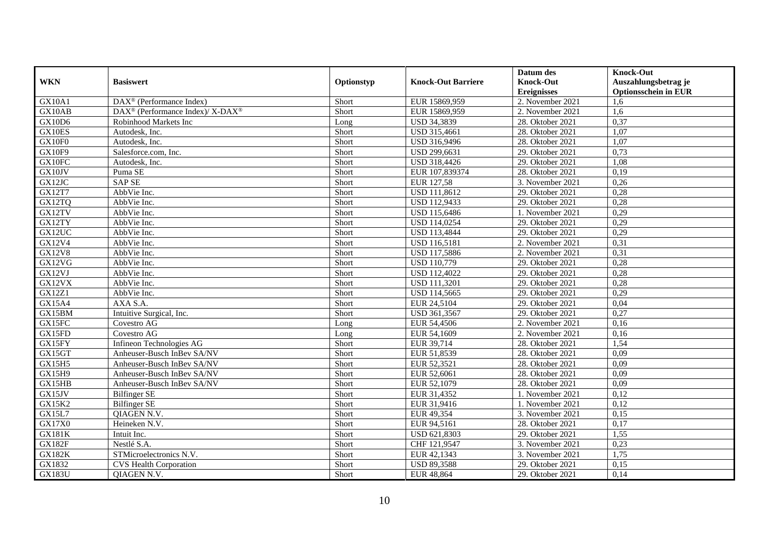|               |                                                                  |            |                           | Datum des          | <b>Knock-Out</b>            |
|---------------|------------------------------------------------------------------|------------|---------------------------|--------------------|-----------------------------|
| <b>WKN</b>    | <b>Basiswert</b>                                                 | Optionstyp | <b>Knock-Out Barriere</b> | <b>Knock-Out</b>   | Auszahlungsbetrag je        |
|               |                                                                  |            |                           | <b>Ereignisses</b> | <b>Optionsschein in EUR</b> |
| GX10A1        | $\overline{\text{DAX}^{\otimes}}$ (Performance Index)            | Short      | EUR 15869,959             | 2. November 2021   | 1.6                         |
| GX10AB        | $\text{DAX}^{\circledR}$ (Performance Index)/ X-DAX <sup>®</sup> | Short      | EUR 15869,959             | 2. November 2021   | 1,6                         |
| GX10D6        | Robinhood Markets Inc                                            | Long       | USD 34,3839               | 28. Oktober 2021   | 0,37                        |
| GX10ES        | Autodesk, Inc.                                                   | Short      | USD 315,4661              | 28. Oktober 2021   | 1,07                        |
| GX10F0        | Autodesk, Inc.                                                   | Short      | USD 316,9496              | 28. Oktober 2021   | 1,07                        |
| GX10F9        | Salesforce.com, Inc.                                             | Short      | USD 299,6631              | 29. Oktober 2021   | 0,73                        |
| GX10FC        | Autodesk, Inc.                                                   | Short      | USD 318,4426              | 29. Oktober 2021   | 1,08                        |
| GX10JV        | Puma SE                                                          | Short      | EUR 107,839374            | 28. Oktober 2021   | 0,19                        |
| GX12JC        | <b>SAP SE</b>                                                    | Short      | EUR 127,58                | 3. November 2021   | 0,26                        |
| GX12T7        | AbbVie Inc.                                                      | Short      | <b>USD 111,8612</b>       | 29. Oktober 2021   | 0,28                        |
| GX12TQ        | AbbVie Inc.                                                      | Short      | <b>USD 112,9433</b>       | 29. Oktober 2021   | 0,28                        |
| GX12TV        | AbbVie Inc.                                                      | Short      | USD 115,6486              | 1. November 2021   | 0,29                        |
| GX12TY        | AbbVie Inc.                                                      | Short      | USD 114,0254              | 29. Oktober 2021   | 0,29                        |
| GX12UC        | AbbVie Inc.                                                      | Short      | USD 113,4844              | 29. Oktober 2021   | 0,29                        |
| GX12V4        | AbbVie Inc.                                                      | Short      | <b>USD 116,5181</b>       | 2. November 2021   | 0,31                        |
| <b>GX12V8</b> | AbbVie Inc.                                                      | Short      | <b>USD 117,5886</b>       | 2. November 2021   | 0,31                        |
| GX12VG        | AbbVie Inc.                                                      | Short      | <b>USD 110,779</b>        | 29. Oktober 2021   | 0,28                        |
| GX12VJ        | AbbVie Inc.                                                      | Short      | <b>USD 112,4022</b>       | 29. Oktober 2021   | 0,28                        |
| GX12VX        | AbbVie Inc.                                                      | Short      | <b>USD 111,3201</b>       | 29. Oktober 2021   | 0,28                        |
| <b>GX12Z1</b> | AbbVie Inc.                                                      | Short      | USD 114,5665              | 29. Oktober 2021   | 0,29                        |
| <b>GX15A4</b> | AXA S.A.                                                         | Short      | EUR 24,5104               | 29. Oktober 2021   | 0,04                        |
| GX15BM        | Intuitive Surgical, Inc.                                         | Short      | USD 361,3567              | 29. Oktober 2021   | 0,27                        |
| GX15FC        | Covestro AG                                                      | Long       | EUR 54,4506               | 2. November 2021   | 0,16                        |
| GX15FD        | Covestro AG                                                      | Long       | EUR 54,1609               | 2. November 2021   | 0,16                        |
| GX15FY        | Infineon Technologies AG                                         | Short      | EUR 39,714                | 28. Oktober 2021   | 1,54                        |
| GX15GT        | Anheuser-Busch InBev SA/NV                                       | Short      | EUR 51,8539               | 28. Oktober 2021   | 0,09                        |
| GX15H5        | Anheuser-Busch InBev SA/NV                                       | Short      | EUR 52,3521               | 28. Oktober 2021   | 0,09                        |
| GX15H9        | Anheuser-Busch InBev SA/NV                                       | Short      | EUR 52,6061               | 28. Oktober 2021   | 0,09                        |
| GX15HB        | Anheuser-Busch InBev SA/NV                                       | Short      | EUR 52,1079               | 28. Oktober 2021   | 0,09                        |
| GX15JV        | <b>Bilfinger SE</b>                                              | Short      | EUR 31,4352               | 1. November 2021   | 0,12                        |
| GX15K2        | <b>Bilfinger SE</b>                                              | Short      | EUR 31,9416               | 1. November 2021   | 0,12                        |
| GX15L7        | QIAGEN N.V.                                                      | Short      | EUR 49,354                | 3. November 2021   | 0,15                        |
| GX17X0        | Heineken N.V.                                                    | Short      | EUR 94,5161               | 28. Oktober 2021   | 0,17                        |
| <b>GX181K</b> | Intuit Inc.                                                      | Short      | USD 621,8303              | 29. Oktober 2021   | 1,55                        |
| <b>GX182F</b> | Nestlé S.A.                                                      | Short      | CHF 121,9547              | 3. November 2021   | 0,23                        |
| <b>GX182K</b> | STMicroelectronics N.V.                                          | Short      | EUR 42,1343               | 3. November 2021   | 1,75                        |
| GX1832        | <b>CVS Health Corporation</b>                                    | Short      | <b>USD 89,3588</b>        | 29. Oktober 2021   | 0,15                        |
| <b>GX183U</b> | QIAGEN N.V.                                                      | Short      | EUR 48,864                | 29. Oktober 2021   | 0,14                        |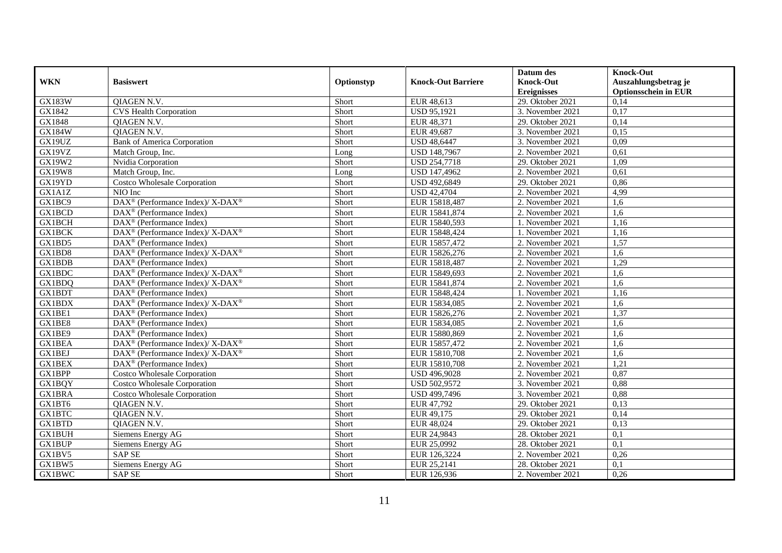|               |                                                                   |            |                           | Datum des          | <b>Knock-Out</b>            |
|---------------|-------------------------------------------------------------------|------------|---------------------------|--------------------|-----------------------------|
| <b>WKN</b>    | <b>Basiswert</b>                                                  | Optionstyp | <b>Knock-Out Barriere</b> | <b>Knock-Out</b>   | Auszahlungsbetrag je        |
|               |                                                                   |            |                           | <b>Ereignisses</b> | <b>Optionsschein in EUR</b> |
| <b>GX183W</b> | <b>QIAGEN N.V.</b>                                                | Short      | EUR 48,613                | 29. Oktober 2021   | 0,14                        |
| GX1842        | <b>CVS Health Corporation</b>                                     | Short      | <b>USD 95,1921</b>        | 3. November 2021   | 0,17                        |
| GX1848        | QIAGEN N.V.                                                       | Short      | EUR 48,371                | 29. Oktober 2021   | 0,14                        |
| GX184W        | QIAGEN N.V.                                                       | Short      | EUR 49,687                | 3. November 2021   | 0,15                        |
| GX19UZ        | <b>Bank of America Corporation</b>                                | Short      | <b>USD 48,6447</b>        | 3. November 2021   | 0,09                        |
| GX19VZ        | Match Group, Inc.                                                 | Long       | <b>USD 148,7967</b>       | 2. November 2021   | 0,61                        |
| GX19W2        | Nvidia Corporation                                                | Short      | <b>USD 254,7718</b>       | 29. Oktober 2021   | 1,09                        |
| <b>GX19W8</b> | Match Group, Inc.                                                 | Long       | USD 147,4962              | 2. November 2021   | 0,61                        |
| GX19YD        | <b>Costco Wholesale Corporation</b>                               | Short      | USD 492,6849              | 29. Oktober 2021   | 0,86                        |
| GX1A1Z        | NIO Inc                                                           | Short      | <b>USD 42,4704</b>        | 2. November 2021   | 4,99                        |
| GX1BC9        | DAX <sup>®</sup> (Performance Index)/X-DAX <sup>®</sup>           | Short      | EUR 15818,487             | 2. November 2021   | 1,6                         |
| <b>GX1BCD</b> | DAX <sup>®</sup> (Performance Index)                              | Short      | EUR 15841,874             | 2. November 2021   | 1,6                         |
| <b>GX1BCH</b> | DAX <sup>®</sup> (Performance Index)                              | Short      | EUR 15840,593             | 1. November 2021   | 1,16                        |
| <b>GX1BCK</b> | DAX <sup>®</sup> (Performance Index)/ X-DAX <sup>®</sup>          | Short      | EUR 15848,424             | 1. November 2021   | 1,16                        |
| GX1BD5        | $\text{DAX}^{\otimes}$ (Performance Index)                        | Short      | EUR 15857,472             | 2. November 2021   | 1,57                        |
| GX1BD8        | DAX <sup>®</sup> (Performance Index)/ X-DAX <sup>®</sup>          | Short      | EUR 15826,276             | 2. November 2021   | 1,6                         |
| GX1BDB        | DAX <sup>®</sup> (Performance Index)                              | Short      | EUR 15818,487             | 2. November 2021   | 1,29                        |
| GX1BDC        | $DAX^{\circledcirc}$ (Performance Index)/X-DAX <sup>®</sup>       | Short      | EUR 15849,693             | 2. November 2021   | 1.6                         |
| GX1BDQ        | DAX <sup>®</sup> (Performance Index)/ X-DAX <sup>®</sup>          | Short      | EUR 15841,874             | 2. November 2021   | 1,6                         |
| GX1BDT        | DAX <sup>®</sup> (Performance Index)                              | Short      | EUR 15848,424             | 1. November 2021   | 1,16                        |
| <b>GX1BDX</b> | $\text{DAX}^{\circledR}$ (Performance Index)/X-DAX <sup>®</sup>   | Short      | EUR 15834,085             | 2. November 2021   | 1,6                         |
| GX1BE1        | $\text{DAX}^{\textcircled{p}}$ (Performance Index)                | Short      | EUR 15826,276             | 2. November 2021   | 1,37                        |
| GX1BE8        | $\overline{\text{DAX}^{\otimes}}$ (Performance Index)             | Short      | EUR 15834,085             | 2. November 2021   | 1,6                         |
| GX1BE9        | DAX <sup>®</sup> (Performance Index)                              | Short      | EUR 15880,869             | 2. November 2021   | 1,6                         |
| GX1BEA        | DAX <sup>®</sup> (Performance Index)/ X-DAX <sup>®</sup>          | Short      | EUR 15857,472             | 2. November 2021   | 1.6                         |
| <b>GX1BEJ</b> | $\text{DAX}^{\circledast}$ (Performance Index)/X-DAX <sup>®</sup> | Short      | EUR 15810,708             | 2. November 2021   | 1,6                         |
| GX1BEX        | DAX <sup>®</sup> (Performance Index)                              | Short      | EUR 15810,708             | 2. November 2021   | 1,21                        |
| GX1BPP        | Costco Wholesale Corporation                                      | Short      | USD 496,9028              | 2. November 2021   | 0,87                        |
| <b>GX1BQY</b> | <b>Costco Wholesale Corporation</b>                               | Short      | <b>USD 502,9572</b>       | 3. November 2021   | 0,88                        |
| GX1BRA        | <b>Costco Wholesale Corporation</b>                               | Short      | USD 499,7496              | 3. November 2021   | 0,88                        |
| GX1BT6        | QIAGEN N.V.                                                       | Short      | EUR 47,792                | 29. Oktober 2021   | 0,13                        |
| GX1BTC        | QIAGEN N.V.                                                       | Short      | EUR 49,175                | 29. Oktober 2021   | 0,14                        |
| <b>GX1BTD</b> | <b>OIAGEN N.V.</b>                                                | Short      | EUR 48,024                | 29. Oktober 2021   | 0,13                        |
| <b>GX1BUH</b> | Siemens Energy AG                                                 | Short      | EUR 24,9843               | 28. Oktober 2021   | 0,1                         |
| <b>GX1BUP</b> | Siemens Energy AG                                                 | Short      | EUR 25,0992               | 28. Oktober 2021   | 0,1                         |
| GX1BV5        | <b>SAP SE</b>                                                     | Short      | EUR 126,3224              | 2. November 2021   | 0,26                        |
| GX1BW5        | Siemens Energy AG                                                 | Short      | EUR 25,2141               | 28. Oktober 2021   | 0,1                         |
| <b>GX1BWC</b> | SAP SE                                                            | Short      | EUR 126,936               | 2. November 2021   | 0,26                        |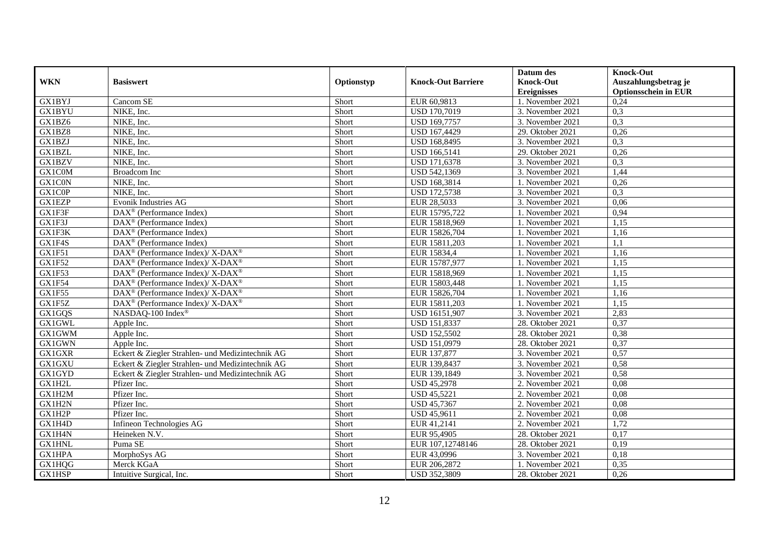|               |                                                                    |            |                           | Datum des          | <b>Knock-Out</b>            |
|---------------|--------------------------------------------------------------------|------------|---------------------------|--------------------|-----------------------------|
| <b>WKN</b>    | <b>Basiswert</b>                                                   | Optionstyp | <b>Knock-Out Barriere</b> | <b>Knock-Out</b>   | Auszahlungsbetrag je        |
|               |                                                                    |            |                           | <b>Ereignisses</b> | <b>Optionsschein in EUR</b> |
| <b>GX1BYJ</b> | Cancom SE                                                          | Short      | EUR 60,9813               | 1. November 2021   | 0,24                        |
| <b>GX1BYU</b> | NIKE, Inc.                                                         | Short      | <b>USD 170,7019</b>       | 3. November 2021   | 0,3                         |
| GX1BZ6        | NIKE, Inc.                                                         | Short      | USD 169,7757              | 3. November 2021   | 0,3                         |
| GX1BZ8        | NIKE, Inc.                                                         | Short      | USD 167,4429              | 29. Oktober 2021   | 0,26                        |
| <b>GX1BZJ</b> | NIKE, Inc.                                                         | Short      | <b>USD 168,8495</b>       | 3. November 2021   | 0,3                         |
| GX1BZL        | NIKE, Inc.                                                         | Short      | <b>USD 166,5141</b>       | 29. Oktober 2021   | 0,26                        |
| GX1BZV        | NIKE, Inc.                                                         | Short      | USD 171,6378              | 3. November 2021   | 0,3                         |
| GX1C0M        | <b>Broadcom</b> Inc                                                | Short      | USD 542,1369              | 3. November 2021   | 1,44                        |
| GX1C0N        | NIKE, Inc.                                                         | Short      | USD 168,3814              | 1. November 2021   | 0,26                        |
| GX1C0P        | NIKE, Inc.                                                         | Short      | <b>USD 172,5738</b>       | 3. November 2021   | 0,3                         |
| <b>GX1EZP</b> | Evonik Industries AG                                               | Short      | EUR 28,5033               | 3. November 2021   | 0,06                        |
| GX1F3F        | $\overline{\text{DAX}^{\otimes}}$ (Performance Index)              | Short      | EUR 15795,722             | 1. November 2021   | 0,94                        |
| GX1F3J        | $\text{DAX}^{\textcircled{n}}$ (Performance Index)                 | Short      | EUR 15818,969             | 1. November 2021   | 1,15                        |
| GX1F3K        | DAX <sup>®</sup> (Performance Index)                               | Short      | EUR 15826,704             | 1. November 2021   | 1,16                        |
| GX1F4S        | $\text{DAX}^{\circledast}$ (Performance Index)                     | Short      | EUR 15811,203             | 1. November 2021   | 1,1                         |
| GX1F51        | $\text{DAX}^{\circledast}$ (Performance Index)/ X-DAX <sup>®</sup> | Short      | EUR 15834,4               | 1. November 2021   | 1,16                        |
| <b>GX1F52</b> | DAX <sup>®</sup> (Performance Index)/ X-DAX <sup>®</sup>           | Short      | EUR 15787,977             | 1. November 2021   | 1,15                        |
| GX1F53        | $DAX^{\circledcirc}$ (Performance Index)/X-DAX <sup>®</sup>        | Short      | EUR 15818.969             | 1. November 2021   | 1.15                        |
| GX1F54        | DAX <sup>®</sup> (Performance Index)/ X-DAX <sup>®</sup>           | Short      | EUR 15803,448             | 1. November 2021   | 1,15                        |
| GX1F55        | DAX <sup>®</sup> (Performance Index)/ X-DAX <sup>®</sup>           | Short      | EUR 15826,704             | 1. November 2021   | 1,16                        |
| GX1F5Z        | $\text{DAX}^{\circledR}$ (Performance Index)/ X-DAX <sup>®</sup>   | Short      | EUR 15811,203             | 1. November 2021   | 1,15                        |
| GX1GQS        | NASDAQ-100 Index®                                                  | Short      | USD 16151,907             | 3. November 2021   | 2,83                        |
| <b>GX1GWL</b> | Apple Inc.                                                         | Short      | <b>USD 151,8337</b>       | 28. Oktober 2021   | 0,37                        |
| <b>GX1GWM</b> | Apple Inc.                                                         | Short      | <b>USD 152,5502</b>       | 28. Oktober 2021   | 0,38                        |
| GX1GWN        | Apple Inc.                                                         | Short      | USD 151,0979              | 28. Oktober 2021   | 0,37                        |
| GX1GXR        | Eckert & Ziegler Strahlen- und Medizintechnik AG                   | Short      | EUR 137,877               | 3. November 2021   | 0,57                        |
| GX1GXU        | Eckert & Ziegler Strahlen- und Medizintechnik AG                   | Short      | EUR 139,8437              | 3. November $2021$ | 0,58                        |
| GX1GYD        | Eckert & Ziegler Strahlen- und Medizintechnik AG                   | Short      | EUR 139,1849              | 3. November 2021   | 0,58                        |
| GX1H2L        | Pfizer Inc.                                                        | Short      | <b>USD 45,2978</b>        | 2. November 2021   | 0.08                        |
| GX1H2M        | Pfizer Inc.                                                        | Short      | <b>USD 45,5221</b>        | 2. November 2021   | 0.08                        |
| GX1H2N        | Pfizer Inc.                                                        | Short      | <b>USD 45,7367</b>        | 2. November 2021   | 0,08                        |
| GX1H2P        | Pfizer Inc.                                                        | Short      | <b>USD 45,9611</b>        | 2. November 2021   | 0,08                        |
| GX1H4D        | Infineon Technologies AG                                           | Short      | EUR 41,2141               | 2. November 2021   | 1,72                        |
| GX1H4N        | Heineken N.V.                                                      | Short      | EUR 95,4905               | 28. Oktober 2021   | 0,17                        |
| <b>GX1HNL</b> | Puma SE                                                            | Short      | EUR 107,12748146          | 28. Oktober 2021   | 0,19                        |
| GX1HPA        | MorphoSys AG                                                       | Short      | EUR 43,0996               | 3. November 2021   | 0,18                        |
| GX1HQG        | Merck KGaA                                                         | Short      | EUR 206,2872              | 1. November 2021   | 0,35                        |
| GX1HSP        | Intuitive Surgical, Inc.                                           | Short      | USD 352,3809              | 28. Oktober 2021   | 0,26                        |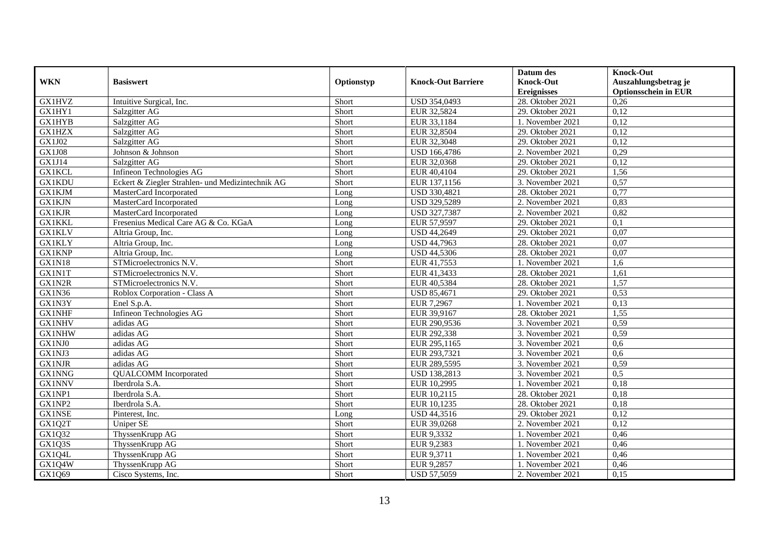|               |                                                  |            |                           | Datum des          | <b>Knock-Out</b>            |
|---------------|--------------------------------------------------|------------|---------------------------|--------------------|-----------------------------|
| <b>WKN</b>    | <b>Basiswert</b>                                 | Optionstyp | <b>Knock-Out Barriere</b> | <b>Knock-Out</b>   | Auszahlungsbetrag je        |
|               |                                                  |            |                           | <b>Ereignisses</b> | <b>Optionsschein in EUR</b> |
| <b>GX1HVZ</b> | Intuitive Surgical, Inc.                         | Short      | USD 354,0493              | 28. Oktober 2021   | 0,26                        |
| GX1HY1        | Salzgitter AG                                    | Short      | EUR 32,5824               | 29. Oktober 2021   | 0,12                        |
| <b>GX1HYB</b> | Salzgitter AG                                    | Short      | EUR 33,1184               | 1. November 2021   | 0,12                        |
| <b>GX1HZX</b> | Salzgitter AG                                    | Short      | EUR 32,8504               | 29. Oktober 2021   | 0,12                        |
| GX1J02        | Salzgitter AG                                    | Short      | EUR 32,3048               | 29. Oktober 2021   | 0,12                        |
| <b>GX1J08</b> | Johnson & Johnson                                | Short      | <b>USD 166,4786</b>       | 2. November 2021   | 0,29                        |
| GX1J14        | Salzgitter AG                                    | Short      | EUR 32,0368               | 29. Oktober 2021   | 0,12                        |
| <b>GX1KCL</b> | Infineon Technologies AG                         | Short      | EUR 40,4104               | 29. Oktober 2021   | 1,56                        |
| <b>GX1KDU</b> | Eckert & Ziegler Strahlen- und Medizintechnik AG | Short      | EUR 137,1156              | 3. November 2021   | 0,57                        |
| <b>GX1KJM</b> | MasterCard Incorporated                          | Long       | USD 330,4821              | 28. Oktober 2021   | 0,77                        |
| <b>GX1KJN</b> | MasterCard Incorporated                          | Long       | USD 329,5289              | 2. November 2021   | 0,83                        |
| <b>GX1KJR</b> | MasterCard Incorporated                          | Long       | <b>USD 327,7387</b>       | 2. November 2021   | 0,82                        |
| <b>GX1KKL</b> | Fresenius Medical Care AG & Co. KGaA             | Long       | EUR 57,9597               | 29. Oktober 2021   | 0,1                         |
| <b>GX1KLV</b> | Altria Group, Inc.                               | Long       | <b>USD 44,2649</b>        | 29. Oktober 2021   | 0,07                        |
| <b>GX1KLY</b> | Altria Group, Inc.                               | Long       | <b>USD 44,7963</b>        | 28. Oktober 2021   | 0,07                        |
| <b>GX1KNP</b> | Altria Group, Inc.                               | Long       | <b>USD 44,5306</b>        | 28. Oktober 2021   | 0,07                        |
| <b>GX1N18</b> | STMicroelectronics N.V.                          | Short      | EUR 41,7553               | 1. November 2021   | 1,6                         |
| GX1N1T        | STMicroelectronics N.V.                          | Short      | EUR 41,3433               | 28. Oktober 2021   | 1,61                        |
| GX1N2R        | STMicroelectronics N.V.                          | Short      | EUR 40,5384               | 28. Oktober 2021   | 1,57                        |
| GX1N36        | Roblox Corporation - Class A                     | Short      | USD 85,4671               | 29. Oktober 2021   | 0,53                        |
| GX1N3Y        | Enel S.p.A.                                      | Short      | EUR 7,2967                | 1. November 2021   | 0,13                        |
| <b>GX1NHF</b> | Infineon Technologies AG                         | Short      | EUR 39,9167               | 28. Oktober 2021   | 1,55                        |
| <b>GX1NHV</b> | adidas AG                                        | Short      | EUR 290,9536              | 3. November 2021   | 0,59                        |
| <b>GX1NHW</b> | adidas AG                                        | Short      | EUR 292,338               | 3. November 2021   | 0,59                        |
| GX1NJ0        | adidas AG                                        | Short      | EUR 295,1165              | 3. November 2021   | 0,6                         |
| GX1NJ3        | adidas AG                                        | Short      | EUR 293,7321              | 3. November 2021   | 0.6                         |
| <b>GX1NJR</b> | adidas AG                                        | Short      | EUR 289,5595              | 3. November 2021   | 0,59                        |
| <b>GX1NNG</b> | <b>QUALCOMM</b> Incorporated                     | Short      | <b>USD 138,2813</b>       | 3. November 2021   | 0,5                         |
| <b>GX1NNV</b> | Iberdrola S.A.                                   | Short      | EUR 10,2995               | 1. November 2021   | 0,18                        |
| GX1NP1        | Iberdrola S.A.                                   | Short      | EUR 10,2115               | 28. Oktober 2021   | 0,18                        |
| GX1NP2        | Iberdrola S.A.                                   | Short      | EUR 10,1235               | 28. Oktober 2021   | 0,18                        |
| <b>GX1NSE</b> | Pinterest, Inc.                                  | Long       | <b>USD 44,3516</b>        | 29. Oktober 2021   | 0,12                        |
| GX1Q2T        | <b>Uniper SE</b>                                 | Short      | EUR 39,0268               | 2. November 2021   | 0,12                        |
| GX1Q32        | ThyssenKrupp AG                                  | Short      | EUR 9,3332                | 1. November 2021   | 0,46                        |
| GX1Q3S        | ThyssenKrupp AG                                  | Short      | EUR 9,2383                | 1. November 2021   | 0,46                        |
| GX1Q4L        | ThyssenKrupp AG                                  | Short      | EUR 9,3711                | 1. November 2021   | 0,46                        |
| GX1Q4W        | ThyssenKrupp AG                                  | Short      | EUR 9,2857                | 1. November 2021   | 0,46                        |
| GX1Q69        | Cisco Systems, Inc.                              | Short      | <b>USD 57,5059</b>        | 2. November 2021   | 0,15                        |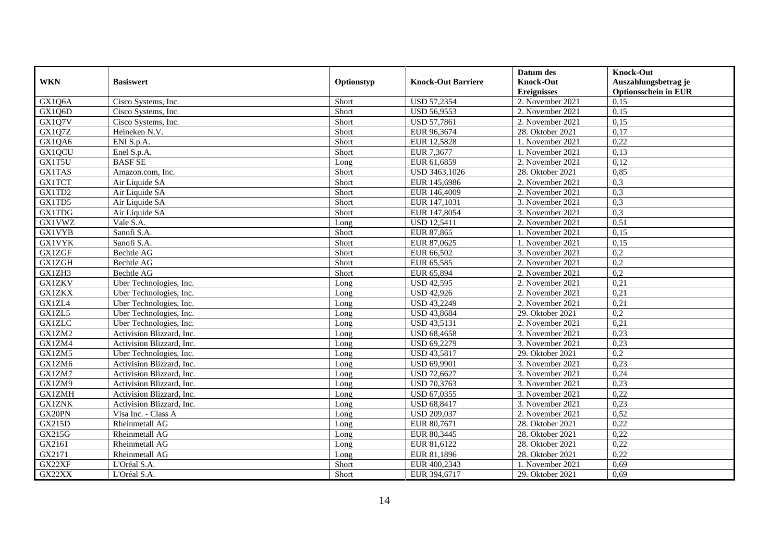|               |                           |            |                           | Datum des          | <b>Knock-Out</b>            |
|---------------|---------------------------|------------|---------------------------|--------------------|-----------------------------|
| <b>WKN</b>    | <b>Basiswert</b>          | Optionstyp | <b>Knock-Out Barriere</b> | <b>Knock-Out</b>   | Auszahlungsbetrag je        |
|               |                           |            |                           | <b>Ereignisses</b> | <b>Optionsschein in EUR</b> |
| GX1Q6A        | Cisco Systems, Inc.       | Short      | <b>USD 57,2354</b>        | 2. November 2021   | 0,15                        |
| GX1Q6D        | Cisco Systems, Inc.       | Short      | <b>USD 56,9553</b>        | 2. November 2021   | 0,15                        |
| GX1Q7V        | Cisco Systems, Inc.       | Short      | <b>USD 57,7861</b>        | 2. November 2021   | 0,15                        |
| GX1Q7Z        | Heineken N.V.             | Short      | EUR 96,3674               | 28. Oktober 2021   | 0,17                        |
| GX1QA6        | ENI S.p.A.                | Short      | EUR 12,5828               | 1. November 2021   | 0,22                        |
| GX1QCU        | Enel S.p.A.               | Short      | EUR 7,3677                | 1. November 2021   | 0,13                        |
| GX1T5U        | <b>BASF SE</b>            | Long       | EUR 61,6859               | 2. November 2021   | 0,12                        |
| <b>GX1TAS</b> | Amazon.com, Inc.          | Short      | USD 3463,1026             | 28. Oktober 2021   | 0,85                        |
| <b>GX1TCT</b> | Air Liquide SA            | Short      | EUR 145,6986              | 2. November 2021   | 0,3                         |
| GX1TD2        | Air Liquide SA            | Short      | EUR 146,4009              | 2. November 2021   | 0,3                         |
| GX1TD5        | Air Liquide SA            | Short      | EUR 147,1031              | 3. November 2021   | 0,3                         |
| <b>GX1TDG</b> | Air Liquide SA            | Short      | EUR 147,8054              | 3. November 2021   | 0,3                         |
| <b>GX1VWZ</b> | Vale S.A.                 | Long       | <b>USD 12,5411</b>        | 2. November 2021   | 0,51                        |
| <b>GX1VYB</b> | Sanofi S.A.               | Short      | EUR 87,865                | 1. November 2021   | 0,15                        |
| <b>GX1VYK</b> | Sanofi S.A.               | Short      | EUR 87,0625               | 1. November 2021   | 0,15                        |
| <b>GX1ZGF</b> | <b>Bechtle AG</b>         | Short      | EUR 66,502                | 3. November 2021   | 0,2                         |
| <b>GX1ZGH</b> | Bechtle AG                | Short      | EUR 65,585                | 2. November 2021   | 0,2                         |
| GX1ZH3        | <b>Bechtle AG</b>         | Short      | EUR 65.894                | 2. November 2021   | 0,2                         |
| <b>GX1ZKV</b> | Uber Technologies, Inc.   | Long       | <b>USD 42,595</b>         | 2. November 2021   | 0,21                        |
| <b>GX1ZKX</b> | Uber Technologies, Inc.   | Long       | <b>USD 42,926</b>         | 2. November 2021   | 0,21                        |
| GX1ZL4        | Uber Technologies, Inc.   | Long       | <b>USD 43,2249</b>        | 2. November 2021   | 0,21                        |
| GX1ZL5        | Uber Technologies, Inc.   | Long       | <b>USD 43,8684</b>        | 29. Oktober 2021   | 0,2                         |
| <b>GX1ZLC</b> | Uber Technologies, Inc.   | Long       | <b>USD 43,5131</b>        | 2. November 2021   | 0,21                        |
| GX1ZM2        | Activision Blizzard, Inc. | Long       | <b>USD 68,4658</b>        | 3. November 2021   | 0,23                        |
| GX1ZM4        | Activision Blizzard, Inc. | Long       | USD 69,2279               | 3. November 2021   | 0,23                        |
| GX1ZM5        | Uber Technologies, Inc.   | Long       | <b>USD 43,5817</b>        | 29. Oktober 2021   | 0,2                         |
| GX1ZM6        | Activision Blizzard, Inc. | Long       | USD 69,9901               | 3. November 2021   | 0,23                        |
| GX1ZM7        | Activision Blizzard, Inc. | Long       | <b>USD 72,6627</b>        | 3. November 2021   | 0,24                        |
| GX1ZM9        | Activision Blizzard, Inc. | Long       | <b>USD 70,3763</b>        | 3. November 2021   | 0,23                        |
| <b>GX1ZMH</b> | Activision Blizzard, Inc. | Long       | USD 67,0355               | 3. November 2021   | 0,22                        |
| <b>GX1ZNK</b> | Activision Blizzard, Inc. | Long       | <b>USD 68,8417</b>        | 3. November 2021   | 0,23                        |
| GX20PN        | Visa Inc. - Class A       | Long       | <b>USD 209,037</b>        | 2. November 2021   | 0,52                        |
| <b>GX215D</b> | Rheinmetall AG            | Long       | EUR 80,7671               | 28. Oktober 2021   | 0,22                        |
| GX215G        | Rheinmetall AG            | Long       | EUR 80,3445               | 28. Oktober 2021   | 0,22                        |
| GX2161        | Rheinmetall AG            | Long       | EUR 81,6122               | 28. Oktober 2021   | 0,22                        |
| GX2171        | Rheinmetall AG            | Long       | EUR 81,1896               | 28. Oktober 2021   | 0,22                        |
| GX22XF        | L'Oréal S.A.              | Short      | EUR 400,2343              | 1. November 2021   | 0,69                        |
| GX22XX        | L'Oréal S.A.              | Short      | EUR 394,6717              | 29. Oktober 2021   | 0,69                        |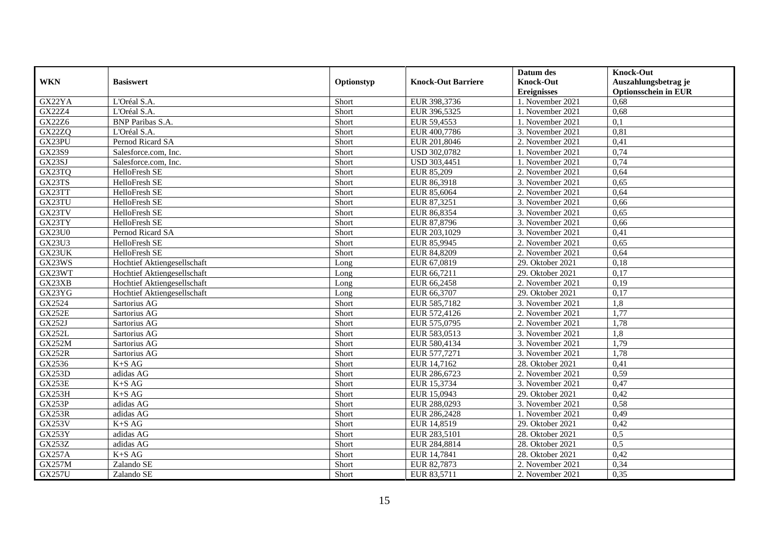|               |                             |            |                           | Datum des          | <b>Knock-Out</b>            |
|---------------|-----------------------------|------------|---------------------------|--------------------|-----------------------------|
| <b>WKN</b>    | <b>Basiswert</b>            | Optionstyp | <b>Knock-Out Barriere</b> | <b>Knock-Out</b>   | Auszahlungsbetrag je        |
|               |                             |            |                           | <b>Ereignisses</b> | <b>Optionsschein in EUR</b> |
| GX22YA        | L'Oréal S.A.                | Short      | EUR 398,3736              | 1. November 2021   | 0,68                        |
| GX22Z4        | L'Oréal S.A.                | Short      | EUR 396,5325              | 1. November 2021   | 0,68                        |
| GX22Z6        | <b>BNP</b> Paribas S.A.     | Short      | EUR 59,4553               | 1. November 2021   | 0,1                         |
| GX22ZQ        | L'Oréal S.A.                | Short      | EUR 400,7786              | 3. November 2021   | 0,81                        |
| GX23PU        | Pernod Ricard SA            | Short      | EUR 201,8046              | 2. November 2021   | 0,41                        |
| GX23S9        | Salesforce.com, Inc.        | Short      | USD 302,0782              | 1. November 2021   | 0,74                        |
| GX23SJ        | Salesforce.com, Inc.        | Short      | USD 303,4451              | 1. November 2021   | 0,74                        |
| GX23TQ        | HelloFresh SE               | Short      | EUR 85,209                | 2. November 2021   | 0,64                        |
| GX23TS        | HelloFresh SE               | Short      | EUR 86,3918               | 3. November 2021   | 0,65                        |
| GX23TT        | HelloFresh SE               | Short      | EUR 85,6064               | 2. November 2021   | 0,64                        |
| GX23TU        | HelloFresh SE               | Short      | EUR 87,3251               | 3. November 2021   | 0,66                        |
| GX23TV        | HelloFresh SE               | Short      | EUR 86,8354               | 3. November 2021   | 0,65                        |
| GX23TY        | HelloFresh SE               | Short      | EUR 87,8796               | 3. November 2021   | 0,66                        |
| <b>GX23U0</b> | Pernod Ricard SA            | Short      | EUR 203,1029              | 3. November 2021   | 0,41                        |
| GX23U3        | HelloFresh SE               | Short      | EUR 85,9945               | 2. November 2021   | 0,65                        |
| GX23UK        | HelloFresh SE               | Short      | EUR 84,8209               | 2. November 2021   | 0,64                        |
| GX23WS        | Hochtief Aktiengesellschaft | Long       | EUR 67,0819               | 29. Oktober 2021   | 0,18                        |
| GX23WT        | Hochtief Aktiengesellschaft | Long       | EUR 66,7211               | 29. Oktober 2021   | 0,17                        |
| GX23XB        | Hochtief Aktiengesellschaft | Long       | EUR 66,2458               | 2. November 2021   | 0,19                        |
| GX23YG        | Hochtief Aktiengesellschaft | Long       | EUR 66,3707               | 29. Oktober 2021   | 0,17                        |
| GX2524        | Sartorius AG                | Short      | EUR 585,7182              | 3. November 2021   | 1,8                         |
| <b>GX252E</b> | Sartorius AG                | Short      | EUR 572,4126              | 2. November 2021   | 1,77                        |
| <b>GX252J</b> | Sartorius AG                | Short      | EUR 575,0795              | 2. November 2021   | 1,78                        |
| <b>GX252L</b> | Sartorius AG                | Short      | EUR 583,0513              | 3. November 2021   | 1,8                         |
| <b>GX252M</b> | Sartorius AG                | Short      | EUR 580,4134              | 3. November 2021   | 1,79                        |
| <b>GX252R</b> | Sartorius AG                | Short      | EUR 577,7271              | 3. November 2021   | 1,78                        |
| GX2536        | $K\text{+}S$ AG             | Short      | EUR 14,7162               | 28. Oktober 2021   | 0,41                        |
| <b>GX253D</b> | adidas AG                   | Short      | EUR 286,6723              | 2. November 2021   | 0,59                        |
| GX253E        | $K+SAG$                     | Short      | EUR 15,3734               | 3. November 2021   | 0,47                        |
| GX253H        | $K+SAG$                     | Short      | EUR 15,0943               | 29. Oktober 2021   | 0,42                        |
| GX253P        | adidas AG                   | Short      | EUR 288,0293              | 3. November 2021   | 0,58                        |
| <b>GX253R</b> | adidas AG                   | Short      | EUR 286,2428              | 1. November 2021   | 0,49                        |
| GX253V        | $K+SAG$                     | Short      | EUR 14,8519               | 29. Oktober 2021   | 0,42                        |
| GX253Y        | adidas AG                   | Short      | EUR 283,5101              | 28. Oktober 2021   | 0,5                         |
| GX253Z        | adidas AG                   | Short      | EUR 284,8814              | 28. Oktober 2021   | 0,5                         |
| <b>GX257A</b> | $K+SAG$                     | Short      | EUR 14,7841               | 28. Oktober 2021   | 0,42                        |
| <b>GX257M</b> | Zalando SE                  | Short      | EUR 82,7873               | 2. November 2021   | 0,34                        |
| <b>GX257U</b> | Zalando SE                  | Short      | EUR 83,5711               | 2. November 2021   | 0,35                        |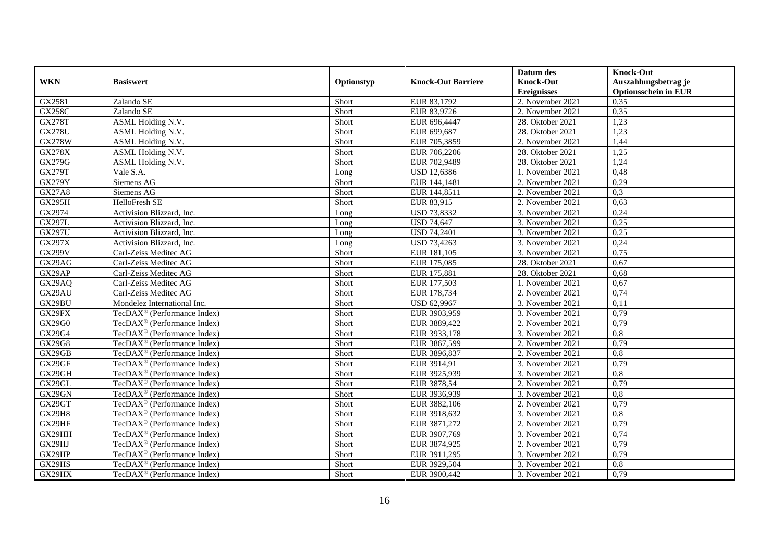|               |                                         |            |                           | Datum des          | <b>Knock-Out</b>            |
|---------------|-----------------------------------------|------------|---------------------------|--------------------|-----------------------------|
| <b>WKN</b>    | <b>Basiswert</b>                        | Optionstyp | <b>Knock-Out Barriere</b> | <b>Knock-Out</b>   | Auszahlungsbetrag je        |
|               |                                         |            |                           | <b>Ereignisses</b> | <b>Optionsschein in EUR</b> |
| GX2581        | Zalando SE                              | Short      | EUR 83,1792               | 2. November 2021   | 0,35                        |
| <b>GX258C</b> | Zalando SE                              | Short      | EUR 83,9726               | 2. November 2021   | 0,35                        |
| <b>GX278T</b> | ASML Holding N.V.                       | Short      | EUR 696,4447              | 28. Oktober 2021   | 1,23                        |
| <b>GX278U</b> | ASML Holding N.V.                       | Short      | EUR 699,687               | 28. Oktober 2021   | 1,23                        |
| <b>GX278W</b> | ASML Holding N.V.                       | Short      | EUR 705,3859              | 2. November 2021   | 1,44                        |
| <b>GX278X</b> | ASML Holding N.V.                       | Short      | EUR 706,2206              | 28. Oktober 2021   | 1,25                        |
| GX279G        | ASML Holding N.V.                       | Short      | EUR 702,9489              | 28. Oktober 2021   | 1,24                        |
| <b>GX279T</b> | Vale S.A.                               | Long       | <b>USD 12,6386</b>        | 1. November 2021   | 0,48                        |
| <b>GX279Y</b> | Siemens AG                              | Short      | EUR 144,1481              | 2. November 2021   | 0,29                        |
| <b>GX27A8</b> | Siemens AG                              | Short      | EUR 144,8511              | 2. November 2021   | 0,3                         |
| <b>GX295H</b> | HelloFresh SE                           | Short      | EUR 83,915                | 2. November 2021   | 0,63                        |
| GX2974        | Activision Blizzard, Inc.               | Long       | <b>USD 73,8332</b>        | 3. November 2021   | 0,24                        |
| <b>GX297L</b> | Activision Blizzard, Inc.               | Long       | <b>USD 74,647</b>         | 3. November 2021   | 0,25                        |
| <b>GX297U</b> | Activision Blizzard, Inc.               | Long       | <b>USD 74,2401</b>        | 3. November 2021   | 0,25                        |
| GX297X        | Activision Blizzard, Inc.               | Long       | <b>USD 73,4263</b>        | 3. November 2021   | 0,24                        |
| <b>GX299V</b> | Carl-Zeiss Meditec AG                   | Short      | EUR 181,105               | 3. November 2021   | 0,75                        |
| GX29AG        | Carl-Zeiss Meditec AG                   | Short      | EUR 175,085               | 28. Oktober 2021   | 0,67                        |
| GX29AP        | Carl-Zeiss Meditec AG                   | Short      | EUR 175,881               | 28. Oktober 2021   | 0.68                        |
| GX29AQ        | Carl-Zeiss Meditec AG                   | Short      | EUR 177,503               | 1. November 2021   | 0,67                        |
| GX29AU        | Carl-Zeiss Meditec AG                   | Short      | EUR 178,734               | 2. November 2021   | 0,74                        |
| GX29BU        | Mondelez International Inc.             | Short      | USD 62,9967               | 3. November 2021   | 0,11                        |
| GX29FX        | TecDAX <sup>®</sup> (Performance Index) | Short      | EUR 3903,959              | 3. November 2021   | 0,79                        |
| GX29G0        | TecDAX <sup>®</sup> (Performance Index) | Short      | EUR 3889,422              | 2. November 2021   | 0,79                        |
| GX29G4        | TecDAX <sup>®</sup> (Performance Index) | Short      | EUR 3933,178              | 3. November 2021   | $\overline{0,8}$            |
| GX29G8        | TecDAX <sup>®</sup> (Performance Index) | Short      | EUR 3867,599              | 2. November 2021   | 0,79                        |
| GX29GB        | TecDAX <sup>®</sup> (Performance Index) | Short      | EUR 3896,837              | 2. November 2021   | 0,8                         |
| GX29GF        | TecDAX <sup>®</sup> (Performance Index) | Short      | EUR 3914,91               | 3. November 2021   | 0,79                        |
| GX29GH        | TecDAX <sup>®</sup> (Performance Index) | Short      | EUR 3925,939              | 3. November 2021   | 0,8                         |
| GX29GL        | TecDAX <sup>®</sup> (Performance Index) | Short      | EUR 3878,54               | 2. November 2021   | 0,79                        |
| GX29GN        | TecDAX <sup>®</sup> (Performance Index) | Short      | EUR 3936,939              | 3. November 2021   | $\overline{0.8}$            |
| GX29GT        | TecDAX <sup>®</sup> (Performance Index) | Short      | EUR 3882,106              | 2. November 2021   | 0,79                        |
| <b>GX29H8</b> | TecDAX <sup>®</sup> (Performance Index) | Short      | EUR 3918,632              | 3. November 2021   | 0,8                         |
| GX29HF        | TecDAX <sup>®</sup> (Performance Index) | Short      | EUR 3871,272              | 2. November 2021   | 0,79                        |
| GX29HH        | TecDAX <sup>®</sup> (Performance Index) | Short      | EUR 3907,769              | 3. November 2021   | 0,74                        |
| GX29HJ        | TecDAX <sup>®</sup> (Performance Index) | Short      | EUR 3874,925              | 2. November 2021   | 0,79                        |
| GX29HP        | TecDAX <sup>®</sup> (Performance Index) | Short      | EUR 3911,295              | 3. November 2021   | 0,79                        |
| GX29HS        | TecDAX <sup>®</sup> (Performance Index) | Short      | EUR 3929,504              | 3. November 2021   | 0,8                         |
| GX29HX        | TecDAX <sup>®</sup> (Performance Index) | Short      | EUR 3900,442              | 3. November 2021   | 0,79                        |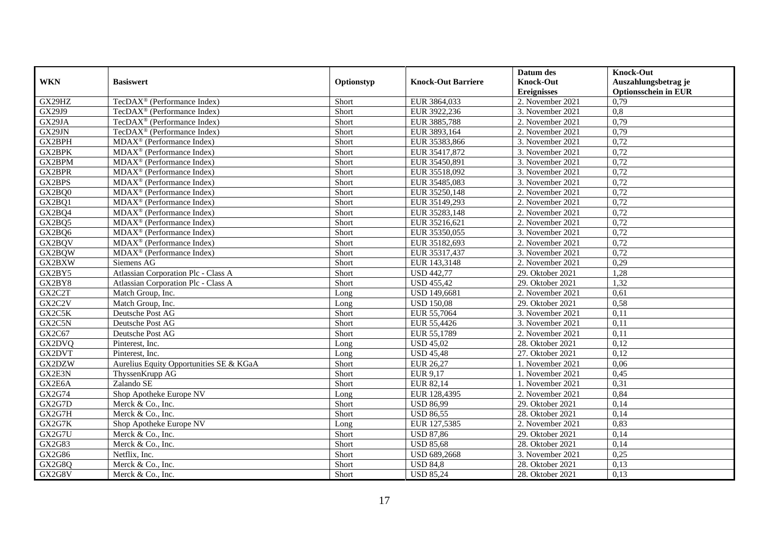|               |                                                            |            |                           | Datum des          | <b>Knock-Out</b>            |
|---------------|------------------------------------------------------------|------------|---------------------------|--------------------|-----------------------------|
| <b>WKN</b>    | <b>Basiswert</b>                                           | Optionstyp | <b>Knock-Out Barriere</b> | <b>Knock-Out</b>   | Auszahlungsbetrag je        |
|               |                                                            |            |                           | <b>Ereignisses</b> | <b>Optionsschein in EUR</b> |
| GX29HZ        | TecDAX <sup>®</sup> (Performance Index)                    | Short      | EUR 3864,033              | 2. November 2021   | 0,79                        |
| GX29J9        | TecDAX <sup>®</sup> (Performance Index)                    | Short      | EUR 3922,236              | 3. November 2021   | $\overline{0,8}$            |
| GX29JA        | TecDAX <sup>®</sup> (Performance Index)                    | Short      | EUR 3885,788              | 2. November 2021   | 0,79                        |
| GX29JN        | TecDAX <sup>®</sup> (Performance Index)                    | Short      | EUR 3893,164              | 2. November 2021   | 0,79                        |
| GX2BPH        | MDAX <sup>®</sup> (Performance Index)                      | Short      | EUR 35383,866             | 3. November 2021   | 0,72                        |
| <b>GX2BPK</b> | $MDAX^{\circledcirc}$ (Performance Index)                  | Short      | EUR 35417,872             | 3. November 2021   | 0,72                        |
| GX2BPM        | $\overline{\text{MD}}$ AX <sup>®</sup> (Performance Index) | Short      | EUR 35450,891             | 3. November 2021   | 0,72                        |
| <b>GX2BPR</b> | $MDAX^{\circledR}$ (Performance Index)                     | Short      | EUR 35518,092             | 3. November 2021   | 0,72                        |
| GX2BPS        | MDAX <sup>®</sup> (Performance Index)                      | Short      | EUR 35485,083             | 3. November 2021   | 0,72                        |
| GX2BQ0        | MDAX <sup>®</sup> (Performance Index)                      | Short      | EUR 35250,148             | 2. November 2021   | 0,72                        |
| GX2BQ1        | $MDAX^{\circledR}$ (Performance Index)                     | Short      | EUR 35149,293             | 2. November 2021   | 0,72                        |
| GX2BQ4        | MDAX <sup>®</sup> (Performance Index)                      | Short      | EUR 35283,148             | 2. November 2021   | 0,72                        |
| GX2BQ5        | $MDAX^{\circledR}$ (Performance Index)                     | Short      | EUR 35216,621             | 2. November 2021   | 0,72                        |
| GX2BQ6        | $MDAX^{\circledR}$ (Performance Index)                     | Short      | EUR 35350,055             | 3. November 2021   | 0,72                        |
| GX2BQV        | MDAX <sup>®</sup> (Performance Index)                      | Short      | EUR 35182,693             | 2. November 2021   | 0,72                        |
| GX2BQW        | MDAX <sup>®</sup> (Performance Index)                      | Short      | EUR 35317,437             | 3. November 2021   | 0,72                        |
| GX2BXW        | Siemens AG                                                 | Short      | EUR 143,3148              | 2. November 2021   | 0,29                        |
| GX2BY5        | Atlassian Corporation Plc - Class A                        | Short      | <b>USD 442,77</b>         | 29. Oktober 2021   | 1,28                        |
| GX2BY8        | Atlassian Corporation Plc - Class A                        | Short      | <b>USD 455,42</b>         | 29. Oktober 2021   | 1,32                        |
| GX2C2T        | Match Group, Inc.                                          | Long       | USD 149,6681              | 2. November 2021   | 0,61                        |
| GX2C2V        | Match Group, Inc.                                          | Long       | <b>USD 150,08</b>         | 29. Oktober 2021   | 0,58                        |
| GX2C5K        | Deutsche Post AG                                           | Short      | EUR 55,7064               | 3. November 2021   | 0,11                        |
| GX2C5N        | Deutsche Post AG                                           | Short      | EUR 55,4426               | 3. November 2021   | 0,11                        |
| GX2C67        | Deutsche Post AG                                           | Short      | EUR 55,1789               | 2. November 2021   | 0,11                        |
| GX2DVQ        | Pinterest, Inc.                                            | Long       | <b>USD 45,02</b>          | 28. Oktober 2021   | 0,12                        |
| GX2DVT        | Pinterest, Inc.                                            | Long       | <b>USD 45,48</b>          | 27. Oktober 2021   | 0,12                        |
| GX2DZW        | Aurelius Equity Opportunities SE & KGaA                    | Short      | EUR 26,27                 | 1. November 2021   | 0,06                        |
| GX2E3N        | ThyssenKrupp AG                                            | Short      | EUR 9,17                  | 1. November 2021   | 0,45                        |
| GX2E6A        | Zalando SE                                                 | Short      | EUR 82,14                 | 1. November 2021   | 0,31                        |
| GX2G74        | Shop Apotheke Europe NV                                    | Long       | EUR 128,4395              | 2. November 2021   | 0,84                        |
| GX2G7D        | Merck & Co., Inc.                                          | Short      | <b>USD 86,99</b>          | 29. Oktober 2021   | 0,14                        |
| GX2G7H        | Merck & Co., Inc.                                          | Short      | <b>USD 86,55</b>          | 28. Oktober 2021   | 0,14                        |
| GX2G7K        | Shop Apotheke Europe NV                                    | Long       | EUR 127,5385              | 2. November 2021   | 0,83                        |
| GX2G7U        | Merck & Co., Inc.                                          | Short      | <b>USD 87,86</b>          | 29. Oktober 2021   | 0,14                        |
| GX2G83        | Merck & Co., Inc.                                          | Short      | <b>USD 85,68</b>          | 28. Oktober 2021   | 0,14                        |
| GX2G86        | Netflix, Inc.                                              | Short      | USD 689,2668              | 3. November 2021   | 0,25                        |
| GX2G8Q        | Merck & Co., Inc.                                          | Short      | <b>USD 84,8</b>           | 28. Oktober 2021   | 0,13                        |
| GX2G8V        | Merck & Co., Inc.                                          | Short      | <b>USD 85,24</b>          | 28. Oktober 2021   | 0,13                        |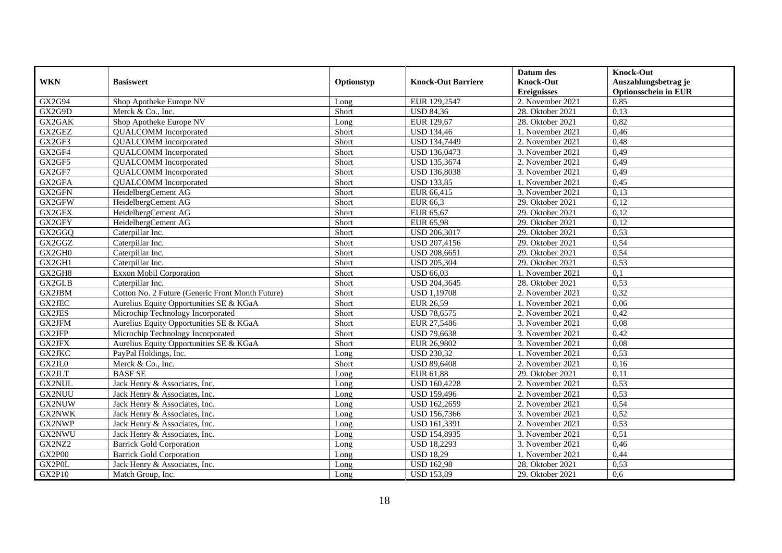|               |                                                  |            |                           | Datum des          | <b>Knock-Out</b>            |
|---------------|--------------------------------------------------|------------|---------------------------|--------------------|-----------------------------|
| <b>WKN</b>    | <b>Basiswert</b>                                 | Optionstyp | <b>Knock-Out Barriere</b> | <b>Knock-Out</b>   | Auszahlungsbetrag je        |
|               |                                                  |            |                           | <b>Ereignisses</b> | <b>Optionsschein in EUR</b> |
| GX2G94        | Shop Apotheke Europe NV                          | Long       | EUR 129,2547              | 2. November 2021   | 0,85                        |
| GX2G9D        | Merck & Co., Inc.                                | Short      | <b>USD 84,36</b>          | 28. Oktober 2021   | 0,13                        |
| GX2GAK        | Shop Apotheke Europe NV                          | Long       | EUR 129,67                | 28. Oktober 2021   | 0,82                        |
| GX2GEZ        | <b>QUALCOMM</b> Incorporated                     | Short      | <b>USD 134,46</b>         | 1. November 2021   | 0,46                        |
| GX2GF3        | <b>QUALCOMM</b> Incorporated                     | Short      | USD 134,7449              | 2. November 2021   | 0,48                        |
| GX2GF4        | <b>QUALCOMM</b> Incorporated                     | Short      | <b>USD 136,0473</b>       | 3. November 2021   | 0,49                        |
| GX2GF5        | <b>QUALCOMM</b> Incorporated                     | Short      | USD 135,3674              | 2. November 2021   | 0,49                        |
| GX2GF7        | <b>QUALCOMM</b> Incorporated                     | Short      | <b>USD 136,8038</b>       | 3. November 2021   | 0,49                        |
| GX2GFA        | <b>QUALCOMM</b> Incorporated                     | Short      | <b>USD 133,85</b>         | 1. November 2021   | 0,45                        |
| GX2GFN        | HeidelbergCement AG                              | Short      | EUR 66,415                | 3. November 2021   | 0,13                        |
| GX2GFW        | HeidelbergCement AG                              | Short      | EUR 66,3                  | 29. Oktober 2021   | 0,12                        |
| GX2GFX        | HeidelbergCement AG                              | Short      | EUR 65,67                 | 29. Oktober 2021   | 0,12                        |
| GX2GFY        | HeidelbergCement AG                              | Short      | <b>EUR 65,98</b>          | 29. Oktober 2021   | 0,12                        |
| GX2GGQ        | Caterpillar Inc.                                 | Short      | <b>USD 206.3017</b>       | 29. Oktober 2021   | 0,53                        |
| GX2GGZ        | Caterpillar Inc.                                 | Short      | USD 207,4156              | 29. Oktober 2021   | 0,54                        |
| GX2GH0        | Caterpillar Inc.                                 | Short      | USD 208,6651              | 29. Oktober 2021   | 0,54                        |
| GX2GH1        | Caterpillar Inc.                                 | Short      | <b>USD 205,304</b>        | 29. Oktober 2021   | 0,53                        |
| GX2GH8        | Exxon Mobil Corporation                          | Short      | <b>USD 66,03</b>          | 1. November 2021   | 0,1                         |
| GX2GLB        | Caterpillar Inc.                                 | Short      | USD 204,3645              | 28. Oktober 2021   | 0,53                        |
| GX2JBM        | Cotton No. 2 Future (Generic Front Month Future) | Short      | <b>USD 1,19708</b>        | 2. November 2021   | 0,32                        |
| GX2JEC        | Aurelius Equity Opportunities SE & KGaA          | Short      | <b>EUR 26,59</b>          | 1. November 2021   | 0,06                        |
| GX2JES        | Microchip Technology Incorporated                | Short      | <b>USD 78,6575</b>        | 2. November 2021   | 0,42                        |
| GX2JFM        | Aurelius Equity Opportunities SE & KGaA          | Short      | EUR 27,5486               | 3. November 2021   | 0,08                        |
| GX2JFP        | Microchip Technology Incorporated                | Short      | <b>USD 79,6638</b>        | 3. November 2021   | 0,42                        |
| GX2JFX        | Aurelius Equity Opportunities SE & KGaA          | Short      | EUR 26,9802               | 3. November 2021   | 0,08                        |
| GX2JKC        | PayPal Holdings, Inc.                            | Long       | <b>USD 230,32</b>         | 1. November 2021   | 0,53                        |
| GX2JL0        | Merck & Co., Inc.                                | Short      | <b>USD 89,6408</b>        | 2. November 2021   | 0,16                        |
| GX2JLT        | <b>BASF SE</b>                                   | Long       | EUR 61,88                 | 29. Oktober 2021   | 0,11                        |
| <b>GX2NUL</b> | Jack Henry & Associates, Inc.                    | Long       | <b>USD 160,4228</b>       | 2. November 2021   | 0,53                        |
| <b>GX2NUU</b> | Jack Henry & Associates, Inc.                    | Long       | <b>USD 159,496</b>        | 2. November 2021   | 0,53                        |
| GX2NUW        | Jack Henry & Associates, Inc.                    | Long       | USD 162,2659              | 2. November 2021   | 0,54                        |
| <b>GX2NWK</b> | Jack Henry & Associates, Inc.                    | Long       | <b>USD 156,7366</b>       | 3. November 2021   | 0,52                        |
| GX2NWP        | Jack Henry & Associates, Inc.                    | Long       | USD 161,3391              | 2. November 2021   | 0,53                        |
| GX2NWU        | Jack Henry & Associates, Inc.                    | Long       | USD 154,8935              | 3. November 2021   | 0,51                        |
| GX2NZ2        | <b>Barrick Gold Corporation</b>                  | Long       | <b>USD 18,2293</b>        | 3. November 2021   | 0,46                        |
| GX2P00        | <b>Barrick Gold Corporation</b>                  | Long       | <b>USD 18,29</b>          | 1. November 2021   | 0,44                        |
| GX2P0L        | Jack Henry & Associates, Inc.                    | Long       | <b>USD 162,98</b>         | 28. Oktober 2021   | 0,53                        |
| <b>GX2P10</b> | Match Group, Inc.                                | Long       | <b>USD 153,89</b>         | 29. Oktober 2021   | 0,6                         |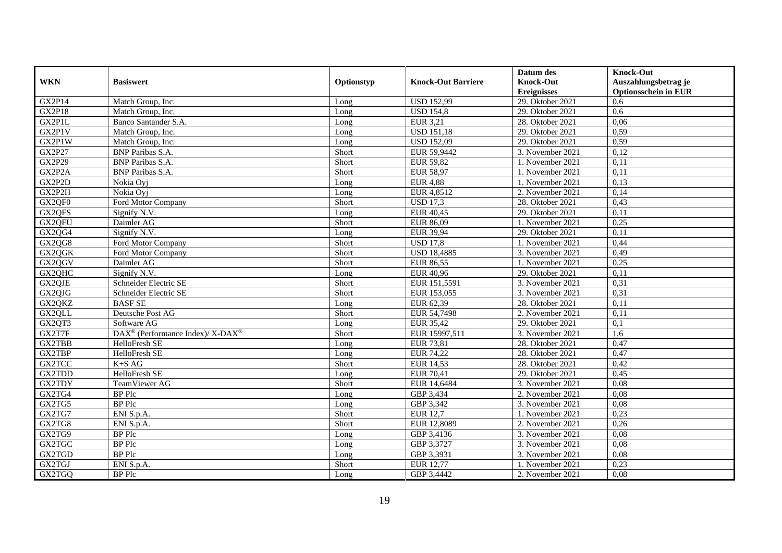|               |                                                          |            |                           | Datum des          | <b>Knock-Out</b>            |
|---------------|----------------------------------------------------------|------------|---------------------------|--------------------|-----------------------------|
| <b>WKN</b>    | <b>Basiswert</b>                                         | Optionstyp | <b>Knock-Out Barriere</b> | <b>Knock-Out</b>   | Auszahlungsbetrag je        |
|               |                                                          |            |                           | <b>Ereignisses</b> | <b>Optionsschein in EUR</b> |
| <b>GX2P14</b> | Match Group, Inc.                                        | Long       | <b>USD 152,99</b>         | 29. Oktober 2021   | 0.6                         |
| GX2P18        | Match Group, Inc.                                        | Long       | <b>USD 154,8</b>          | 29. Oktober 2021   | 0.6                         |
| GX2P1L        | Banco Santander S.A.                                     | Long       | <b>EUR 3,21</b>           | 28. Oktober 2021   | 0,06                        |
| GX2P1V        | Match Group, Inc.                                        | Long       | <b>USD 151,18</b>         | 29. Oktober 2021   | 0,59                        |
| GX2P1W        | Match Group, Inc.                                        | Long       | <b>USD 152,09</b>         | 29. Oktober 2021   | 0,59                        |
| <b>GX2P27</b> | <b>BNP</b> Paribas S.A.                                  | Short      | EUR 59,9442               | 3. November 2021   | 0,12                        |
| <b>GX2P29</b> | <b>BNP</b> Paribas S.A.                                  | Short      | <b>EUR 59,82</b>          | 1. November 2021   | 0,11                        |
| GX2P2A        | BNP Paribas S.A.                                         | Short      | <b>EUR 58,97</b>          | 1. November 2021   | 0,11                        |
| GX2P2D        | Nokia Ovi                                                | Long       | <b>EUR 4,88</b>           | 1. November 2021   | 0,13                        |
| GX2P2H        | Nokia Oyj                                                | Long       | EUR 4,8512                | 2. November 2021   | 0,14                        |
| GX2QF0        | Ford Motor Company                                       | Short      | <b>USD 17,3</b>           | 28. Oktober 2021   | 0,43                        |
| GX2QFS        | Signify N.V.                                             | Long       | <b>EUR 40,45</b>          | 29. Oktober 2021   | 0,11                        |
| GX2QFU        | Daimler AG                                               | Short      | EUR 86,09                 | 1. November 2021   | 0,25                        |
| GX2QG4        | Signify N.V.                                             | Long       | EUR 39,94                 | 29. Oktober 2021   | 0,11                        |
| GX2QG8        | Ford Motor Company                                       | Short      | <b>USD 17,8</b>           | 1. November 2021   | 0,44                        |
| GX2QGK        | Ford Motor Company                                       | Short      | <b>USD 18,4885</b>        | 3. November 2021   | 0,49                        |
| GX2QGV        | Daimler AG                                               | Short      | <b>EUR 86,55</b>          | 1. November 2021   | 0,25                        |
| GX20HC        | Signify N.V.                                             | Long       | <b>EUR 40.96</b>          | 29. Oktober 2021   | 0.11                        |
| GX2QJE        | Schneider Electric SE                                    | Short      | EUR 151,5591              | 3. November 2021   | 0,31                        |
| GX2QJG        | Schneider Electric SE                                    | Short      | EUR 153,055               | 3. November 2021   | 0,31                        |
| GX2QKZ        | <b>BASF SE</b>                                           | Long       | EUR 62,39                 | 28. Oktober 2021   | 0,11                        |
| GX2QLL        | Deutsche Post AG                                         | Short      | EUR 54,7498               | 2. November 2021   | 0,11                        |
| GX2QT3        | Software AG                                              | Long       | <b>EUR 35,42</b>          | 29. Oktober 2021   | 0,1                         |
| GX2T7F        | DAX <sup>®</sup> (Performance Index)/ X-DAX <sup>®</sup> | Short      | EUR 15997,511             | 3. November 2021   | 1,6                         |
| GX2TBB        | HelloFresh SE                                            | Long       | <b>EUR 73,81</b>          | 28. Oktober 2021   | 0,47                        |
| GX2TBP        | HelloFresh SE                                            | Long       | <b>EUR 74,22</b>          | 28. Oktober 2021   | 0,47                        |
| GX2TCC        | $K+S\ AG$                                                | Short      | <b>EUR 14,53</b>          | 28. Oktober 2021   | 0,42                        |
| GX2TDD        | HelloFresh SE                                            | Long       | <b>EUR 70,41</b>          | 29. Oktober 2021   | 0,45                        |
| <b>GX2TDY</b> | TeamViewer AG                                            | Short      | EUR 14,6484               | 3. November 2021   | 0.08                        |
| GX2TG4        | <b>BP</b> Plc                                            | Long       | GBP 3,434                 | 2. November 2021   | 0.08                        |
| GX2TG5        | <b>BP</b> Plc                                            | Long       | GBP 3,342                 | 3. November 2021   | 0,08                        |
| GX2TG7        | ENI S.p.A.                                               | Short      | <b>EUR 12,7</b>           | 1. November 2021   | 0,23                        |
| GX2TG8        | ENI S.p.A.                                               | Short      | EUR 12,8089               | 2. November 2021   | 0,26                        |
| GX2TG9        | <b>BP</b> Plc                                            | Long       | GBP 3,4136                | 3. November 2021   | 0,08                        |
| GX2TGC        | <b>BP</b> Plc                                            | Long       | GBP 3,3727                | 3. November 2021   | 0,08                        |
| GX2TGD        | <b>BP</b> Plc                                            | Long       | GBP 3,3931                | 3. November 2021   | 0,08                        |
| GX2TGJ        | ENI S.p.A.                                               | Short      | <b>EUR 12,77</b>          | 1. November 2021   | 0,23                        |
| GX2TGQ        | <b>BP</b> Plc                                            | Long       | GBP 3,4442                | 2. November 2021   | 0,08                        |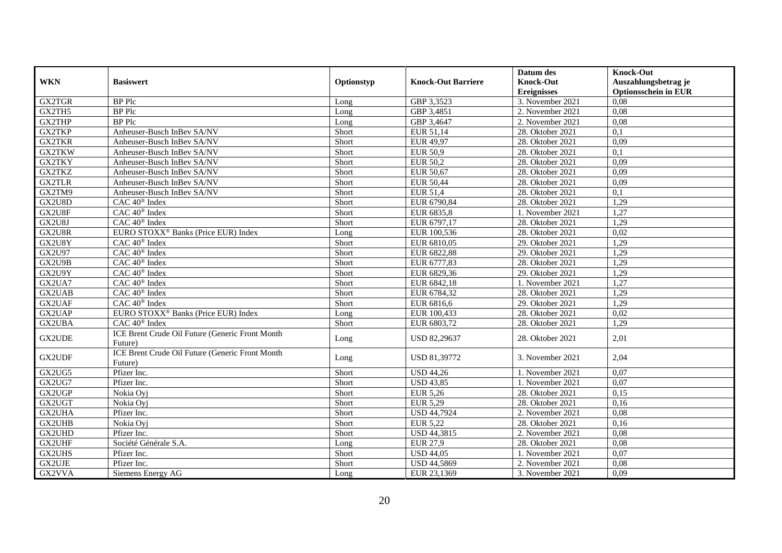|               |                                                            |            |                           | Datum des          | <b>Knock-Out</b>            |
|---------------|------------------------------------------------------------|------------|---------------------------|--------------------|-----------------------------|
| <b>WKN</b>    | <b>Basiswert</b>                                           | Optionstyp | <b>Knock-Out Barriere</b> | <b>Knock-Out</b>   | Auszahlungsbetrag je        |
|               |                                                            |            |                           | <b>Ereignisses</b> | <b>Optionsschein in EUR</b> |
| GX2TGR        | <b>BP</b> Plc                                              | Long       | GBP 3,3523                | 3. November 2021   | 0,08                        |
| GX2TH5        | <b>BP</b> Plc                                              | Long       | GBP 3,4851                | 2. November 2021   | 0,08                        |
| GX2THP        | <b>BP</b> Plc                                              | Long       | GBP 3,4647                | 2. November 2021   | 0.08                        |
| GX2TKP        | Anheuser-Busch InBev SA/NV                                 | Short      | EUR 51,14                 | 28. Oktober 2021   | 0,1                         |
| <b>GX2TKR</b> | Anheuser-Busch InBev SA/NV                                 | Short      | <b>EUR 49,97</b>          | 28. Oktober 2021   | 0,09                        |
| <b>GX2TKW</b> | Anheuser-Busch InBev SA/NV                                 | Short      | <b>EUR 50,9</b>           | 28. Oktober 2021   | 0,1                         |
| <b>GX2TKY</b> | Anheuser-Busch InBev SA/NV                                 | Short      | <b>EUR 50,2</b>           | 28. Oktober 2021   | 0,09                        |
| GX2TKZ        | Anheuser-Busch InBev SA/NV                                 | Short      | <b>EUR 50,67</b>          | 28. Oktober 2021   | 0,09                        |
| <b>GX2TLR</b> | Anheuser-Busch InBev SA/NV                                 | Short      | EUR 50,44                 | 28. Oktober 2021   | 0.09                        |
| GX2TM9        | Anheuser-Busch InBev SA/NV                                 | Short      | <b>EUR 51,4</b>           | 28. Oktober 2021   | 0,1                         |
| GX2U8D        | CAC 40 <sup>®</sup> Index                                  | Short      | EUR 6790,84               | 28. Oktober 2021   | 1,29                        |
| GX2U8F        | CAC 40 <sup>®</sup> Index                                  | Short      | EUR 6835,8                | 1. November 2021   | 1,27                        |
| GX2U8J        | CAC 40 <sup>®</sup> Index                                  | Short      | EUR 6797,17               | 28. Oktober 2021   | 1,29                        |
| GX2U8R        | EURO STOXX <sup>®</sup> Banks (Price EUR) Index            | Long       | EUR 100,536               | 28. Oktober 2021   | 0,02                        |
| GX2U8Y        | $CAC 40^{\circledast}$ Index                               | Short      | EUR 6810,05               | 29. Oktober 2021   | 1,29                        |
| GX2U97        | CAC 40 <sup>®</sup> Index                                  | Short      | EUR 6822,88               | 29. Oktober 2021   | 1,29                        |
| GX2U9B        | CAC 40 <sup>®</sup> Index                                  | Short      | EUR 6777,83               | 28. Oktober 2021   | 1,29                        |
| GX2U9Y        | $\overline{CAC 40^{\circledast} \text{ Index}}$            | Short      | EUR 6829,36               | $29.$ Oktober 2021 | 1,29                        |
| GX2UA7        | CAC 40 <sup>®</sup> Index                                  | Short      | EUR 6842,18               | 1. November 2021   | 1,27                        |
| GX2UAB        | CAC 40 <sup>®</sup> Index                                  | Short      | EUR 6784,32               | 28. Oktober 2021   | 1,29                        |
| GX2UAF        | $CAC 40$ <sup>®</sup> Index                                | Short      | EUR 6816,6                | 29. Oktober 2021   | 1,29                        |
| GX2UAP        | EURO STOXX <sup>®</sup> Banks (Price EUR) Index            | Long       | EUR 100,433               | 28. Oktober 2021   | 0,02                        |
| GX2UBA        | CAC 40 <sup>®</sup> Index                                  | Short      | EUR 6803,72               | 28. Oktober 2021   | 1,29                        |
| GX2UDE        | ICE Brent Crude Oil Future (Generic Front Month<br>Future) | Long       | USD 82,29637              | 28. Oktober 2021   | 2,01                        |
| GX2UDF        | ICE Brent Crude Oil Future (Generic Front Month<br>Future) | Long       | USD 81,39772              | 3. November 2021   | 2,04                        |
| GX2UG5        | Pfizer Inc.                                                | Short      | <b>USD 44,26</b>          | 1. November 2021   | 0,07                        |
| GX2UG7        | Pfizer Inc.                                                | Short      | <b>USD 43,85</b>          | 1. November 2021   | 0.07                        |
| GX2UGP        | Nokia Oyi                                                  | Short      | <b>EUR 5,26</b>           | 28. Oktober 2021   | 0,15                        |
| GX2UGT        | Nokia Ovi                                                  | Short      | <b>EUR 5,29</b>           | 28. Oktober 2021   | 0,16                        |
| GX2UHA        | Pfizer Inc.                                                | Short      | <b>USD 44,7924</b>        | 2. November 2021   | 0,08                        |
| <b>GX2UHB</b> | Nokia Ovi                                                  | Short      | <b>EUR 5,22</b>           | 28. Oktober 2021   | 0,16                        |
| GX2UHD        | Pfizer Inc.                                                | Short      | <b>USD 44,3815</b>        | 2. November 2021   | 0.08                        |
| <b>GX2UHF</b> | Société Générale S.A.                                      | Long       | <b>EUR 27,9</b>           | 28. Oktober 2021   | 0,08                        |
| GX2UHS        | Pfizer Inc.                                                | Short      | <b>USD 44,05</b>          | 1. November 2021   | 0,07                        |
| GX2UJE        | Pfizer Inc.                                                | Short      | <b>USD 44,5869</b>        | 2. November 2021   | 0,08                        |
| GX2VVA        | Siemens Energy AG                                          | Long       | EUR 23,1369               | 3. November 2021   | 0,09                        |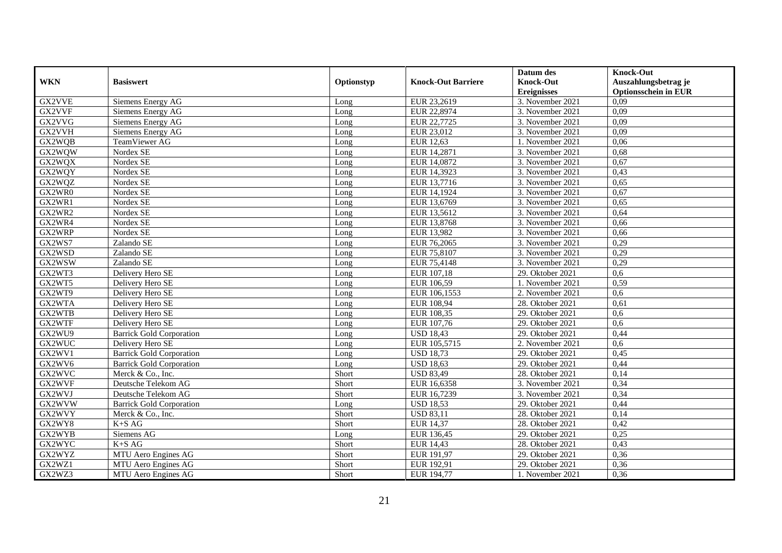|            |                                 |            |                           | Datum des          | <b>Knock-Out</b>            |
|------------|---------------------------------|------------|---------------------------|--------------------|-----------------------------|
| <b>WKN</b> | <b>Basiswert</b>                | Optionstyp | <b>Knock-Out Barriere</b> | <b>Knock-Out</b>   | Auszahlungsbetrag je        |
|            |                                 |            |                           | <b>Ereignisses</b> | <b>Optionsschein in EUR</b> |
| GX2VVE     | Siemens Energy AG               | Long       | EUR 23,2619               | 3. November 2021   | 0,09                        |
| GX2VVF     | Siemens Energy AG               | Long       | EUR 22,8974               | 3. November 2021   | 0,09                        |
| GX2VVG     | Siemens Energy AG               | Long       | EUR 22,7725               | 3. November 2021   | 0,09                        |
| GX2VVH     | Siemens Energy AG               | Long       | EUR 23,012                | 3. November 2021   | 0,09                        |
| GX2WQB     | TeamViewer AG                   | Long       | <b>EUR 12,63</b>          | 1. November 2021   | 0,06                        |
| GX2WQW     | Nordex SE                       | Long       | EUR 14,2871               | 3. November 2021   | 0,68                        |
| GX2WQX     | Nordex SE                       | Long       | EUR 14,0872               | 3. November 2021   | 0,67                        |
| GX2WQY     | Nordex SE                       | Long       | EUR 14,3923               | 3. November 2021   | 0,43                        |
| GX2WQZ     | Nordex SE                       | Long       | EUR 13,7716               | 3. November 2021   | 0,65                        |
| GX2WR0     | Nordex SE                       | Long       | EUR 14,1924               | 3. November 2021   | 0,67                        |
| GX2WR1     | Nordex SE                       | Long       | EUR 13,6769               | 3. November 2021   | 0,65                        |
| GX2WR2     | Nordex SE                       | Long       | EUR 13,5612               | 3. November 2021   | 0,64                        |
| GX2WR4     | Nordex SE                       | Long       | EUR 13,8768               | 3. November 2021   | 0,66                        |
| GX2WRP     | Nordex SE                       | Long       | EUR 13,982                | 3. November 2021   | 0,66                        |
| GX2WS7     | Zalando SE                      | Long       | EUR 76,2065               | 3. November 2021   | 0,29                        |
| GX2WSD     | Zalando SE                      | Long       | EUR 75,8107               | 3. November 2021   | 0,29                        |
| GX2WSW     | Zalando SE                      | Long       | EUR 75,4148               | 3. November 2021   | 0,29                        |
| GX2WT3     | Delivery Hero SE                | Long       | EUR 107,18                | 29. Oktober 2021   | 0.6                         |
| GX2WT5     | Delivery Hero SE                | Long       | EUR 106,59                | 1. November 2021   | 0,59                        |
| GX2WT9     | Delivery Hero SE                | Long       | EUR 106,1553              | 2. November 2021   | 0,6                         |
| GX2WTA     | Delivery Hero SE                | Long       | EUR 108,94                | 28. Oktober 2021   | 0,61                        |
| GX2WTB     | Delivery Hero SE                | Long       | EUR 108,35                | 29. Oktober 2021   | 0.6                         |
| GX2WTF     | Delivery Hero SE                | Long       | EUR 107,76                | 29. Oktober 2021   | 0,6                         |
| GX2WU9     | <b>Barrick Gold Corporation</b> | Long       | <b>USD 18,43</b>          | 29. Oktober 2021   | 0,44                        |
| GX2WUC     | Delivery Hero SE                | Long       | EUR 105,5715              | 2. November 2021   | 0,6                         |
| GX2WV1     | <b>Barrick Gold Corporation</b> | Long       | <b>USD 18,73</b>          | 29. Oktober 2021   | 0,45                        |
| GX2WV6     | <b>Barrick Gold Corporation</b> | Long       | <b>USD 18,63</b>          | 29. Oktober 2021   | 0,44                        |
| GX2WVC     | Merck & Co., Inc.               | Short      | <b>USD 83,49</b>          | 28. Oktober 2021   | 0,14                        |
| GX2WVF     | Deutsche Telekom AG             | Short      | EUR 16,6358               | 3. November 2021   | 0,34                        |
| GX2WVJ     | Deutsche Telekom AG             | Short      | EUR 16,7239               | 3. November 2021   | 0,34                        |
| GX2WVW     | <b>Barrick Gold Corporation</b> | Long       | <b>USD 18,53</b>          | 29. Oktober 2021   | 0,44                        |
| GX2WVY     | Merck & Co., Inc.               | Short      | <b>USD 83,11</b>          | 28. Oktober 2021   | 0,14                        |
| GX2WY8     | $K+SAG$                         | Short      | <b>EUR 14,37</b>          | 28. Oktober 2021   | 0,42                        |
| GX2WYB     | Siemens AG                      | Long       | EUR 136,45                | 29. Oktober 2021   | 0,25                        |
| GX2WYC     | $K+SAG$                         | Short      | EUR 14,43                 | 28. Oktober 2021   | 0,43                        |
| GX2WYZ     | MTU Aero Engines AG             | Short      | EUR 191,97                | 29. Oktober 2021   | 0,36                        |
| GX2WZ1     | MTU Aero Engines AG             | Short      | EUR 192,91                | 29. Oktober 2021   | 0,36                        |
| GX2WZ3     | MTU Aero Engines AG             | Short      | EUR 194,77                | 1. November 2021   | 0,36                        |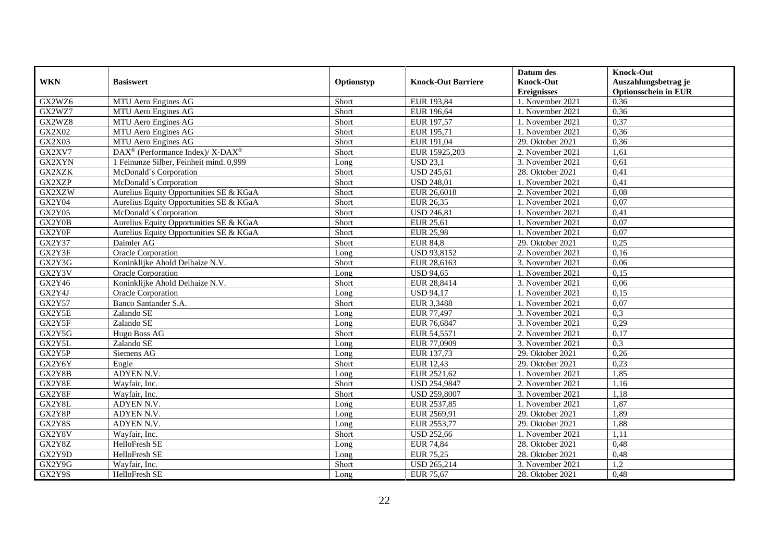|               |                                                          |            |                           | Datum des          | <b>Knock-Out</b>            |
|---------------|----------------------------------------------------------|------------|---------------------------|--------------------|-----------------------------|
| <b>WKN</b>    | <b>Basiswert</b>                                         | Optionstyp | <b>Knock-Out Barriere</b> | <b>Knock-Out</b>   | Auszahlungsbetrag je        |
|               |                                                          |            |                           | <b>Ereignisses</b> | <b>Optionsschein in EUR</b> |
| GX2WZ6        | MTU Aero Engines AG                                      | Short      | EUR 193,84                | 1. November 2021   | 0,36                        |
| GX2WZ7        | MTU Aero Engines AG                                      | Short      | EUR 196,64                | 1. November 2021   | 0,36                        |
| GX2WZ8        | MTU Aero Engines AG                                      | Short      | EUR 197,57                | 1. November 2021   | 0,37                        |
| GX2X02        | MTU Aero Engines AG                                      | Short      | EUR 195,71                | 1. November 2021   | 0,36                        |
| GX2X03        | MTU Aero Engines AG                                      | Short      | EUR 191,04                | 29. Oktober 2021   | 0,36                        |
| GX2XV7        | DAX <sup>®</sup> (Performance Index)/ X-DAX <sup>®</sup> | Short      | EUR 15925,203             | 2. November 2021   | 1,61                        |
| GX2XYN        | 1 Feinunze Silber, Feinheit mind. 0.999                  | Long       | <b>USD 23,1</b>           | 3. November 2021   | 0.61                        |
| GX2XZK        | McDonald's Corporation                                   | Short      | <b>USD 245,61</b>         | 28. Oktober 2021   | 0,41                        |
| GX2XZP        | McDonald's Corporation                                   | Short      | <b>USD 248,01</b>         | 1. November 2021   | 0,41                        |
| GX2XZW        | Aurelius Equity Opportunities SE & KGaA                  | Short      | EUR 26,6018               | 2. November 2021   | 0,08                        |
| <b>GX2Y04</b> | Aurelius Equity Opportunities SE & KGaA                  | Short      | EUR 26,35                 | 1. November 2021   | 0,07                        |
| GX2Y05        | McDonald's Corporation                                   | Short      | <b>USD 246,81</b>         | 1. November 2021   | 0,41                        |
| GX2Y0B        | Aurelius Equity Opportunities SE & KGaA                  | Short      | EUR 25,61                 | 1. November 2021   | 0,07                        |
| GX2Y0F        | Aurelius Equity Opportunities SE & KGaA                  | Short      | <b>EUR 25,98</b>          | 1. November 2021   | 0,07                        |
| GX2Y37        | Daimler AG                                               | Short      | <b>EUR 84,8</b>           | 29. Oktober 2021   | 0,25                        |
| GX2Y3F        | Oracle Corporation                                       | Long       | USD 93,8152               | 2. November 2021   | 0,16                        |
| GX2Y3G        | Koninklijke Ahold Delhaize N.V.                          | Short      | EUR 28,6163               | 3. November 2021   | 0,06                        |
| GX2Y3V        | <b>Oracle Corporation</b>                                | Long       | <b>USD 94,65</b>          | 1. November 2021   | 0,15                        |
| GX2Y46        | Koninklijke Ahold Delhaize N.V.                          | Short      | EUR 28,8414               | 3. November 2021   | 0,06                        |
| GX2Y4J        | Oracle Corporation                                       | Long       | <b>USD 94,17</b>          | 1. November 2021   | 0,15                        |
| <b>GX2Y57</b> | Banco Santander S.A.                                     | Short      | EUR 3,3488                | 1. November 2021   | 0.07                        |
| GX2Y5E        | Zalando SE                                               | Long       | EUR 77,497                | 3. November 2021   | 0,3                         |
| GX2Y5F        | Zalando SE                                               | Long       | EUR 76,6847               | 3. November 2021   | 0,29                        |
| GX2Y5G        | Hugo Boss AG                                             | Short      | EUR 54,5571               | 2. November 2021   | 0,17                        |
| GX2Y5L        | Zalando SE                                               | Long       | EUR 77,0909               | 3. November 2021   | 0,3                         |
| GX2Y5P        | Siemens AG                                               | Long       | EUR 137,73                | 29. Oktober 2021   | 0,26                        |
| GX2Y6Y        | Engie                                                    | Short      | <b>EUR 12,43</b>          | 29. Oktober 2021   | 0,23                        |
| GX2Y8B        | ADYEN N.V.                                               | Long       | EUR 2521,62               | 1. November 2021   | 1,85                        |
| GX2Y8E        | Wayfair, Inc.                                            | Short      | <b>USD 254,9847</b>       | 2. November 2021   | 1,16                        |
| GX2Y8F        | Wayfair, Inc.                                            | Short      | <b>USD 259,8007</b>       | 3. November 2021   | 1,18                        |
| GX2Y8L        | ADYEN N.V.                                               | Long       | EUR 2537,85               | 1. November 2021   | 1,87                        |
| GX2Y8P        | ADYEN N.V.                                               | Long       | EUR 2569,91               | 29. Oktober 2021   | 1,89                        |
| GX2Y8S        | ADYEN N.V.                                               | Long       | EUR 2553,77               | 29. Oktober 2021   | 1,88                        |
| GX2Y8V        | Wayfair, Inc.                                            | Short      | <b>USD 252,66</b>         | 1. November 2021   | 1,11                        |
| GX2Y8Z        | HelloFresh SE                                            | Long       | <b>EUR 74,84</b>          | 28. Oktober 2021   | 0,48                        |
| GX2Y9D        | HelloFresh SE                                            | Long       | <b>EUR 75,25</b>          | 28. Oktober 2021   | 0,48                        |
| GX2Y9G        | Wayfair, Inc.                                            | Short      | <b>USD 265,214</b>        | 3. November 2021   | 1,2                         |
| GX2Y9S        | HelloFresh SE                                            | Long       | <b>EUR 75,67</b>          | 28. Oktober 2021   | 0,48                        |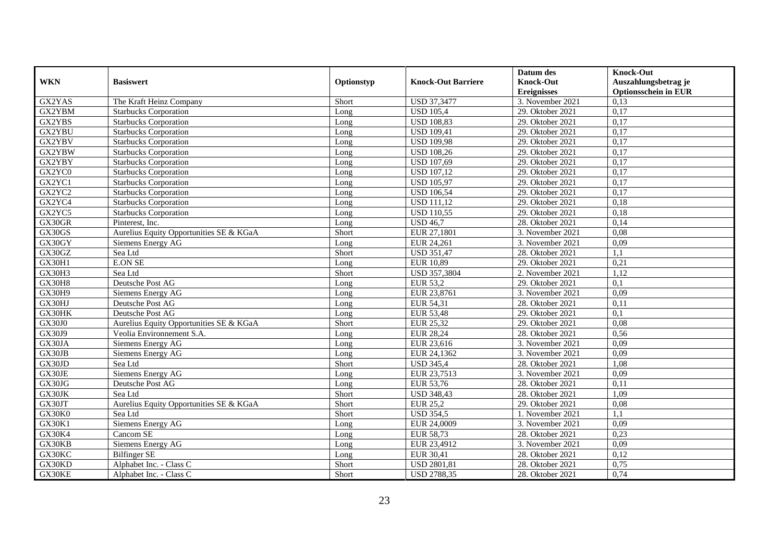|            |                                         |            |                           | Datum des                              | <b>Knock-Out</b>                                    |
|------------|-----------------------------------------|------------|---------------------------|----------------------------------------|-----------------------------------------------------|
| <b>WKN</b> | <b>Basiswert</b>                        | Optionstyp | <b>Knock-Out Barriere</b> | <b>Knock-Out</b><br><b>Ereignisses</b> | Auszahlungsbetrag je<br><b>Optionsschein in EUR</b> |
| GX2YAS     | The Kraft Heinz Company                 | Short      | <b>USD 37,3477</b>        | 3. November 2021                       | 0,13                                                |
| GX2YBM     | <b>Starbucks Corporation</b>            | Long       | <b>USD 105.4</b>          | 29. Oktober 2021                       | 0,17                                                |
| GX2YBS     | <b>Starbucks Corporation</b>            | Long       | <b>USD 108,83</b>         | 29. Oktober 2021                       | 0,17                                                |
| GX2YBU     | <b>Starbucks Corporation</b>            | Long       | <b>USD 109,41</b>         | 29. Oktober 2021                       | 0,17                                                |
| GX2YBV     | <b>Starbucks Corporation</b>            | Long       | <b>USD 109,98</b>         | 29. Oktober 2021                       | 0,17                                                |
| GX2YBW     | <b>Starbucks Corporation</b>            | Long       | <b>USD 108,26</b>         | 29. Oktober 2021                       | 0,17                                                |
| GX2YBY     | <b>Starbucks Corporation</b>            | Long       | <b>USD 107,69</b>         | 29. Oktober 2021                       | 0,17                                                |
| GX2YC0     | <b>Starbucks Corporation</b>            | Long       | <b>USD 107,12</b>         | 29. Oktober 2021                       | 0,17                                                |
| GX2YC1     | <b>Starbucks Corporation</b>            | Long       | <b>USD 105,97</b>         | 29. Oktober 2021                       | 0,17                                                |
| GX2YC2     | <b>Starbucks Corporation</b>            | Long       | <b>USD 106,54</b>         | 29. Oktober 2021                       | 0,17                                                |
| GX2YC4     | <b>Starbucks Corporation</b>            | Long       | <b>USD 111,12</b>         | 29. Oktober 2021                       | 0,18                                                |
| GX2YC5     | <b>Starbucks Corporation</b>            | Long       | <b>USD 110,55</b>         | 29. Oktober 2021                       | 0,18                                                |
| GX30GR     | Pinterest, Inc.                         | Long       | <b>USD 46,7</b>           | 28. Oktober 2021                       | 0,14                                                |
| GX30GS     | Aurelius Equity Opportunities SE & KGaA | Short      | EUR 27,1801               | 3. November 2021                       | 0,08                                                |
| GX30GY     | Siemens Energy AG                       | Long       | EUR 24,261                | 3. November 2021                       | 0,09                                                |
| GX30GZ     | Sea Ltd                                 | Short      | <b>USD 351,47</b>         | 28. Oktober 2021                       | 1,1                                                 |
| GX30H1     | <b>E.ON SE</b>                          | Long       | <b>EUR 10,89</b>          | 29. Oktober 2021                       | 0,21                                                |
| GX30H3     | Sea Ltd                                 | Short      | USD 357,3804              | 2. November 2021                       | 1,12                                                |
| GX30H8     | Deutsche Post AG                        | Long       | <b>EUR 53,2</b>           | 29. Oktober 2021                       | 0,1                                                 |
| GX30H9     | Siemens Energy AG                       | Long       | EUR 23,8761               | 3. November 2021                       | 0,09                                                |
| GX30HJ     | Deutsche Post AG                        | Long       | EUR 54,31                 | 28. Oktober 2021                       | 0,11                                                |
| GX30HK     | Deutsche Post AG                        | Long       | <b>EUR 53,48</b>          | 29. Oktober 2021                       | 0,1                                                 |
| GX30J0     | Aurelius Equity Opportunities SE & KGaA | Short      | <b>EUR 25,32</b>          | 29. Oktober 2021                       | 0,08                                                |
| GX30J9     | Veolia Environnement S.A.               | Long       | <b>EUR 28,24</b>          | 28. Oktober 2021                       | 0,56                                                |
| GX30JA     | Siemens Energy AG                       | Long       | EUR 23,616                | 3. November 2021                       | 0.09                                                |
| GX30JB     | Siemens Energy AG                       | Long       | EUR 24,1362               | 3. November 2021                       | 0,09                                                |
| GX30JD     | Sea Ltd                                 | Short      | <b>USD 345,4</b>          | 28. Oktober 2021                       | 1,08                                                |
| GX30JE     | Siemens Energy AG                       | Long       | EUR 23,7513               | 3. November 2021                       | 0,09                                                |
| GX30JG     | Deutsche Post AG                        | Long       | EUR 53,76                 | 28. Oktober 2021                       | 0,11                                                |
| GX30JK     | Sea Ltd                                 | Short      | <b>USD 348,43</b>         | 28. Oktober 2021                       | 1,09                                                |
| GX30JT     | Aurelius Equity Opportunities SE & KGaA | Short      | <b>EUR 25,2</b>           | 29. Oktober 2021                       | 0,08                                                |
| GX30K0     | Sea Ltd                                 | Short      | <b>USD 354,5</b>          | 1. November 2021                       | 1,1                                                 |
| GX30K1     | <b>Siemens Energy AG</b>                | Long       | EUR 24,0009               | 3. November 2021                       | 0,09                                                |
| GX30K4     | Cancom SE                               | Long       | <b>EUR 58,73</b>          | 28. Oktober 2021                       | 0,23                                                |
| GX30KB     | Siemens Energy AG                       | Long       | EUR 23,4912               | 3. November 2021                       | 0,09                                                |
| GX30KC     | <b>Bilfinger SE</b>                     | Long       | <b>EUR 30,41</b>          | 28. Oktober 2021                       | 0,12                                                |
| GX30KD     | Alphabet Inc. - Class C                 | Short      | <b>USD 2801,81</b>        | 28. Oktober 2021                       | 0,75                                                |
| GX30KE     | Alphabet Inc. - Class C                 | Short      | <b>USD 2788,35</b>        | 28. Oktober 2021                       | 0,74                                                |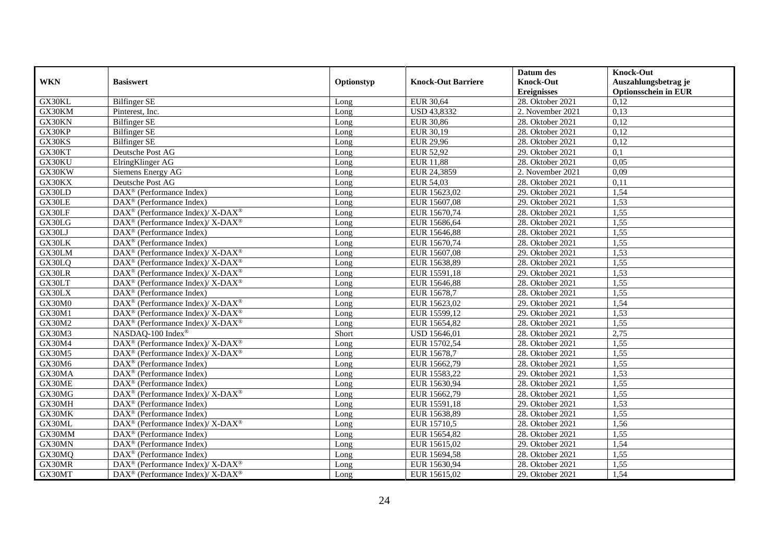|            |                                                                    |            |                           | Datum des          | <b>Knock-Out</b>            |
|------------|--------------------------------------------------------------------|------------|---------------------------|--------------------|-----------------------------|
| <b>WKN</b> | <b>Basiswert</b>                                                   | Optionstyp | <b>Knock-Out Barriere</b> | <b>Knock-Out</b>   | Auszahlungsbetrag je        |
|            |                                                                    |            |                           | <b>Ereignisses</b> | <b>Optionsschein in EUR</b> |
| GX30KL     | <b>Bilfinger SE</b>                                                | Long       | <b>EUR 30,64</b>          | 28. Oktober 2021   | 0,12                        |
| GX30KM     | Pinterest, Inc.                                                    | Long       | <b>USD 43,8332</b>        | 2. November 2021   | 0,13                        |
| GX30KN     | <b>Bilfinger SE</b>                                                | Long       | <b>EUR 30,86</b>          | 28. Oktober 2021   | 0,12                        |
| GX30KP     | <b>Bilfinger SE</b>                                                | Long       | EUR 30,19                 | 28. Oktober 2021   | 0,12                        |
| GX30KS     | <b>Bilfinger SE</b>                                                | Long       | <b>EUR 29,96</b>          | 28. Oktober 2021   | 0,12                        |
| GX30KT     | Deutsche Post AG                                                   | Long       | <b>EUR 52,92</b>          | 29. Oktober 2021   | $\overline{0,1}$            |
| GX30KU     | ElringKlinger AG                                                   | Long       | <b>EUR 11,88</b>          | 28. Oktober 2021   | 0,05                        |
| GX30KW     | Siemens Energy AG                                                  | Long       | EUR 24,3859               | 2. November 2021   | 0,09                        |
| GX30KX     | Deutsche Post AG                                                   | Long       | <b>EUR 54,03</b>          | 28. Oktober 2021   | 0,11                        |
| GX30LD     | DAX <sup>®</sup> (Performance Index)                               | Long       | EUR 15623,02              | 29. Oktober 2021   | 1,54                        |
| GX30LE     | DAX <sup>®</sup> (Performance Index)                               | Long       | EUR 15607,08              | 29. Oktober 2021   | 1,53                        |
| GX30LF     | $\text{DAX}^{\circledR}$ (Performance Index)/ X-DAX <sup>®</sup>   | Long       | EUR 15670,74              | 28. Oktober 2021   | 1,55                        |
| GX30LG     | $\text{DAX}^{\circledast}$ (Performance Index)/ X-DAX <sup>®</sup> | Long       | EUR 15686,64              | 28. Oktober 2021   | 1,55                        |
| GX30LJ     | $DAX^{\circledR}$ (Performance Index)                              | Long       | EUR 15646,88              | 28. Oktober 2021   | 1,55                        |
| GX30LK     | DAX <sup>®</sup> (Performance Index)                               | Long       | EUR 15670,74              | 28. Oktober 2021   | 1,55                        |
| GX30LM     | DAX <sup>®</sup> (Performance Index)/X-DAX <sup>®</sup>            | Long       | EUR 15607,08              | 29. Oktober 2021   | 1,53                        |
| GX30LQ     | DAX <sup>®</sup> (Performance Index)/ X-DAX <sup>®</sup>           | Long       | EUR 15638,89              | 28. Oktober 2021   | 1,55                        |
| GX30LR     | DAX <sup>®</sup> (Performance Index)/ X-DAX <sup>®</sup>           | Long       | EUR 15591,18              | 29. Oktober 2021   | 1,53                        |
| GX30LT     | $\text{DAX}^{\circledast}$ (Performance Index)/ X-DAX <sup>®</sup> | Long       | EUR 15646,88              | 28. Oktober 2021   | 1,55                        |
| GX30LX     | $\text{DAX}^{\circledast}$ (Performance Index)                     | Long       | EUR 15678,7               | 28. Oktober 2021   | 1,55                        |
| GX30M0     | DAX <sup>®</sup> (Performance Index)/ X-DAX <sup>®</sup>           | Long       | EUR 15623,02              | 29. Oktober 2021   | 1,54                        |
| GX30M1     | $\text{DAX}^{\otimes}$ (Performance Index)/X-DAX <sup>®</sup>      | Long       | EUR 15599,12              | 29. Oktober 2021   | 1,53                        |
| GX30M2     | DAX <sup>®</sup> (Performance Index)/ X-DAX <sup>®</sup>           | Long       | EUR 15654,82              | 28. Oktober 2021   | 1,55                        |
| GX30M3     | NASDAQ-100 Index®                                                  | Short      | USD 15646,01              | 28. Oktober 2021   | 2,75                        |
| GX30M4     | DAX <sup>®</sup> (Performance Index)/ X-DAX <sup>®</sup>           | Long       | EUR 15702,54              | 28. Oktober 2021   | 1,55                        |
| GX30M5     | $\text{DAX}^{\circledast}$ (Performance Index)/ X-DAX <sup>®</sup> | Long       | EUR 15678,7               | 28. Oktober 2021   | 1,55                        |
| GX30M6     | DAX <sup>®</sup> (Performance Index)                               | Long       | EUR 15662,79              | 28. Oktober 2021   | 1,55                        |
| GX30MA     | $\overline{\text{DAX}^{\otimes}}$ (Performance Index)              | Long       | EUR 15583,22              | 29. Oktober 2021   | 1,53                        |
| GX30ME     | DAX <sup>®</sup> (Performance Index)                               | Long       | EUR 15630,94              | 28. Oktober 2021   | 1,55                        |
| GX30MG     | $DAX^{\circledcirc}$ (Performance Index)/X-DAX <sup>®</sup>        | Long       | EUR 15662,79              | 28. Oktober 2021   | 1,55                        |
| GX30MH     | $\text{DAX}^{\textcircled{D}}$ (Performance Index)                 | Long       | EUR 15591,18              | 29. Oktober 2021   | 1,53                        |
| GX30MK     | $\text{DAX}^{\textcircled{D}}$ (Performance Index)                 | Long       | EUR 15638,89              | 28. Oktober 2021   | 1,55                        |
| GX30ML     | DAX <sup>®</sup> (Performance Index)/ X-DAX <sup>®</sup>           | Long       | EUR 15710,5               | 28. Oktober 2021   | 1,56                        |
| GX30MM     | DAX <sup>®</sup> (Performance Index)                               | Long       | EUR 15654,82              | 28. Oktober 2021   | 1,55                        |
| GX30MN     | DAX <sup>®</sup> (Performance Index)                               | Long       | EUR 15615,02              | 29. Oktober 2021   | 1,54                        |
| GX30MQ     | $\text{DAX}^{\textcircled{n}}$ (Performance Index)                 | Long       | EUR 15694,58              | 28. Oktober 2021   | 1,55                        |
| GX30MR     | DAX <sup>®</sup> (Performance Index)/X-DAX <sup>®</sup>            | Long       | EUR 15630,94              | 28. Oktober 2021   | 1,55                        |
| GX30MT     | $\text{DAX}^{\circledast}$ (Performance Index)/ X-DAX <sup>®</sup> | Long       | EUR 15615,02              | 29. Oktober 2021   | 1,54                        |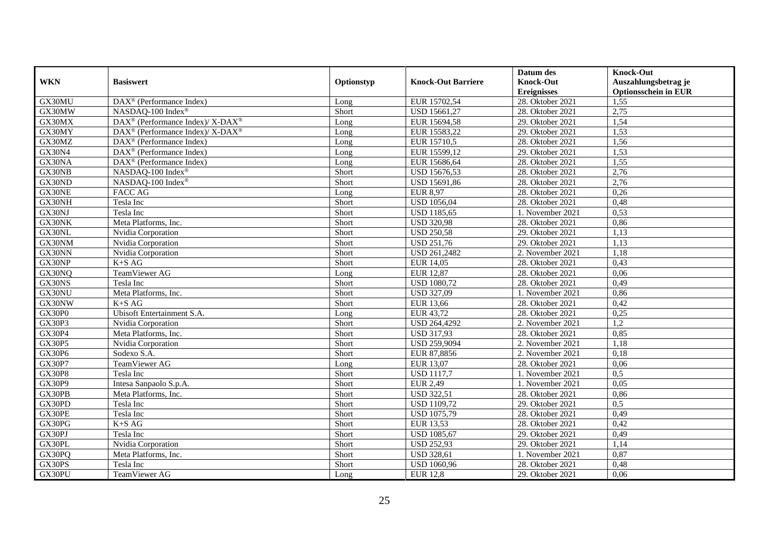|               |                                                                  |            |                           | Datum des          | <b>Knock-Out</b>            |
|---------------|------------------------------------------------------------------|------------|---------------------------|--------------------|-----------------------------|
| <b>WKN</b>    | <b>Basiswert</b>                                                 | Optionstyp | <b>Knock-Out Barriere</b> | <b>Knock-Out</b>   | Auszahlungsbetrag je        |
|               |                                                                  |            |                           | <b>Ereignisses</b> | <b>Optionsschein in EUR</b> |
| GX30MU        | $\overline{\text{DAX}^{\otimes}(\text{Performance Index})}$      | Long       | EUR 15702,54              | 28. Oktober 2021   | 1,55                        |
| GX30MW        | NASDAQ-100 Index®                                                | Short      | USD 15661,27              | 28. Oktober 2021   | 2,75                        |
| GX30MX        | $\text{DAX}^{\circledR}$ (Performance Index)/ X-DAX <sup>®</sup> | Long       | EUR 15694,58              | 29. Oktober 2021   | 1,54                        |
| GX30MY        | $DAX^{\circledcirc}$ (Performance Index)/ X-DAX <sup>®</sup>     | Long       | EUR 15583,22              | 29. Oktober 2021   | 1,53                        |
| GX30MZ        | DAX <sup>®</sup> (Performance Index)                             | Long       | EUR 15710,5               | 28. Oktober 2021   | 1,56                        |
| GX30N4        | DAX <sup>®</sup> (Performance Index)                             | Long       | EUR 15599,12              | 29. Oktober 2021   | 1,53                        |
| GX30NA        | DAX <sup>®</sup> (Performance Index)                             | Long       | EUR 15686,64              | 28. Oktober 2021   | 1,55                        |
| GX30NB        | NASDAQ-100 Index®                                                | Short      | USD 15676,53              | 28. Oktober 2021   | 2,76                        |
| GX30ND        | NASDAQ-100 Index®                                                | Short      | USD 15691,86              | 28. Oktober 2021   | 2,76                        |
| GX30NE        | <b>FACC AG</b>                                                   | Long       | <b>EUR 8,97</b>           | 28. Oktober 2021   | 0,26                        |
| GX30NH        | Tesla Inc                                                        | Short      | <b>USD 1056,04</b>        | 28. Oktober 2021   | 0,48                        |
| GX30NJ        | Tesla Inc                                                        | Short      | <b>USD 1185,65</b>        | 1. November 2021   | 0,53                        |
| GX30NK        | Meta Platforms, Inc.                                             | Short      | <b>USD 320,98</b>         | 28. Oktober 2021   | 0,86                        |
| GX30NL        | Nvidia Corporation                                               | Short      | <b>USD 250,58</b>         | 29. Oktober 2021   | 1,13                        |
| GX30NM        | Nvidia Corporation                                               | Short      | <b>USD 251,76</b>         | 29. Oktober 2021   | 1,13                        |
| GX30NN        | Nvidia Corporation                                               | Short      | USD 261,2482              | 2. November 2021   | 1,18                        |
| GX30NP        | $K+SAG$                                                          | Short      | <b>EUR 14,05</b>          | 28. Oktober 2021   | 0,43                        |
| GX30NQ        | TeamViewer AG                                                    | Long       | <b>EUR 12,87</b>          | 28. Oktober 2021   | 0,06                        |
| GX30NS        | Tesla Inc                                                        | Short      | <b>USD 1080,72</b>        | 28. Oktober 2021   | 0,49                        |
| GX30NU        | Meta Platforms, Inc.                                             | Short      | <b>USD 327,09</b>         | 1. November 2021   | 0,86                        |
| GX30NW        | $K+SAG$                                                          | Short      | <b>EUR 13,66</b>          | 28. Oktober 2021   | 0,42                        |
| GX30P0        | Ubisoft Entertainment S.A.                                       | Long       | EUR 43,72                 | 28. Oktober 2021   | 0,25                        |
| GX30P3        | Nvidia Corporation                                               | Short      | USD 264,4292              | 2. November 2021   | 1,2                         |
| GX30P4        | Meta Platforms, Inc.                                             | Short      | <b>USD 317,93</b>         | 28. Oktober 2021   | 0,85                        |
| <b>GX30P5</b> | Nvidia Corporation                                               | Short      | USD 259,9094              | 2. November 2021   | 1.18                        |
| GX30P6        | Sodexo S.A.                                                      | Short      | EUR 87,8856               | 2. November 2021   | 0,18                        |
| GX30P7        | TeamViewer AG                                                    | Long       | EUR 13,07                 | 28. Oktober 2021   | 0,06                        |
| <b>GX30P8</b> | Tesla Inc                                                        | Short      | <b>USD 1117,7</b>         | 1. November 2021   | 0,5                         |
| GX30P9        | Intesa Sanpaolo S.p.A.                                           | Short      | <b>EUR 2,49</b>           | 1. November 2021   | 0,05                        |
| GX30PB        | Meta Platforms, Inc.                                             | Short      | <b>USD 322,51</b>         | 28. Oktober 2021   | 0,86                        |
| GX30PD        | Tesla Inc                                                        | Short      | <b>USD 1109,72</b>        | 29. Oktober 2021   | 0.5                         |
| GX30PE        | Tesla Inc                                                        | Short      | <b>USD 1075,79</b>        | 28. Oktober 2021   | 0,49                        |
| GX30PG        | $K+SAG$                                                          | Short      | <b>EUR 13,53</b>          | 28. Oktober 2021   | 0,42                        |
| GX30PJ        | Tesla Inc                                                        | Short      | <b>USD</b> 1085,67        | 29. Oktober 2021   | 0,49                        |
| GX30PL        | Nvidia Corporation                                               | Short      | <b>USD 252,93</b>         | 29. Oktober 2021   | 1,14                        |
| GX30PQ        | Meta Platforms, Inc.                                             | Short      | <b>USD 328,61</b>         | 1. November 2021   | 0,87                        |
| GX30PS        | Tesla Inc                                                        | Short      | <b>USD 1060,96</b>        | 28. Oktober 2021   | 0,48                        |
| GX30PU        | TeamViewer AG                                                    | Long       | <b>EUR 12,8</b>           | 29. Oktober 2021   | 0,06                        |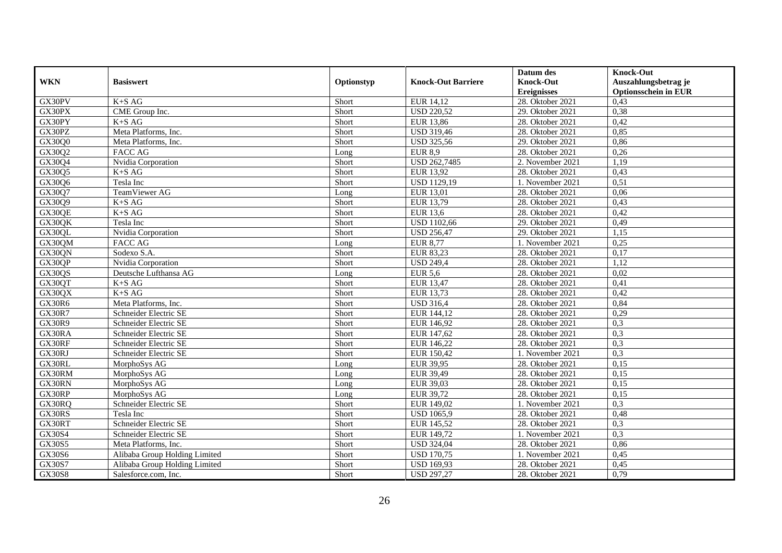|               |                               |            |                           | Datum des          | <b>Knock-Out</b>            |
|---------------|-------------------------------|------------|---------------------------|--------------------|-----------------------------|
| <b>WKN</b>    | <b>Basiswert</b>              | Optionstyp | <b>Knock-Out Barriere</b> | <b>Knock-Out</b>   | Auszahlungsbetrag je        |
|               |                               |            |                           | <b>Ereignisses</b> | <b>Optionsschein in EUR</b> |
| GX30PV        | K+S AG                        | Short      | EUR 14,12                 | 28. Oktober 2021   | 0,43                        |
| GX30PX        | CME Group Inc.                | Short      | <b>USD 220,52</b>         | 29. Oktober 2021   | 0,38                        |
| GX30PY        | $K+SAG$                       | Short      | <b>EUR 13,86</b>          | 28. Oktober 2021   | 0,42                        |
| GX30PZ        | Meta Platforms, Inc.          | Short      | <b>USD 319,46</b>         | 28. Oktober 2021   | 0,85                        |
| GX30Q0        | Meta Platforms, Inc.          | Short      | <b>USD 325,56</b>         | 29. Oktober 2021   | 0,86                        |
| GX30Q2        | <b>FACC AG</b>                | Long       | <b>EUR 8,9</b>            | 28. Oktober 2021   | 0,26                        |
| GX30Q4        | Nvidia Corporation            | Short      | USD 262,7485              | 2. November 2021   | 1,19                        |
| GX30Q5        | $K+SAG$                       | Short      | <b>EUR 13,92</b>          | 28. Oktober 2021   | 0,43                        |
| GX30Q6        | Tesla Inc                     | Short      | <b>USD 1129,19</b>        | 1. November 2021   | 0,51                        |
| GX30Q7        | TeamViewer AG                 | Long       | EUR 13,01                 | 28. Oktober 2021   | 0,06                        |
| GX30Q9        | $K+SAG$                       | Short      | EUR 13,79                 | 28. Oktober 2021   | 0,43                        |
| GX30QE        | $K+SAG$                       | Short      | <b>EUR 13,6</b>           | 28. Oktober 2021   | 0,42                        |
| GX30QK        | Tesla Inc                     | Short      | <b>USD 1102,66</b>        | 29. Oktober 2021   | 0,49                        |
| GX30QL        | Nvidia Corporation            | Short      | <b>USD 256,47</b>         | 29. Oktober 2021   | 1,15                        |
| GX30QM        | <b>FACC AG</b>                | Long       | <b>EUR 8,77</b>           | 1. November 2021   | 0,25                        |
| GX30QN        | Sodexo S.A.                   | Short      | EUR 83,23                 | 28. Oktober 2021   | 0,17                        |
| GX30QP        | Nvidia Corporation            | Short      | <b>USD 249,4</b>          | 28. Oktober 2021   | 1,12                        |
| GX30QS        | Deutsche Lufthansa AG         | Long       | $\overline{EUR}$ 5,6      | 28. Oktober 2021   | 0,02                        |
| GX30QT        | $K+SAG$                       | Short      | <b>EUR 13,47</b>          | 28. Oktober 2021   | 0,41                        |
| GX30QX        | $K+SAG$                       | Short      | EUR 13,73                 | 28. Oktober 2021   | 0,42                        |
| GX30R6        | Meta Platforms, Inc.          | Short      | <b>USD 316,4</b>          | 28. Oktober 2021   | 0,84                        |
| GX30R7        | Schneider Electric SE         | Short      | EUR 144,12                | 28. Oktober 2021   | 0,29                        |
| <b>GX30R9</b> | Schneider Electric SE         | Short      | EUR 146,92                | 28. Oktober 2021   | 0,3                         |
| GX30RA        | Schneider Electric SE         | Short      | EUR 147,62                | 28. Oktober 2021   | 0,3                         |
| GX30RF        | Schneider Electric SE         | Short      | EUR 146,22                | 28. Oktober 2021   | 0,3                         |
| GX30RJ        | Schneider Electric SE         | Short      | EUR 150,42                | 1. November 2021   | 0,3                         |
| GX30RL        | MorphoSys AG                  | Long       | <b>EUR 39,95</b>          | $28.$ Oktober 2021 | 0,15                        |
| GX30RM        | MorphoSys AG                  | Long       | EUR 39,49                 | 28. Oktober 2021   | 0,15                        |
| GX30RN        | MorphoSys AG                  | Long       | EUR 39,03                 | 28. Oktober 2021   | 0,15                        |
| GX30RP        | MorphoSys AG                  | Long       | <b>EUR 39,72</b>          | 28. Oktober 2021   | 0,15                        |
| GX30RQ        | Schneider Electric SE         | Short      | EUR 149,02                | 1. November 2021   | 0,3                         |
| GX30RS        | Tesla Inc                     | Short      | <b>USD 1065,9</b>         | 28. Oktober 2021   | 0,48                        |
| GX30RT        | Schneider Electric SE         | Short      | EUR 145,52                | 28. Oktober 2021   | 0,3                         |
| GX30S4        | Schneider Electric SE         | Short      | EUR 149,72                | 1. November 2021   | 0,3                         |
| GX30S5        | Meta Platforms, Inc.          | Short      | <b>USD 324,04</b>         | 28. Oktober 2021   | 0,86                        |
| GX30S6        | Alibaba Group Holding Limited | Short      | <b>USD 170,75</b>         | 1. November 2021   | 0,45                        |
| GX30S7        | Alibaba Group Holding Limited | Short      | <b>USD 169,93</b>         | 28. Oktober 2021   | 0,45                        |
| <b>GX30S8</b> | Salesforce.com, Inc.          | Short      | <b>USD 297,27</b>         | 28. Oktober 2021   | 0,79                        |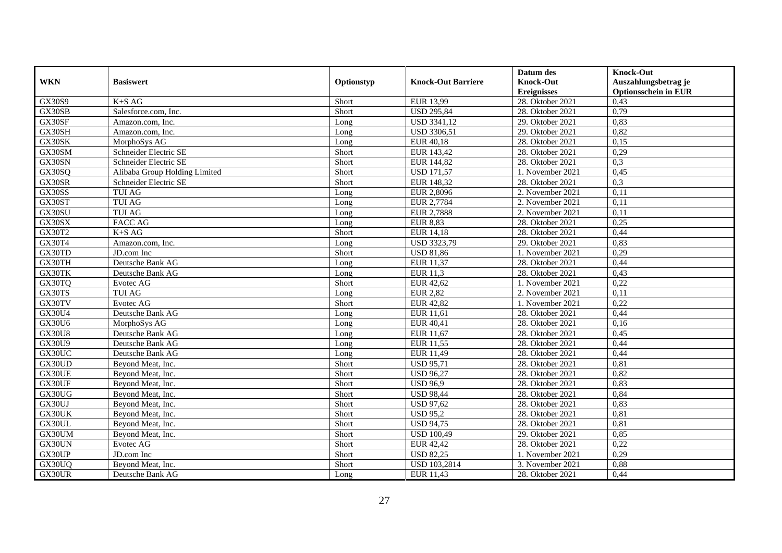|               |                               |            |                           | Datum des          | <b>Knock-Out</b>            |
|---------------|-------------------------------|------------|---------------------------|--------------------|-----------------------------|
| <b>WKN</b>    | <b>Basiswert</b>              | Optionstyp | <b>Knock-Out Barriere</b> | <b>Knock-Out</b>   | Auszahlungsbetrag je        |
|               |                               |            |                           | <b>Ereignisses</b> | <b>Optionsschein in EUR</b> |
| GX30S9        | $K+SAG$                       | Short      | EUR 13,99                 | 28. Oktober 2021   | 0,43                        |
| GX30SB        | Salesforce.com. Inc.          | Short      | <b>USD 295,84</b>         | 28. Oktober 2021   | 0,79                        |
| GX30SF        | Amazon.com. Inc.              | Long       | USD 3341,12               | 29. Oktober 2021   | 0,83                        |
| GX30SH        | Amazon.com, Inc.              | Long       | USD 3306,51               | 29. Oktober 2021   | 0,82                        |
| GX30SK        | MorphoSys AG                  | Long       | <b>EUR 40,18</b>          | 28. Oktober 2021   | 0,15                        |
| GX30SM        | Schneider Electric SE         | Short      | EUR 143,42                | 28. Oktober 2021   | 0,29                        |
| GX30SN        | Schneider Electric SE         | Short      | EUR 144,82                | 28. Oktober 2021   | 0,3                         |
| GX30SQ        | Alibaba Group Holding Limited | Short      | <b>USD 171,57</b>         | 1. November 2021   | 0,45                        |
| GX30SR        | Schneider Electric SE         | Short      | EUR 148,32                | 28. Oktober 2021   | 0,3                         |
| GX30SS        | <b>TUI AG</b>                 | Long       | EUR 2,8096                | 2. November 2021   | 0,11                        |
| GX30ST        | <b>TUI AG</b>                 | Long       | EUR 2,7784                | 2. November 2021   | 0,11                        |
| GX30SU        | <b>TUI AG</b>                 | Long       | <b>EUR 2,7888</b>         | 2. November 2021   | 0,11                        |
| GX30SX        | <b>FACC AG</b>                | Long       | <b>EUR 8,83</b>           | 28. Oktober 2021   | 0,25                        |
| GX30T2        | $K+SAG$                       | Short      | EUR 14,18                 | 28. Oktober 2021   | 0,44                        |
| GX30T4        | Amazon.com, Inc.              | Long       | USD 3323,79               | 29. Oktober 2021   | 0,83                        |
| GX30TD        | JD.com Inc                    | Short      | <b>USD 81,86</b>          | 1. November 2021   | 0,29                        |
| GX30TH        | Deutsche Bank AG              | Long       | EUR 11,37                 | 28. Oktober 2021   | 0,44                        |
| GX30TK        | Deutsche Bank AG              | Long       | <b>EUR 11,3</b>           | 28. Oktober 2021   | 0,43                        |
| GX30TQ        | Evotec AG                     | Short      | <b>EUR 42,62</b>          | 1. November 2021   | 0,22                        |
| GX30TS        | <b>TUI AG</b>                 | Long       | <b>EUR 2,82</b>           | 2. November 2021   | 0,11                        |
| GX30TV        | Evotec AG                     | Short      | <b>EUR 42,82</b>          | 1. November 2021   | 0,22                        |
| GX30U4        | Deutsche Bank AG              | Long       | <b>EUR 11,61</b>          | 28. Oktober 2021   | 0,44                        |
| GX30U6        | MorphoSys AG                  | Long       | EUR 40,41                 | 28. Oktober 2021   | 0,16                        |
| <b>GX30U8</b> | Deutsche Bank AG              | Long       | EUR 11,67                 | 28. Oktober 2021   | 0,45                        |
| GX30U9        | Deutsche Bank AG              | Long       | EUR 11,55                 | 28. Oktober 2021   | 0,44                        |
| GX30UC        | Deutsche Bank AG              | Long       | EUR 11,49                 | 28. Oktober 2021   | 0,44                        |
| GX30UD        | Beyond Meat, Inc.             | Short      | <b>USD 95,71</b>          | 28. Oktober 2021   | 0,81                        |
| GX30UE        | Beyond Meat, Inc.             | Short      | <b>USD 96,27</b>          | 28. Oktober 2021   | 0,82                        |
| GX30UF        | Beyond Meat, Inc.             | Short      | <b>USD 96,9</b>           | 28. Oktober 2021   | 0,83                        |
| GX30UG        | Beyond Meat, Inc.             | Short      | <b>USD 98,44</b>          | 28. Oktober 2021   | 0,84                        |
| GX30UJ        | Beyond Meat, Inc.             | Short      | <b>USD 97,62</b>          | 28. Oktober 2021   | 0,83                        |
| GX30UK        | Beyond Meat, Inc.             | Short      | <b>USD 95,2</b>           | 28. Oktober 2021   | 0,81                        |
| GX30UL        | Beyond Meat, Inc.             | Short      | <b>USD 94,75</b>          | 28. Oktober 2021   | 0,81                        |
| GX30UM        | Beyond Meat, Inc.             | Short      | <b>USD 100,49</b>         | 29. Oktober 2021   | 0,85                        |
| GX30UN        | Evotec AG                     | Short      | EUR 42,42                 | 28. Oktober 2021   | 0,22                        |
| GX30UP        | JD.com Inc                    | Short      | <b>USD 82,25</b>          | 1. November 2021   | 0,29                        |
| GX30UQ        | Beyond Meat, Inc.             | Short      | USD 103,2814              | 3. November 2021   | 0,88                        |
| GX30UR        | Deutsche Bank AG              | Long       | EUR 11,43                 | 28. Oktober 2021   | 0,44                        |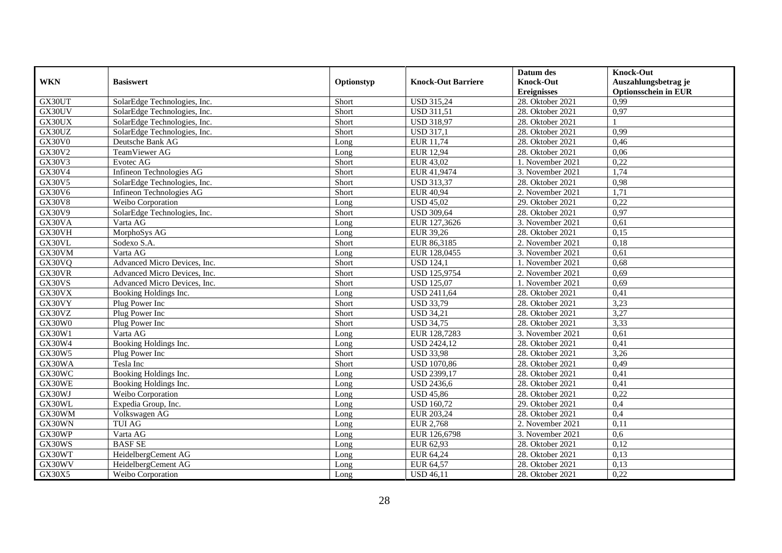|                     |                              |            |                           | Datum des          | <b>Knock-Out</b>            |
|---------------------|------------------------------|------------|---------------------------|--------------------|-----------------------------|
| <b>WKN</b>          | <b>Basiswert</b>             | Optionstyp | <b>Knock-Out Barriere</b> | <b>Knock-Out</b>   | Auszahlungsbetrag je        |
|                     |                              |            |                           | <b>Ereignisses</b> | <b>Optionsschein in EUR</b> |
| GX30UT              | SolarEdge Technologies, Inc. | Short      | <b>USD 315,24</b>         | 28. Oktober 2021   | 0,99                        |
| GX30UV              | SolarEdge Technologies, Inc. | Short      | <b>USD 311,51</b>         | 28. Oktober 2021   | 0,97                        |
| GX30UX              | SolarEdge Technologies, Inc. | Short      | <b>USD 318,97</b>         | 28. Oktober 2021   |                             |
| GX30UZ              | SolarEdge Technologies, Inc. | Short      | <b>USD 317,1</b>          | 28. Oktober 2021   | 0,99                        |
| GX30V0              | Deutsche Bank AG             | Long       | EUR 11,74                 | 28. Oktober 2021   | 0,46                        |
| <b>GX30V2</b>       | TeamViewer AG                | Long       | <b>EUR 12,94</b>          | 28. Oktober 2021   | 0,06                        |
| GX30V3              | Evotec AG                    | Short      | EUR 43,02                 | 1. November 2021   | 0,22                        |
| GX30V4              | Infineon Technologies AG     | Short      | EUR 41,9474               | 3. November 2021   | 1,74                        |
| GX30V5              | SolarEdge Technologies, Inc. | Short      | <b>USD 313,37</b>         | 28. Oktober 2021   | 0,98                        |
| GX30V6              | Infineon Technologies AG     | Short      | <b>EUR 40,94</b>          | 2. November 2021   | 1,71                        |
| <b>GX30V8</b>       | Weibo Corporation            | Long       | <b>USD 45,02</b>          | 29. Oktober 2021   | 0,22                        |
| GX30V9              | SolarEdge Technologies, Inc. | Short      | <b>USD 309,64</b>         | 28. Oktober 2021   | 0,97                        |
| GX30VA              | Varta AG                     | Long       | EUR 127,3626              | 3. November 2021   | 0.61                        |
| GX30VH              | MorphoSys AG                 | Long       | EUR 39,26                 | 28. Oktober 2021   | 0,15                        |
| GX30VL              | Sodexo S.A.                  | Short      | EUR 86,3185               | 2. November 2021   | 0,18                        |
| GX30VM              | Varta AG                     | Long       | EUR 128,0455              | 3. November 2021   | 0,61                        |
| GX30VQ              | Advanced Micro Devices, Inc. | Short      | <b>USD 124,1</b>          | 1. November 2021   | 0.68                        |
| GX30VR              | Advanced Micro Devices, Inc. | Short      | USD 125,9754              | 2. November 2021   | 0,69                        |
| GX30VS              | Advanced Micro Devices, Inc. | Short      | <b>USD 125,07</b>         | 1. November 2021   | 0,69                        |
| GX30VX              | Booking Holdings Inc.        | Long       | <b>USD 2411,64</b>        | 28. Oktober 2021   | 0,41                        |
| GX30VY              | Plug Power Inc               | Short      | <b>USD 33,79</b>          | 28. Oktober 2021   | 3,23                        |
| $G\overline{X30VZ}$ | Plug Power Inc               | Short      | <b>USD 34,21</b>          | 28. Oktober 2021   | 3,27                        |
| GX30W0              | Plug Power Inc               | Short      | <b>USD 34,75</b>          | 28. Oktober 2021   | 3,33                        |
| GX30W1              | Varta AG                     | Long       | EUR 128,7283              | 3. November 2021   | 0,61                        |
| GX30W4              | Booking Holdings Inc.        | Long       | <b>USD 2424,12</b>        | 28. Oktober 2021   | 0,41                        |
| GX30W5              | Plug Power Inc               | Short      | <b>USD 33,98</b>          | 28. Oktober 2021   | 3,26                        |
| GX30WA              | Tesla Inc                    | Short      | <b>USD 1070,86</b>        | 28. Oktober 2021   | 0,49                        |
| GX30WC              | Booking Holdings Inc.        | Long       | <b>USD 2399,17</b>        | 28. Oktober 2021   | 0,41                        |
| GX30WE              | Booking Holdings Inc.        | Long       | <b>USD 2436,6</b>         | 28. Oktober 2021   | 0,41                        |
| GX30WJ              | Weibo Corporation            | Long       | <b>USD 45,86</b>          | 28. Oktober 2021   | 0,22                        |
| GX30WL              | Expedia Group, Inc.          | Long       | <b>USD 160,72</b>         | 29. Oktober 2021   | 0,4                         |
| GX30WM              | Volkswagen AG                | Long       | EUR 203,24                | 28. Oktober 2021   | 0,4                         |
| GX30WN              | <b>TUI AG</b>                | Long       | <b>EUR 2,768</b>          | 2. November 2021   | 0,11                        |
| GX30WP              | Varta AG                     | Long       | EUR 126,6798              | 3. November 2021   | 0.6                         |
| GX30WS              | <b>BASF SE</b>               | Long       | EUR 62,93                 | 28. Oktober 2021   | 0,12                        |
| GX30WT              | HeidelbergCement AG          | Long       | EUR 64,24                 | 28. Oktober 2021   | 0,13                        |
| GX30WV              | HeidelbergCement AG          | Long       | EUR 64,57                 | 28. Oktober 2021   | 0,13                        |
| GX30X5              | Weibo Corporation            | Long       | <b>USD 46,11</b>          | 28. Oktober 2021   | 0,22                        |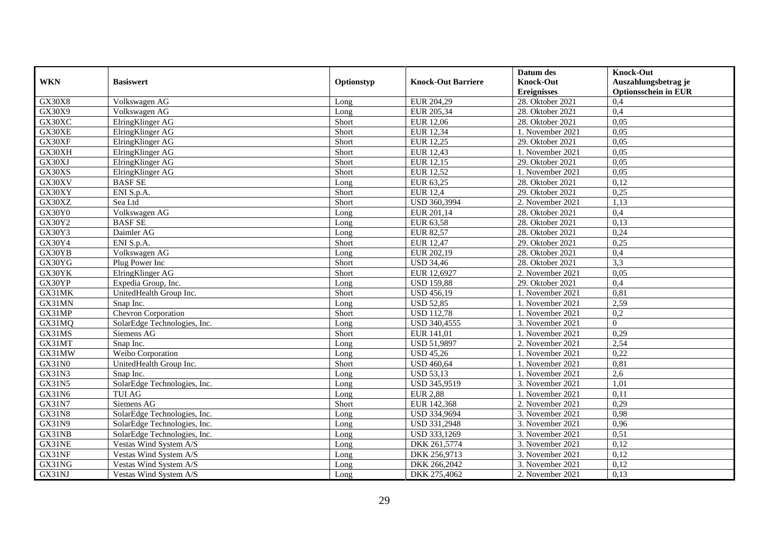|               |                              |            |                           | Datum des          | <b>Knock-Out</b>            |
|---------------|------------------------------|------------|---------------------------|--------------------|-----------------------------|
| <b>WKN</b>    | <b>Basiswert</b>             | Optionstyp | <b>Knock-Out Barriere</b> | <b>Knock-Out</b>   | Auszahlungsbetrag je        |
|               |                              |            |                           | <b>Ereignisses</b> | <b>Optionsschein in EUR</b> |
| <b>GX30X8</b> | Volkswagen AG                | Long       | EUR 204,29                | 28. Oktober 2021   | 0,4                         |
| GX30X9        | Volkswagen AG                | Long       | EUR 205,34                | 28. Oktober 2021   | 0,4                         |
| GX30XC        | ElringKlinger AG             | Short      | <b>EUR 12,06</b>          | 28. Oktober 2021   | 0,05                        |
| GX30XE        | ElringKlinger AG             | Short      | <b>EUR 12,34</b>          | 1. November 2021   | 0,05                        |
| GX30XF        | ElringKlinger AG             | Short      | <b>EUR 12,25</b>          | 29. Oktober 2021   | 0,05                        |
| GX30XH        | ElringKlinger AG             | Short      | <b>EUR 12,43</b>          | 1. November 2021   | 0,05                        |
| GX30XJ        | ElringKlinger AG             | Short      | EUR 12,15                 | 29. Oktober 2021   | 0,05                        |
| GX30XS        | ElringKlinger AG             | Short      | <b>EUR 12,52</b>          | 1. November 2021   | 0,05                        |
| GX30XV        | <b>BASF SE</b>               | Long       | EUR 63,25                 | 28. Oktober 2021   | 0,12                        |
| GX30XY        | ENI S.p.A.                   | Short      | <b>EUR 12,4</b>           | 29. Oktober 2021   | 0,25                        |
| GX30XZ        | Sea Ltd                      | Short      | USD 360,3994              | 2. November 2021   | 1,13                        |
| GX30Y0        | Volkswagen AG                | Long       | EUR 201,14                | 28. Oktober 2021   | 0,4                         |
| GX30Y2        | <b>BASF SE</b>               | Long       | EUR 63,58                 | 28. Oktober 2021   | 0,13                        |
| GX30Y3        | Daimler AG                   | Long       | <b>EUR 82,57</b>          | 28. Oktober 2021   | 0,24                        |
| GX30Y4        | ENI S.p.A.                   | Short      | <b>EUR 12,47</b>          | 29. Oktober 2021   | 0,25                        |
| GX30YB        | Volkswagen AG                | Long       | EUR 202,19                | 28. Oktober 2021   | 0,4                         |
| GX30YG        | Plug Power Inc               | Short      | <b>USD 34,46</b>          | 28. Oktober 2021   | 3,3                         |
| GX30YK        | ElringKlinger AG             | Short      | EUR 12,6927               | 2. November 2021   | 0.05                        |
| GX30YP        | Expedia Group, Inc.          | Long       | <b>USD 159,88</b>         | 29. Oktober 2021   | 0,4                         |
| GX31MK        | UnitedHealth Group Inc.      | Short      | <b>USD 456,19</b>         | 1. November 2021   | 0,81                        |
| GX31MN        | Snap Inc.                    | Long       | <b>USD 52,85</b>          | 1. November 2021   | 2,59                        |
| GX31MP        | <b>Chevron Corporation</b>   | Short      | <b>USD 112,78</b>         | 1. November 2021   | $\overline{0,2}$            |
| GX31MQ        | SolarEdge Technologies, Inc. | Long       | USD 340,4555              | 3. November 2021   | $\Omega$                    |
| GX31MS        | Siemens AG                   | Short      | EUR 141,01                | 1. November 2021   | 0,29                        |
| GX31MT        | Snap Inc.                    | Long       | <b>USD 51,9897</b>        | 2. November 2021   | 2,54                        |
| GX31MW        | Weibo Corporation            | Long       | <b>USD 45,26</b>          | 1. November 2021   | 0,22                        |
| GX31N0        | UnitedHealth Group Inc.      | Short      | <b>USD 460,64</b>         | 1. November 2021   | 0,81                        |
| <b>GX31N3</b> | Snap Inc.                    | Long       | <b>USD 53,13</b>          | 1. November 2021   | 2,6                         |
| <b>GX31N5</b> | SolarEdge Technologies, Inc. | Long       | USD 345,9519              | 3. November 2021   | 1,01                        |
| GX31N6        | <b>TUI AG</b>                | Long       | <b>EUR 2,88</b>           | 1. November 2021   | 0,11                        |
| GX31N7        | Siemens AG                   | Short      | EUR 142,368               | 2. November 2021   | 0,29                        |
| <b>GX31N8</b> | SolarEdge Technologies, Inc. | Long       | USD 334,9694              | 3. November 2021   | 0,98                        |
| GX31N9        | SolarEdge Technologies, Inc. | Long       | USD 331,2948              | 3. November 2021   | 0,96                        |
| GX31NB        | SolarEdge Technologies, Inc. | Long       | USD 333,1269              | 3. November 2021   | 0,51                        |
| GX31NE        | Vestas Wind System A/S       | Long       | DKK 261,5774              | 3. November 2021   | 0,12                        |
| GX31NF        | Vestas Wind System A/S       | Long       | DKK 256,9713              | 3. November 2021   | 0,12                        |
| GX31NG        | Vestas Wind System A/S       | Long       | DKK 266,2042              | 3. November 2021   | 0,12                        |
| GX31NJ        | Vestas Wind System A/S       | Long       | DKK 275,4062              | 2. November 2021   | 0,13                        |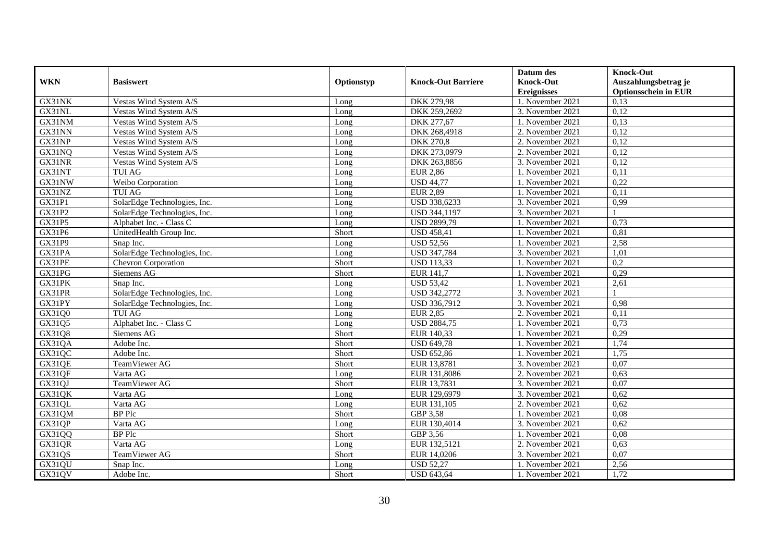|            |                              |            |                           | Datum des          | <b>Knock-Out</b>            |
|------------|------------------------------|------------|---------------------------|--------------------|-----------------------------|
| <b>WKN</b> | <b>Basiswert</b>             | Optionstyp | <b>Knock-Out Barriere</b> | <b>Knock-Out</b>   | Auszahlungsbetrag je        |
|            |                              |            |                           | <b>Ereignisses</b> | <b>Optionsschein in EUR</b> |
| GX31NK     | Vestas Wind System A/S       | Long       | DKK 279,98                | 1. November 2021   | 0,13                        |
| GX31NL     | Vestas Wind System A/S       | Long       | DKK 259,2692              | 3. November 2021   | 0,12                        |
| GX31NM     | Vestas Wind System A/S       | Long       | DKK 277,67                | 1. November 2021   | 0,13                        |
| GX31NN     | Vestas Wind System A/S       | Long       | DKK 268,4918              | 2. November 2021   | 0,12                        |
| GX31NP     | Vestas Wind System A/S       | Long       | <b>DKK 270,8</b>          | 2. November 2021   | 0,12                        |
| GX31NQ     | Vestas Wind System A/S       | Long       | DKK 273,0979              | 2. November 2021   | 0,12                        |
| GX31NR     | Vestas Wind System A/S       | Long       | DKK 263,8856              | 3. November 2021   | 0,12                        |
| GX31NT     | <b>TUI AG</b>                | Long       | <b>EUR 2,86</b>           | 1. November 2021   | 0,11                        |
| GX31NW     | Weibo Corporation            | Long       | <b>USD 44,77</b>          | 1. November 2021   | 0,22                        |
| GX31NZ     | <b>TUI AG</b>                | Long       | <b>EUR 2,89</b>           | 1. November 2021   | 0,11                        |
| GX31P1     | SolarEdge Technologies, Inc. | Long       | USD 338,6233              | 3. November 2021   | 0,99                        |
| GX31P2     | SolarEdge Technologies, Inc. | Long       | USD 344,1197              | 3. November 2021   |                             |
| GX31P5     | Alphabet Inc. - Class C      | Long       | <b>USD 2899,79</b>        | 1. November 2021   | 0,73                        |
| GX31P6     | UnitedHealth Group Inc.      | Short      | <b>USD 458.41</b>         | 1. November 2021   | 0.81                        |
| GX31P9     | Snap Inc.                    | Long       | <b>USD 52,56</b>          | 1. November 2021   | 2,58                        |
| GX31PA     | SolarEdge Technologies, Inc. | Long       | <b>USD 347,784</b>        | 3. November 2021   | 1,01                        |
| GX31PE     | Chevron Corporation          | Short      | <b>USD 113,33</b>         | 1. November 2021   | $\overline{0.2}$            |
| GX31PG     | Siemens AG                   | Short      | EUR 141,7                 | 1. November 2021   | 0,29                        |
| GX31PK     | Snap Inc.                    | Long       | <b>USD 53,42</b>          | 1. November 2021   | 2,61                        |
| GX31PR     | SolarEdge Technologies, Inc. | Long       | USD 342,2772              | 3. November 2021   |                             |
| GX31PY     | SolarEdge Technologies, Inc. | Long       | USD 336,7912              | 3. November 2021   | 0,98                        |
| GX31Q0     | <b>TUI AG</b>                | Long       | <b>EUR 2,85</b>           | 2. November 2021   | 0.11                        |
| GX31Q5     | Alphabet Inc. - Class C      | Long       | <b>USD 2884,75</b>        | 1. November 2021   | 0,73                        |
| GX31Q8     | Siemens AG                   | Short      | EUR 140,33                | 1. November 2021   | 0,29                        |
| GX31QA     | Adobe Inc.                   | Short      | <b>USD 649,78</b>         | 1. November 2021   | 1,74                        |
| GX31QC     | Adobe Inc.                   | Short      | <b>USD 652,86</b>         | 1. November 2021   | 1,75                        |
| GX31QE     | TeamViewer AG                | Short      | EUR 13,8781               | 3. November 2021   | 0,07                        |
| GX31QF     | Varta AG                     | Long       | EUR 131,8086              | 2. November 2021   | 0,63                        |
| GX31QJ     | TeamViewer AG                | Short      | EUR 13,7831               | 3. November 2021   | 0,07                        |
| GX31QK     | Varta AG                     | Long       | EUR 129,6979              | 3. November 2021   | 0,62                        |
| GX31QL     | Varta AG                     | Long       | EUR 131,105               | 2. November 2021   | 0,62                        |
| GX31QM     | <b>BP</b> Plc                | Short      | GBP 3,58                  | 1. November 2021   | 0.08                        |
| GX31QP     | Varta AG                     | Long       | EUR 130,4014              | 3. November 2021   | 0,62                        |
| GX31QQ     | <b>BP</b> Plc                | Short      | GBP 3,56                  | 1. November 2021   | 0,08                        |
| GX31QR     | Varta AG                     | Long       | EUR 132,5121              | 2. November 2021   | 0,63                        |
| GX31QS     | TeamViewer AG                | Short      | EUR 14,0206               | 3. November 2021   | 0,07                        |
| GX31QU     | Snap Inc.                    | Long       | <b>USD 52,27</b>          | 1. November 2021   | 2,56                        |
| GX31QV     | Adobe Inc.                   | Short      | <b>USD 643,64</b>         | 1. November 2021   | 1,72                        |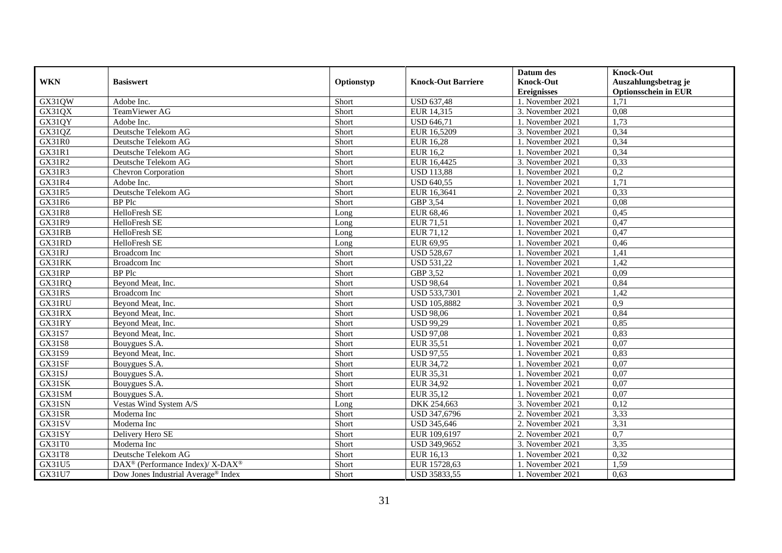|               |                                                         |            |                           | Datum des          | <b>Knock-Out</b>            |
|---------------|---------------------------------------------------------|------------|---------------------------|--------------------|-----------------------------|
| <b>WKN</b>    | <b>Basiswert</b>                                        | Optionstyp | <b>Knock-Out Barriere</b> | <b>Knock-Out</b>   | Auszahlungsbetrag je        |
|               |                                                         |            |                           | <b>Ereignisses</b> | <b>Optionsschein in EUR</b> |
| GX31QW        | Adobe Inc.                                              | Short      | <b>USD 637,48</b>         | 1. November 2021   | 1,71                        |
| GX31QX        | TeamViewer AG                                           | Short      | EUR 14,315                | 3. November 2021   | 0,08                        |
| GX31QY        | Adobe Inc.                                              | Short      | <b>USD 646,71</b>         | 1. November 2021   | 1,73                        |
| GX31QZ        | Deutsche Telekom AG                                     | Short      | EUR 16,5209               | 3. November 2021   | 0,34                        |
| GX31R0        | Deutsche Telekom AG                                     | Short      | <b>EUR 16,28</b>          | 1. November 2021   | 0,34                        |
| GX31R1        | Deutsche Telekom AG                                     | Short      | <b>EUR 16,2</b>           | 1. November 2021   | 0,34                        |
| GX31R2        | Deutsche Telekom AG                                     | Short      | EUR 16,4425               | 3. November 2021   | 0,33                        |
| GX31R3        | Chevron Corporation                                     | Short      | <b>USD 113,88</b>         | 1. November 2021   | 0,2                         |
| GX31R4        | Adobe Inc.                                              | Short      | <b>USD 640,55</b>         | 1. November 2021   | 1,71                        |
| <b>GX31R5</b> | Deutsche Telekom AG                                     | Short      | EUR 16,3641               | 2. November 2021   | 0,33                        |
| GX31R6        | <b>BP</b> Plc                                           | Short      | GBP 3,54                  | 1. November 2021   | 0,08                        |
| <b>GX31R8</b> | HelloFresh SE                                           | Long       | <b>EUR 68,46</b>          | 1. November 2021   | 0,45                        |
| GX31R9        | HelloFresh SE                                           | Long       | EUR 71,51                 | 1. November 2021   | 0,47                        |
| GX31RB        | HelloFresh SE                                           | Long       | EUR 71,12                 | 1. November 2021   | 0,47                        |
| GX31RD        | HelloFresh SE                                           | Long       | EUR 69,95                 | 1. November 2021   | 0,46                        |
| GX31RJ        | Broadcom Inc                                            | Short      | <b>USD 528,67</b>         | 1. November 2021   | 1,41                        |
| GX31RK        | Broadcom Inc                                            | Short      | <b>USD 531,22</b>         | 1. November 2021   | 1,42                        |
| GX31RP        | <b>BP</b> Plc                                           | Short      | GBP 3.52                  | 1. November 2021   | 0,09                        |
| GX31RQ        | Beyond Meat, Inc.                                       | Short      | <b>USD 98,64</b>          | 1. November 2021   | 0,84                        |
| GX31RS        | <b>Broadcom</b> Inc                                     | Short      | <b>USD 533,7301</b>       | 2. November 2021   | 1,42                        |
| GX31RU        | Beyond Meat, Inc.                                       | Short      | <b>USD 105,8882</b>       | 3. November 2021   | $\overline{0.9}$            |
| GX31RX        | Beyond Meat, Inc.                                       | Short      | <b>USD 98,06</b>          | 1. November 2021   | 0,84                        |
| GX31RY        | Beyond Meat, Inc.                                       | Short      | <b>USD 99,29</b>          | 1. November 2021   | 0,85                        |
| GX31S7        | Beyond Meat, Inc.                                       | Short      | <b>USD 97,08</b>          | 1. November 2021   | 0,83                        |
| GX31S8        | Bouygues S.A.                                           | Short      | <b>EUR 35,51</b>          | 1. November 2021   | 0,07                        |
| GX31S9        | Beyond Meat, Inc.                                       | Short      | <b>USD 97,55</b>          | 1. November 2021   | 0,83                        |
| GX31SF        | Bouygues S.A.                                           | Short      | EUR 34,72                 | 1. November 2021   | 0,07                        |
| GX31SJ        | Bouygues S.A.                                           | Short      | EUR 35,31                 | 1. November 2021   | 0,07                        |
| GX31SK        | Bouygues S.A.                                           | Short      | <b>EUR 34,92</b>          | 1. November 2021   | 0.07                        |
| GX31SM        | Bouygues S.A.                                           | Short      | EUR 35,12                 | 1. November 2021   | 0.07                        |
| GX31SN        | Vestas Wind System A/S                                  | Long       | DKK 254,663               | 3. November 2021   | 0,12                        |
| GX31SR        | Moderna Inc                                             | Short      | USD 347,6796              | 2. November 2021   | 3,33                        |
| GX31SV        | Moderna Inc                                             | Short      | <b>USD 345,646</b>        | 2. November 2021   | 3,31                        |
| GX31SY        | Delivery Hero SE                                        | Short      | EUR 109,6197              | 2. November 2021   | $\overline{0,7}$            |
| GX31T0        | Moderna Inc                                             | Short      | USD 349,9652              | 3. November 2021   | 3,35                        |
| GX31T8        | Deutsche Telekom AG                                     | Short      | EUR 16,13                 | 1. November 2021   | 0,32                        |
| GX31U5        | DAX <sup>®</sup> (Performance Index)/X-DAX <sup>®</sup> | Short      | EUR 15728,63              | 1. November 2021   | 1,59                        |
| GX31U7        | Dow Jones Industrial Average <sup>®</sup> Index         | Short      | USD 35833,55              | 1. November 2021   | 0,63                        |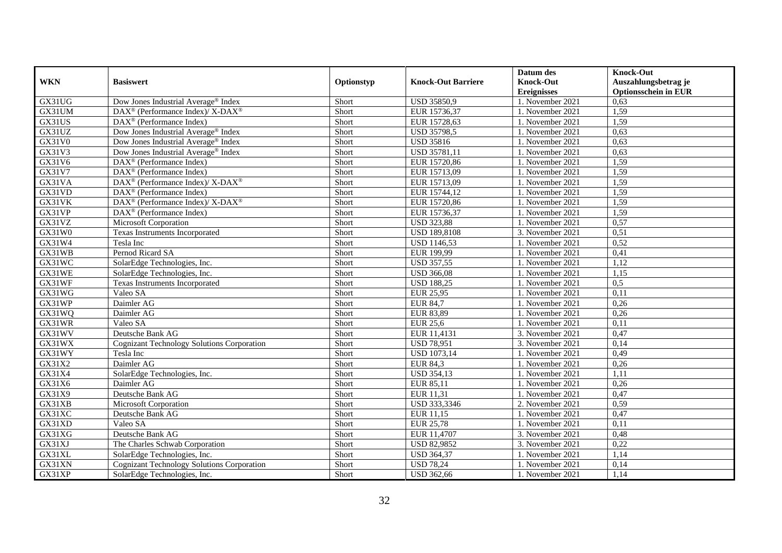|            |                                                                  |            |                           | Datum des          | <b>Knock-Out</b>            |
|------------|------------------------------------------------------------------|------------|---------------------------|--------------------|-----------------------------|
| <b>WKN</b> | <b>Basiswert</b>                                                 | Optionstyp | <b>Knock-Out Barriere</b> | <b>Knock-Out</b>   | Auszahlungsbetrag je        |
|            |                                                                  |            |                           | <b>Ereignisses</b> | <b>Optionsschein in EUR</b> |
| GX31UG     | Dow Jones Industrial Average® Index                              | Short      | USD 35850,9               | 1. November 2021   | 0.63                        |
| GX31UM     | $DAX^{\circledcirc}$ (Performance Index)/X-DAX <sup>®</sup>      | Short      | EUR 15736,37              | 1. November 2021   | 1,59                        |
| GX31US     | $\text{DAX}^{\textcircled{D}}$ (Performance Index)               | Short      | EUR 15728,63              | 1. November 2021   | 1,59                        |
| GX31UZ     | Dow Jones Industrial Average® Index                              | Short      | <b>USD 35798,5</b>        | 1. November 2021   | 0,63                        |
| GX31V0     | Dow Jones Industrial Average® Index                              | Short      | <b>USD 35816</b>          | 1. November 2021   | 0,63                        |
| GX31V3     | Dow Jones Industrial Average® Index                              | Short      | USD 35781,11              | 1. November 2021   | 0,63                        |
| GX31V6     | $\text{DAX}^{\textcircled{D}}$ (Performance Index)               | Short      | EUR 15720,86              | 1. November 2021   | 1,59                        |
| GX31V7     | $\text{DAX}^{\textcircled{D}}$ (Performance Index)               | Short      | EUR 15713,09              | 1. November 2021   | 1,59                        |
| GX31VA     | $\text{DAX}^{\circledR}$ (Performance Index)/ X-DAX <sup>®</sup> | Short      | EUR 15713,09              | 1. November 2021   | 1,59                        |
| GX31VD     | DAX <sup>®</sup> (Performance Index)                             | Short      | EUR 15744,12              | 1. November 2021   | 1,59                        |
| GX31VK     | DAX <sup>®</sup> (Performance Index)/ X-DAX <sup>®</sup>         | Short      | EUR 15720,86              | 1. November 2021   | 1,59                        |
| GX31VP     | DAX <sup>®</sup> (Performance Index)                             | Short      | EUR 15736,37              | 1. November 2021   | 1,59                        |
| GX31VZ     | <b>Microsoft Corporation</b>                                     | Short      | <b>USD 323,88</b>         | 1. November 2021   | 0,57                        |
| GX31W0     | <b>Texas Instruments Incorporated</b>                            | Short      | <b>USD 189,8108</b>       | 3. November 2021   | 0,51                        |
| GX31W4     | Tesla Inc                                                        | Short      | <b>USD 1146,53</b>        | 1. November 2021   | 0,52                        |
| GX31WB     | Pernod Ricard SA                                                 | Short      | EUR 199,99                | 1. November 2021   | 0,41                        |
| GX31WC     | SolarEdge Technologies, Inc.                                     | Short      | <b>USD 357,55</b>         | 1. November 2021   | 1,12                        |
| GX31WE     | SolarEdge Technologies, Inc.                                     | Short      | <b>USD 366,08</b>         | 1. November 2021   | 1,15                        |
| GX31WF     | Texas Instruments Incorporated                                   | Short      | <b>USD 188,25</b>         | 1. November 2021   | 0,5                         |
| GX31WG     | Valeo SA                                                         | Short      | <b>EUR 25,95</b>          | 1. November 2021   | 0,11                        |
| GX31WP     | Daimler AG                                                       | Short      | <b>EUR 84,7</b>           | 1. November 2021   | 0,26                        |
| GX31WQ     | Daimler AG                                                       | Short      | EUR 83,89                 | 1. November 2021   | 0,26                        |
| GX31WR     | Valeo SA                                                         | Short      | <b>EUR 25,6</b>           | 1. November 2021   | 0,11                        |
| GX31WV     | Deutsche Bank AG                                                 | Short      | EUR 11,4131               | 3. November 2021   | 0,47                        |
| GX31WX     | <b>Cognizant Technology Solutions Corporation</b>                | Short      | USD 78,951                | 3. November 2021   | 0,14                        |
| GX31WY     | Tesla Inc                                                        | Short      | <b>USD 1073,14</b>        | 1. November 2021   | 0,49                        |
| GX31X2     | Daimler AG                                                       | Short      | <b>EUR 84,3</b>           | 1. November 2021   | 0,26                        |
| GX31X4     | SolarEdge Technologies, Inc.                                     | Short      | <b>USD 354,13</b>         | 1. November 2021   | 1,11                        |
| GX31X6     | Daimler AG                                                       | Short      | EUR 85,11                 | 1. November 2021   | 0,26                        |
| GX31X9     | Deutsche Bank AG                                                 | Short      | EUR 11,31                 | 1. November 2021   | 0,47                        |
| GX31XB     | Microsoft Corporation                                            | Short      | USD 333,3346              | 2. November 2021   | 0,59                        |
| GX31XC     | Deutsche Bank AG                                                 | Short      | EUR 11,15                 | 1. November 2021   | 0,47                        |
| GX31XD     | Valeo SA                                                         | Short      | <b>EUR 25,78</b>          | 1. November 2021   | 0,11                        |
| GX31XG     | Deutsche Bank AG                                                 | Short      | EUR 11,4707               | 3. November 2021   | 0,48                        |
| GX31XJ     | The Charles Schwab Corporation                                   | Short      | <b>USD 82,9852</b>        | 3. November 2021   | 0,22                        |
| GX31XL     | SolarEdge Technologies, Inc.                                     | Short      | <b>USD 364,37</b>         | 1. November 2021   | 1,14                        |
| GX31XN     | <b>Cognizant Technology Solutions Corporation</b>                | Short      | <b>USD 78,24</b>          | 1. November 2021   | 0,14                        |
| GX31XP     | SolarEdge Technologies, Inc.                                     | Short      | <b>USD 362,66</b>         | 1. November 2021   | 1,14                        |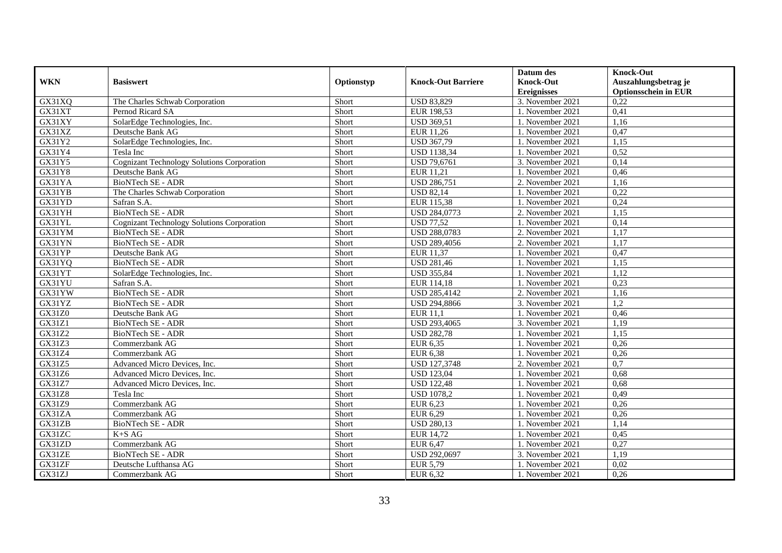|               |                                                   |            |                           | Datum des          | <b>Knock-Out</b>            |
|---------------|---------------------------------------------------|------------|---------------------------|--------------------|-----------------------------|
| <b>WKN</b>    | <b>Basiswert</b>                                  | Optionstyp | <b>Knock-Out Barriere</b> | <b>Knock-Out</b>   | Auszahlungsbetrag je        |
|               |                                                   |            |                           | <b>Ereignisses</b> | <b>Optionsschein in EUR</b> |
| GX31XQ        | The Charles Schwab Corporation                    | Short      | <b>USD 83,829</b>         | 3. November 2021   | 0,22                        |
| GX31XT        | Pernod Ricard SA                                  | Short      | EUR 198,53                | 1. November 2021   | 0,41                        |
| GX31XY        | SolarEdge Technologies, Inc.                      | Short      | <b>USD 369,51</b>         | 1. November 2021   | 1,16                        |
| GX31XZ        | Deutsche Bank AG                                  | Short      | EUR 11,26                 | 1. November 2021   | 0,47                        |
| GX31Y2        | SolarEdge Technologies, Inc.                      | Short      | <b>USD 367,79</b>         | 1. November 2021   | 1,15                        |
| GX31Y4        | Tesla Inc                                         | Short      | <b>USD 1138,34</b>        | 1. November 2021   | 0,52                        |
| GX31Y5        | <b>Cognizant Technology Solutions Corporation</b> | Short      | USD 79,6761               | 3. November 2021   | 0,14                        |
| GX31Y8        | Deutsche Bank AG                                  | Short      | EUR 11,21                 | 1. November 2021   | 0,46                        |
| GX31YA        | <b>BioNTech SE - ADR</b>                          | Short      | <b>USD 286,751</b>        | 2. November 2021   | 1,16                        |
| GX31YB        | The Charles Schwab Corporation                    | Short      | <b>USD 82,14</b>          | 1. November 2021   | 0,22                        |
| GX31YD        | Safran S.A.                                       | Short      | <b>EUR 115,38</b>         | 1. November 2021   | 0,24                        |
| GX31YH        | <b>BioNTech SE - ADR</b>                          | Short      | USD 284,0773              | 2. November 2021   | 1,15                        |
| GX31YL        | <b>Cognizant Technology Solutions Corporation</b> | Short      | <b>USD 77,52</b>          | 1. November 2021   | 0,14                        |
| GX31YM        | BioNTech SE - ADR                                 | Short      | <b>USD 288,0783</b>       | 2. November 2021   | 1,17                        |
| GX31YN        | BioNTech SE - ADR                                 | Short      | USD 289,4056              | 2. November 2021   | 1,17                        |
| GX31YP        | Deutsche Bank AG                                  | Short      | EUR 11,37                 | 1. November 2021   | 0,47                        |
| GX31YQ        | BioNTech SE - ADR                                 | Short      | <b>USD 281,46</b>         | 1. November 2021   | 1,15                        |
| GX31YT        | SolarEdge Technologies, Inc.                      | Short      | <b>USD 355,84</b>         | 1. November 2021   | 1.12                        |
| GX31YU        | Safran S.A.                                       | Short      | EUR 114,18                | 1. November 2021   | 0,23                        |
| GX31YW        | <b>BioNTech SE - ADR</b>                          | Short      | USD 285,4142              | 2. November 2021   | 1,16                        |
| GX31YZ        | <b>BioNTech SE - ADR</b>                          | Short      | <b>USD 294,8866</b>       | 3. November 2021   | 1,2                         |
| GX31Z0        | Deutsche Bank AG                                  | Short      | <b>EUR 11,1</b>           | 1. November 2021   | 0,46                        |
| GX31Z1        | BioNTech SE - ADR                                 | Short      | USD 293,4065              | 3. November 2021   | 1,19                        |
| GX31Z2        | BioNTech SE - ADR                                 | Short      | <b>USD 282,78</b>         | 1. November 2021   | 1,15                        |
| GX31Z3        | Commerzbank AG                                    | Short      | EUR 6,35                  | 1. November 2021   | 0,26                        |
| GX31Z4        | Commerzbank AG                                    | Short      | <b>EUR 6,38</b>           | 1. November 2021   | 0,26                        |
| GX31Z5        | Advanced Micro Devices, Inc.                      | Short      | <b>USD 127,3748</b>       | 2. November 2021   | $\overline{0,7}$            |
| GX31Z6        | Advanced Micro Devices, Inc.                      | Short      | <b>USD 123,04</b>         | 1. November 2021   | 0.68                        |
| GX31Z7        | Advanced Micro Devices, Inc.                      | Short      | <b>USD 122,48</b>         | 1. November 2021   | 0.68                        |
| <b>GX31Z8</b> | Tesla Inc                                         | Short      | <b>USD 1078,2</b>         | 1. November 2021   | 0,49                        |
| GX31Z9        | Commerzbank AG                                    | Short      | EUR 6,23                  | 1. November 2021   | 0,26                        |
| GX31ZA        | Commerzbank AG                                    | Short      | EUR 6,29                  | 1. November 2021   | 0,26                        |
| GX31ZB        | BioNTech SE - ADR                                 | Short      | <b>USD 280,13</b>         | 1. November 2021   | 1,14                        |
| GX31ZC        | $K+SAG$                                           | Short      | <b>EUR 14,72</b>          | 1. November 2021   | 0,45                        |
| GX31ZD        | Commerzbank AG                                    | Short      | EUR 6,47                  | 1. November 2021   | 0,27                        |
| GX31ZE        | BioNTech SE - ADR                                 | Short      | USD 292,0697              | 3. November 2021   | 1,19                        |
| GX31ZF        | Deutsche Lufthansa AG                             | Short      | EUR 5,79                  | 1. November 2021   | 0,02                        |
| GX31ZJ        | Commerzbank AG                                    | Short      | EUR 6,32                  | 1. November 2021   | 0,26                        |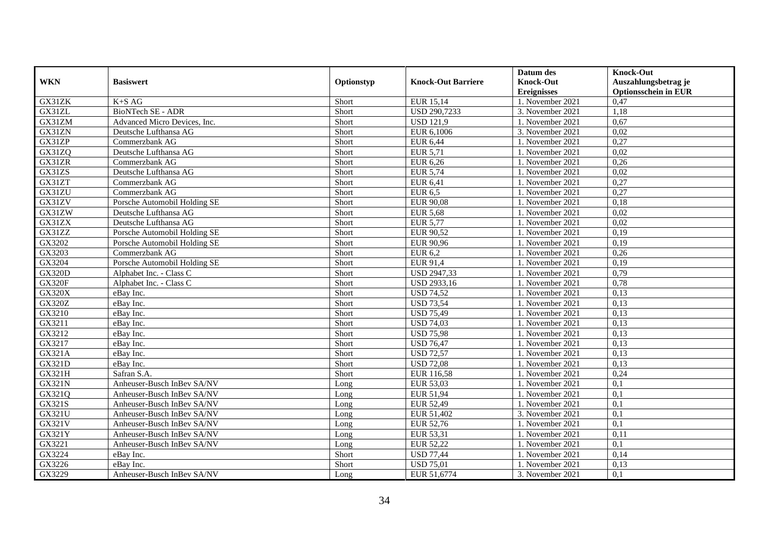|               |                              |            |                           | Datum des          | <b>Knock-Out</b>            |
|---------------|------------------------------|------------|---------------------------|--------------------|-----------------------------|
| <b>WKN</b>    | <b>Basiswert</b>             | Optionstyp | <b>Knock-Out Barriere</b> | <b>Knock-Out</b>   | Auszahlungsbetrag je        |
|               |                              |            |                           | <b>Ereignisses</b> | <b>Optionsschein in EUR</b> |
| GX31ZK        | $K+SAG$                      | Short      | <b>EUR 15,14</b>          | 1. November 2021   | 0,47                        |
| GX31ZL        | <b>BioNTech SE - ADR</b>     | Short      | USD 290,7233              | 3. November 2021   | 1,18                        |
| GX31ZM        | Advanced Micro Devices, Inc. | Short      | <b>USD 121,9</b>          | 1. November 2021   | 0,67                        |
| GX31ZN        | Deutsche Lufthansa AG        | Short      | EUR 6,1006                | 3. November 2021   | 0,02                        |
| GX31ZP        | Commerzbank AG               | Short      | <b>EUR 6,44</b>           | 1. November 2021   | 0,27                        |
| GX31ZQ        | Deutsche Lufthansa AG        | Short      | <b>EUR 5,71</b>           | 1. November 2021   | 0,02                        |
| GX31ZR        | Commerzbank AG               | Short      | <b>EUR 6,26</b>           | 1. November 2021   | 0,26                        |
| GX31ZS        | Deutsche Lufthansa AG        | Short      | <b>EUR 5,74</b>           | 1. November 2021   | 0,02                        |
| GX31ZT        | Commerzbank AG               | Short      | <b>EUR 6,41</b>           | 1. November 2021   | 0,27                        |
| GX31ZU        | Commerzbank AG               | Short      | <b>EUR 6,5</b>            | 1. November 2021   | 0,27                        |
| GX31ZV        | Porsche Automobil Holding SE | Short      | <b>EUR 90,08</b>          | 1. November 2021   | 0,18                        |
| GX31ZW        | Deutsche Lufthansa AG        | Short      | <b>EUR 5,68</b>           | 1. November 2021   | 0,02                        |
| GX31ZX        | Deutsche Lufthansa AG        | Short      | <b>EUR 5,77</b>           | 1. November 2021   | 0,02                        |
| GX31ZZ        | Porsche Automobil Holding SE | Short      | EUR 90,52                 | 1. November 2021   | 0,19                        |
| GX3202        | Porsche Automobil Holding SE | Short      | EUR 90,96                 | 1. November 2021   | 0,19                        |
| GX3203        | Commerzbank AG               | Short      | <b>EUR 6,2</b>            | 1. November 2021   | 0,26                        |
| GX3204        | Porsche Automobil Holding SE | Short      | <b>EUR 91,4</b>           | 1. November 2021   | 0,19                        |
| <b>GX320D</b> | Alphabet Inc. - Class C      | Short      | <b>USD 2947,33</b>        | 1. November 2021   | 0,79                        |
| <b>GX320F</b> | Alphabet Inc. - Class C      | Short      | USD 2933,16               | 1. November 2021   | 0,78                        |
| <b>GX320X</b> | eBay Inc.                    | Short      | <b>USD 74,52</b>          | 1. November 2021   | 0,13                        |
| <b>GX320Z</b> | eBay Inc.                    | Short      | <b>USD 73,54</b>          | 1. November 2021   | 0,13                        |
| GX3210        | eBay Inc.                    | Short      | <b>USD 75,49</b>          | 1. November 2021   | 0,13                        |
| GX3211        | eBay Inc.                    | Short      | <b>USD 74,03</b>          | 1. November 2021   | 0,13                        |
| GX3212        | eBay Inc.                    | Short      | <b>USD 75,98</b>          | 1. November 2021   | 0,13                        |
| GX3217        | eBay Inc.                    | Short      | <b>USD 76,47</b>          | 1. November 2021   | 0,13                        |
| GX321A        | eBay Inc.                    | Short      | <b>USD 72,57</b>          | 1. November 2021   | 0,13                        |
| GX321D        | eBay Inc.                    | Short      | <b>USD 72,08</b>          | 1. November 2021   | 0,13                        |
| GX321H        | Safran S.A.                  | Short      | EUR 116,58                | 1. November 2021   | 0,24                        |
| <b>GX321N</b> | Anheuser-Busch InBev SA/NV   | Long       | EUR 53,03                 | 1. November 2021   | 0,1                         |
| GX321Q        | Anheuser-Busch InBev SA/NV   | Long       | <b>EUR 51,94</b>          | 1. November 2021   | 0,1                         |
| GX321S        | Anheuser-Busch InBev SA/NV   | Long       | <b>EUR 52,49</b>          | 1. November 2021   | 0,1                         |
| GX321U        | Anheuser-Busch InBev SA/NV   | Long       | EUR 51,402                | 3. November 2021   | 0,1                         |
| <b>GX321V</b> | Anheuser-Busch InBev SA/NV   | Long       | EUR 52,76                 | 1. November 2021   | 0,1                         |
| <b>GX321Y</b> | Anheuser-Busch InBev SA/NV   | Long       | EUR 53,31                 | 1. November 2021   | 0,11                        |
| GX3221        | Anheuser-Busch InBev SA/NV   | Long       | EUR 52,22                 | 1. November 2021   | 0,1                         |
| GX3224        | eBay Inc.                    | Short      | <b>USD 77,44</b>          | 1. November 2021   | 0,14                        |
| GX3226        | eBay Inc.                    | Short      | <b>USD 75,01</b>          | 1. November 2021   | 0,13                        |
| GX3229        | Anheuser-Busch InBev SA/NV   | Long       | EUR 51,6774               | 3. November 2021   | 0,1                         |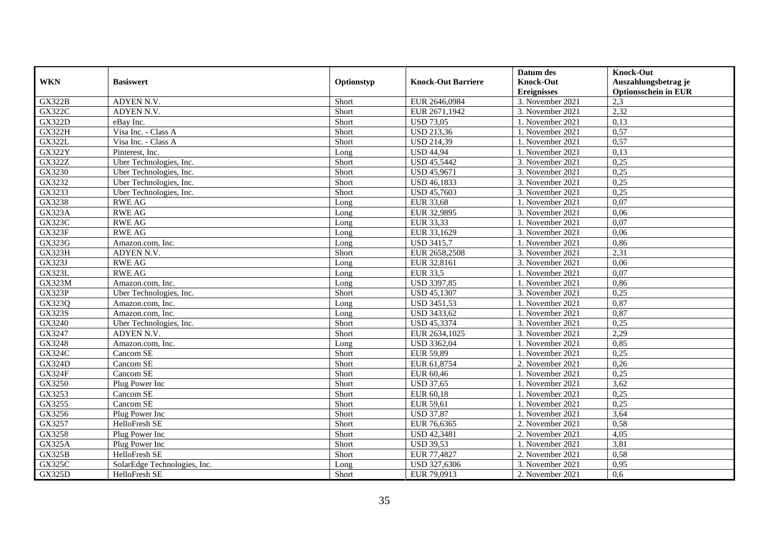|                     |                              |            |                           | Datum des          | <b>Knock-Out</b>            |
|---------------------|------------------------------|------------|---------------------------|--------------------|-----------------------------|
| <b>WKN</b>          | <b>Basiswert</b>             | Optionstyp | <b>Knock-Out Barriere</b> | <b>Knock-Out</b>   | Auszahlungsbetrag je        |
|                     |                              |            |                           | <b>Ereignisses</b> | <b>Optionsschein in EUR</b> |
| <b>GX322B</b>       | ADYEN N.V.                   | Short      | EUR 2646,0984             | 3. November 2021   | 2,3                         |
| <b>GX322C</b>       | ADYEN N.V.                   | Short      | EUR 2671,1942             | 3. November 2021   | 2,32                        |
| <b>GX322D</b>       | eBay Inc.                    | Short      | <b>USD 73,05</b>          | 1. November 2021   | 0,13                        |
| <b>GX322H</b>       | Visa Inc. - Class A          | Short      | USD 213,36                | 1. November 2021   | 0,57                        |
| <b>GX322L</b>       | Visa Inc. - Class A          | Short      | <b>USD 214,39</b>         | 1. November 2021   | 0,57                        |
| <b>GX322Y</b>       | Pinterest, Inc.              | Long       | <b>USD 44,94</b>          | 1. November 2021   | 0,13                        |
| <b>GX322Z</b>       | Uber Technologies, Inc.      | Short      | <b>USD 45,5442</b>        | 3. November 2021   | 0,25                        |
| GX3230              | Uber Technologies, Inc.      | Short      | <b>USD 45,9671</b>        | 3. November 2021   | 0,25                        |
| GX3232              | Uber Technologies, Inc.      | Short      | USD 46,1833               | 3. November 2021   | 0,25                        |
| GX3233              | Uber Technologies, Inc.      | Short      | <b>USD 45,7603</b>        | 3. November 2021   | 0,25                        |
| GX3238              | <b>RWE AG</b>                | Long       | <b>EUR 33,68</b>          | 1. November 2021   | 0.07                        |
| <b>GX323A</b>       | <b>RWE AG</b>                | Long       | EUR 32,9895               | 3. November 2021   | 0,06                        |
| GX323C              | <b>RWE AG</b>                | Long       | EUR 33,33                 | 1. November 2021   | 0,07                        |
| <b>GX323F</b>       | <b>RWE AG</b>                | Long       | EUR 33,1629               | 3. November 2021   | 0,06                        |
| GX323G              | Amazon.com, Inc.             | Long       | <b>USD 3415,7</b>         | 1. November 2021   | 0,86                        |
| GX323H              | ADYEN N.V.                   | Short      | EUR 2658,2508             | 3. November 2021   | 2,31                        |
| GX323J              | <b>RWE AG</b>                | Long       | EUR 32,8161               | 3. November 2021   | 0,06                        |
| <b>GX323L</b>       | <b>RWE AG</b>                | Long       | EUR 33,5                  | 1. November 2021   | 0,07                        |
| <b>GX323M</b>       | Amazon.com, Inc.             | Long       | USD 3397,85               | 1. November 2021   | 0,86                        |
| <b>GX323P</b>       | Uber Technologies, Inc.      | Short      | <b>USD 45,1307</b>        | 3. November 2021   | 0,25                        |
| GX323Q              | Amazon.com, Inc.             | Long       | <b>USD 3451,53</b>        | 1. November 2021   | 0,87                        |
| <b>GX323S</b>       | Amazon.com. Inc.             | Long       | <b>USD 3433,62</b>        | 1. November 2021   | 0,87                        |
| $G\overline{X3240}$ | Uber Technologies, Inc.      | Short      | <b>USD 45,3374</b>        | 3. November 2021   | 0,25                        |
| GX3247              | ADYEN N.V.                   | Short      | EUR 2634,1025             | 3. November 2021   | 2,29                        |
| GX3248              | Amazon.com, Inc.             | Long       | USD 3362,04               | 1. November 2021   | 0,85                        |
| GX324C              | Cancom SE                    | Short      | <b>EUR 59,89</b>          | 1. November 2021   | 0,25                        |
| <b>GX324D</b>       | Cancom SE                    | Short      | EUR 61,8754               | 2. November 2021   | 0,26                        |
| <b>GX324F</b>       | Cancom SE                    | Short      | EUR 60.46                 | 1. November 2021   | 0,25                        |
| GX3250              | Plug Power Inc               | Short      | <b>USD 37,65</b>          | 1. November 2021   | 3,62                        |
| GX3253              | Cancom SE                    | Short      | EUR 60,18                 | 1. November 2021   | 0,25                        |
| GX3255              | Cancom SE                    | Short      | EUR 59,61                 | 1. November 2021   | 0,25                        |
| GX3256              | Plug Power Inc               | Short      | <b>USD 37,87</b>          | 1. November 2021   | 3,64                        |
| GX3257              | HelloFresh SE                | Short      | EUR 76,6365               | 2. November 2021   | 0,58                        |
| GX3258              | Plug Power Inc               | Short      | <b>USD 42,3481</b>        | 2. November 2021   | 4,05                        |
| <b>GX325A</b>       | Plug Power Inc               | Short      | <b>USD 39,53</b>          | 1. November 2021   | 3,81                        |
| <b>GX325B</b>       | HelloFresh SE                | Short      | EUR 77,4827               | 2. November 2021   | 0,58                        |
| GX325C              | SolarEdge Technologies, Inc. | Long       | USD 327,6306              | 3. November 2021   | 0,95                        |
| <b>GX325D</b>       | HelloFresh SE                | Short      | EUR 79,0913               | 2. November 2021   | 0,6                         |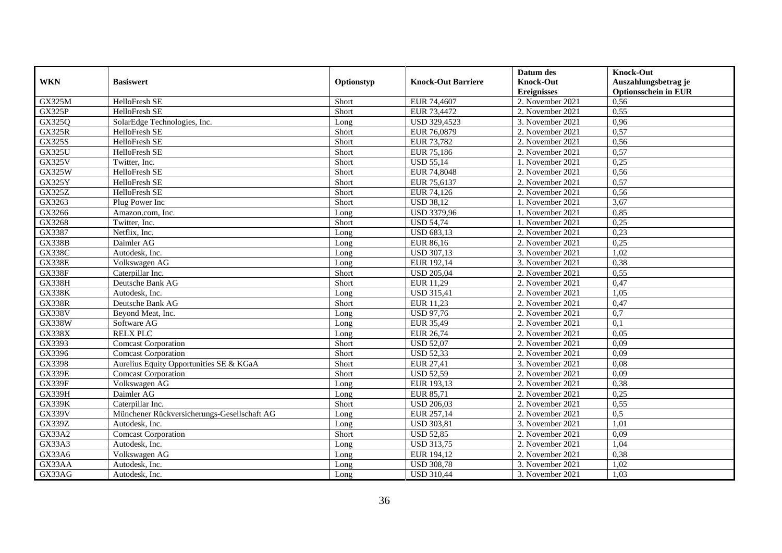|               |                                             |            |                           | Datum des          | <b>Knock-Out</b>            |
|---------------|---------------------------------------------|------------|---------------------------|--------------------|-----------------------------|
| <b>WKN</b>    | <b>Basiswert</b>                            | Optionstyp | <b>Knock-Out Barriere</b> | <b>Knock-Out</b>   | Auszahlungsbetrag je        |
|               |                                             |            |                           | <b>Ereignisses</b> | <b>Optionsschein in EUR</b> |
| <b>GX325M</b> | HelloFresh SE                               | Short      | EUR 74,4607               | 2. November 2021   | 0,56                        |
| <b>GX325P</b> | HelloFresh SE                               | Short      | EUR 73,4472               | 2. November 2021   | 0,55                        |
| GX325Q        | SolarEdge Technologies, Inc.                | Long       | USD 329,4523              | 3. November 2021   | 0,96                        |
| <b>GX325R</b> | HelloFresh SE                               | Short      | EUR 76,0879               | 2. November 2021   | 0,57                        |
| <b>GX325S</b> | HelloFresh SE                               | Short      | EUR 73,782                | 2. November 2021   | 0,56                        |
| <b>GX325U</b> | HelloFresh SE                               | Short      | EUR 75,186                | 2. November 2021   | 0,57                        |
| <b>GX325V</b> | Twitter, Inc.                               | Short      | <b>USD 55,14</b>          | 1. November 2021   | 0,25                        |
| GX325W        | HelloFresh SE                               | Short      | EUR 74,8048               | 2. November 2021   | 0,56                        |
| <b>GX325Y</b> | HelloFresh SE                               | Short      | EUR 75,6137               | 2. November 2021   | 0,57                        |
| <b>GX325Z</b> | HelloFresh SE                               | Short      | EUR 74,126                | 2. November 2021   | 0,56                        |
| GX3263        | Plug Power Inc                              | Short      | <b>USD 38,12</b>          | 1. November 2021   | 3,67                        |
| GX3266        | Amazon.com, Inc.                            | Long       | <b>USD 3379,96</b>        | 1. November 2021   | 0,85                        |
| GX3268        | Twitter, Inc.                               | Short      | <b>USD 54,74</b>          | 1. November 2021   | 0,25                        |
| GX3387        | Netflix, Inc.                               | Long       | <b>USD 683,13</b>         | 2. November 2021   | 0,23                        |
| <b>GX338B</b> | Daimler AG                                  | Long       | EUR 86,16                 | 2. November 2021   | 0,25                        |
| <b>GX338C</b> | Autodesk, Inc.                              | Long       | <b>USD 307,13</b>         | 3. November 2021   | 1,02                        |
| <b>GX338E</b> | Volkswagen AG                               | Long       | EUR 192,14                | 3. November 2021   | 0,38                        |
| <b>GX338F</b> | Caterpillar Inc.                            | Short      | <b>USD 205,04</b>         | 2. November 2021   | 0,55                        |
| <b>GX338H</b> | Deutsche Bank AG                            | Short      | EUR 11,29                 | 2. November 2021   | 0,47                        |
| <b>GX338K</b> | Autodesk, Inc.                              | Long       | <b>USD 315,41</b>         | 2. November 2021   | 1,05                        |
| <b>GX338R</b> | Deutsche Bank AG                            | Short      | EUR 11,23                 | 2. November 2021   | 0,47                        |
| <b>GX338V</b> | Beyond Meat, Inc.                           | Long       | <b>USD 97,76</b>          | 2. November 2021   | 0,7                         |
| <b>GX338W</b> | Software AG                                 | Long       | EUR 35,49                 | 2. November 2021   | 0,1                         |
| <b>GX338X</b> | <b>RELX PLC</b>                             | Long       | EUR 26,74                 | 2. November 2021   | 0,05                        |
| GX3393        | <b>Comcast Corporation</b>                  | Short      | <b>USD 52,07</b>          | 2. November 2021   | 0,09                        |
| GX3396        | <b>Comcast Corporation</b>                  | Short      | <b>USD 52,33</b>          | 2. November 2021   | 0,09                        |
| GX3398        | Aurelius Equity Opportunities SE & KGaA     | Short      | <b>EUR 27,41</b>          | 3. November 2021   | 0,08                        |
| <b>GX339E</b> | <b>Comcast Corporation</b>                  | Short      | <b>USD 52,59</b>          | 2. November 2021   | 0,09                        |
| <b>GX339F</b> | Volkswagen AG                               | Long       | EUR 193,13                | 2. November 2021   | 0,38                        |
| <b>GX339H</b> | Daimler AG                                  | Long       | EUR 85,71                 | 2. November 2021   | 0,25                        |
| <b>GX339K</b> | Caterpillar Inc.                            | Short      | <b>USD 206,03</b>         | 2. November 2021   | 0,55                        |
| <b>GX339V</b> | Münchener Rückversicherungs-Gesellschaft AG | Long       | EUR 257,14                | 2. November 2021   | 0,5                         |
| <b>GX339Z</b> | Autodesk, Inc.                              | Long       | <b>USD 303,81</b>         | 3. November 2021   | 1,01                        |
| <b>GX33A2</b> | <b>Comcast Corporation</b>                  | Short      | <b>USD 52,85</b>          | 2. November 2021   | 0,09                        |
| GX33A3        | Autodesk, Inc.                              | Long       | <b>USD 313,75</b>         | 2. November 2021   | 1,04                        |
| GX33A6        | Volkswagen AG                               | Long       | EUR 194,12                | 2. November 2021   | 0,38                        |
| GX33AA        | Autodesk, Inc.                              | Long       | <b>USD 308,78</b>         | 3. November 2021   | 1,02                        |
| GX33AG        | Autodesk, Inc.                              | Long       | <b>USD 310,44</b>         | 3. November 2021   | 1,03                        |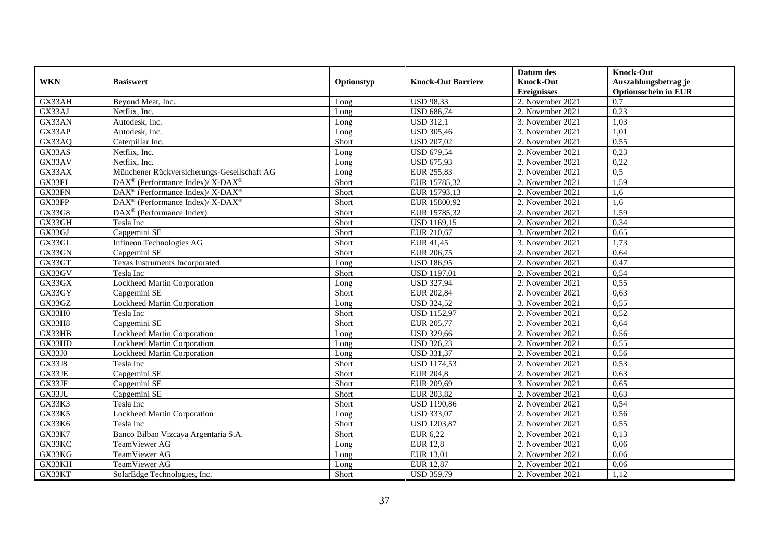|               |                                                             |            |                           | Datum des          | <b>Knock-Out</b>            |
|---------------|-------------------------------------------------------------|------------|---------------------------|--------------------|-----------------------------|
| <b>WKN</b>    | <b>Basiswert</b>                                            | Optionstyp | <b>Knock-Out Barriere</b> | <b>Knock-Out</b>   | Auszahlungsbetrag je        |
|               |                                                             |            |                           | <b>Ereignisses</b> | <b>Optionsschein in EUR</b> |
| GX33AH        | Beyond Meat, Inc.                                           | Long       | <b>USD 98,33</b>          | 2. November 2021   | 0,7                         |
| GX33AJ        | Netflix. Inc.                                               | Long       | <b>USD 686,74</b>         | 2. November 2021   | 0,23                        |
| GX33AN        | Autodesk, Inc.                                              | Long       | <b>USD 312,1</b>          | 3. November 2021   | 1,03                        |
| GX33AP        | Autodesk, Inc.                                              | Long       | <b>USD 305,46</b>         | 3. November 2021   | 1,01                        |
| GX33AQ        | Caterpillar Inc.                                            | Short      | <b>USD 207,02</b>         | 2. November 2021   | 0,55                        |
| GX33AS        | Netflix, Inc.                                               | Long       | <b>USD 679,54</b>         | 2. November 2021   | 0,23                        |
| GX33AV        | Netflix, Inc.                                               | Long       | <b>USD 675,93</b>         | 2. November 2021   | 0,22                        |
| GX33AX        | Münchener Rückversicherungs-Gesellschaft AG                 | Long       | EUR 255,83                | 2. November 2021   | 0,5                         |
| GX33FJ        | DAX <sup>®</sup> (Performance Index)/ X-DAX <sup>®</sup>    | Short      | EUR 15785,32              | 2. November 2021   | 1,59                        |
| GX33FN        | DAX <sup>®</sup> (Performance Index)/ X-DAX <sup>®</sup>    | Short      | EUR 15793,13              | 2. November 2021   | 1,6                         |
| GX33FP        | $DAX^{\circledcirc}$ (Performance Index)/X-DAX <sup>®</sup> | Short      | EUR 15800,92              | 2. November 2021   | 1,6                         |
| GX33G8        | $DAX^{\circledR}$ (Performance Index)                       | Short      | EUR 15785,32              | 2. November 2021   | 1,59                        |
| GX33GH        | Tesla Inc                                                   | Short      | <b>USD 1169,15</b>        | 2. November 2021   | 0,34                        |
| GX33GJ        | Capgemini SE                                                | Short      | EUR 210,67                | 3. November 2021   | 0,65                        |
| GX33GL        | Infineon Technologies AG                                    | Short      | EUR 41,45                 | 3. November 2021   | 1,73                        |
| GX33GN        | Capgemini SE                                                | Short      | EUR 206,75                | 2. November 2021   | 0,64                        |
| GX33GT        | Texas Instruments Incorporated                              | Long       | <b>USD 186,95</b>         | 2. November 2021   | 0,47                        |
| GX33GV        | Tesla Inc                                                   | Short      | <b>USD 1197,01</b>        | 2. November 2021   | 0,54                        |
| GX33GX        | Lockheed Martin Corporation                                 | Long       | <b>USD 327,94</b>         | 2. November 2021   | 0,55                        |
| GX33GY        | Capgemini SE                                                | Short      | EUR 202,84                | 2. November 2021   | 0,63                        |
| GX33GZ        | Lockheed Martin Corporation                                 | Long       | <b>USD 324,52</b>         | 3. November 2021   | 0,55                        |
| GX33H0        | Tesla Inc                                                   | Short      | <b>USD 1152,97</b>        | 2. November 2021   | 0,52                        |
| GX33H8        | Capgemini SE                                                | Short      | EUR 205,77                | 2. November 2021   | 0,64                        |
| GX33HB        | Lockheed Martin Corporation                                 | Long       | <b>USD 329,66</b>         | 2. November 2021   | 0,56                        |
| GX33HD        | Lockheed Martin Corporation                                 | Long       | <b>USD 326,23</b>         | 2. November 2021   | 0,55                        |
| GX33J0        | Lockheed Martin Corporation                                 | Long       | <b>USD 331,37</b>         | 2. November 2021   | 0,56                        |
| <b>GX33J8</b> | Tesla Inc                                                   | Short      | <b>USD 1174,53</b>        | 2. November 2021   | 0,53                        |
| GX33JE        | Capgemini SE                                                | Short      | <b>EUR 204,8</b>          | 2. November 2021   | 0.63                        |
| GX33JF        | Capgemini SE                                                | Short      | EUR 209,69                | 3. November 2021   | 0,65                        |
| GX33JU        | Capgemini SE                                                | Short      | EUR 203,82                | 2. November 2021   | 0,63                        |
| GX33K3        | Tesla Inc                                                   | Short      | <b>USD 1190,86</b>        | 2. November 2021   | 0,54                        |
| GX33K5        | Lockheed Martin Corporation                                 | Long       | <b>USD 333,07</b>         | 2. November 2021   | 0,56                        |
| GX33K6        | Tesla Inc                                                   | Short      | <b>USD 1203,87</b>        | 2. November 2021   | 0,55                        |
| <b>GX33K7</b> | Banco Bilbao Vizcaya Argentaria S.A.                        | Short      | <b>EUR 6,22</b>           | 2. November 2021   | 0,13                        |
| GX33KC        | TeamViewer AG                                               | Long       | <b>EUR 12,8</b>           | 2. November 2021   | 0,06                        |
| GX33KG        | TeamViewer AG                                               | Long       | <b>EUR 13,01</b>          | 2. November 2021   | 0,06                        |
| GX33KH        | TeamViewer AG                                               | Long       | EUR 12,87                 | 2. November 2021   | 0,06                        |
| GX33KT        | SolarEdge Technologies, Inc.                                | Short      | <b>USD 359,79</b>         | 2. November 2021   | 1,12                        |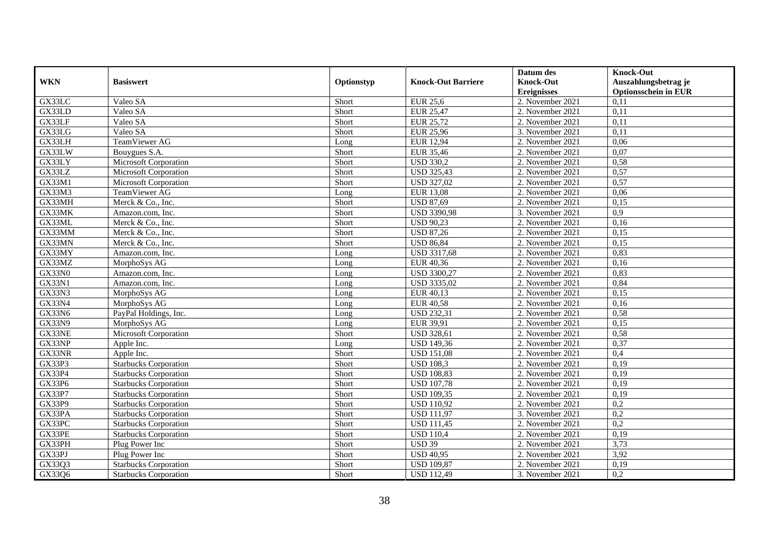| <b>WKN</b>    | <b>Basiswert</b>             | Optionstyp | <b>Knock-Out Barriere</b> | Datum des<br><b>Knock-Out</b> | <b>Knock-Out</b><br>Auszahlungsbetrag je |
|---------------|------------------------------|------------|---------------------------|-------------------------------|------------------------------------------|
|               |                              |            |                           | <b>Ereignisses</b>            | <b>Optionsschein in EUR</b>              |
| GX33LC        | Valeo SA                     | Short      | <b>EUR 25,6</b>           | 2. November 2021              | 0,11                                     |
| GX33LD        | Valeo SA                     | Short      | <b>EUR 25,47</b>          | 2. November 2021              | 0,11                                     |
| GX33LF        | Valeo SA                     | Short      | <b>EUR 25,72</b>          | 2. November 2021              | 0,11                                     |
| GX33LG        | Valeo SA                     | Short      | <b>EUR 25,96</b>          | 3. November 2021              | 0,11                                     |
| GX33LH        | TeamViewer AG                | Long       | <b>EUR 12,94</b>          | 2. November 2021              | 0,06                                     |
| GX33LW        | Bouygues S.A.                | Short      | <b>EUR 35,46</b>          | 2. November 2021              | 0,07                                     |
| GX33LY        | Microsoft Corporation        | Short      | <b>USD 330,2</b>          | 2. November 2021              | 0,58                                     |
| GX33LZ        | Microsoft Corporation        | Short      | <b>USD 325,43</b>         | 2. November 2021              | 0,57                                     |
| GX33M1        | Microsoft Corporation        | Short      | <b>USD 327,02</b>         | 2. November 2021              | 0,57                                     |
| GX33M3        | TeamViewer AG                | Long       | <b>EUR 13,08</b>          | 2. November 2021              | 0,06                                     |
| GX33MH        | Merck & Co., Inc.            | Short      | <b>USD 87,69</b>          | 2. November 2021              | 0,15                                     |
| GX33MK        | Amazon.com, Inc.             | Short      | <b>USD 3390,98</b>        | 3. November 2021              | 0,9                                      |
| GX33ML        | Merck & Co., Inc.            | Short      | <b>USD 90,23</b>          | 2. November 2021              | 0,16                                     |
| GX33MM        | Merck & Co., Inc.            | Short      | <b>USD 87,26</b>          | 2. November 2021              | 0,15                                     |
| GX33MN        | Merck & Co., Inc.            | Short      | <b>USD 86,84</b>          | 2. November 2021              | 0,15                                     |
| GX33MY        | Amazon.com, Inc.             | Long       | <b>USD 3317,68</b>        | 2. November 2021              | 0,83                                     |
| GX33MZ        | MorphoSys AG                 | Long       | <b>EUR 40,36</b>          | 2. November 2021              | 0,16                                     |
| <b>GX33N0</b> | Amazon.com. Inc.             | Long       | <b>USD 3300,27</b>        | 2. November 2021              | 0,83                                     |
| GX33N1        | Amazon.com. Inc.             | Long       | <b>USD 3335,02</b>        | 2. November 2021              | 0,84                                     |
| GX33N3        | MorphoSys AG                 | Long       | EUR 40,13                 | 2. November 2021              | 0,15                                     |
| GX33N4        | MorphoSys AG                 | Long       | <b>EUR 40,58</b>          | 2. November 2021              | 0,16                                     |
| GX33N6        | PayPal Holdings, Inc.        | Long       | <b>USD 232,31</b>         | 2. November 2021              | 0,58                                     |
| <b>GX33N9</b> | MorphoSys AG                 | Long       | EUR 39,91                 | 2. November 2021              | 0,15                                     |
| GX33NE        | Microsoft Corporation        | Short      | <b>USD 328,61</b>         | 2. November 2021              | 0,58                                     |
| GX33NP        | Apple Inc.                   | Long       | <b>USD 149,36</b>         | 2. November 2021              | 0,37                                     |
| GX33NR        | Apple Inc.                   | Short      | <b>USD 151,08</b>         | 2. November 2021              | 0,4                                      |
| GX33P3        | <b>Starbucks Corporation</b> | Short      | <b>USD 108,3</b>          | 2. November 2021              | 0,19                                     |
| GX33P4        | <b>Starbucks Corporation</b> | Short      | <b>USD 108,83</b>         | 2. November 2021              | 0,19                                     |
| GX33P6        | <b>Starbucks Corporation</b> | Short      | <b>USD 107,78</b>         | 2. November 2021              | 0,19                                     |
| GX33P7        | <b>Starbucks Corporation</b> | Short      | <b>USD 109,35</b>         | 2. November 2021              | 0,19                                     |
| GX33P9        | <b>Starbucks Corporation</b> | Short      | <b>USD 110,92</b>         | 2. November 2021              | 0,2                                      |
| GX33PA        | <b>Starbucks Corporation</b> | Short      | <b>USD 111,97</b>         | 3. November 2021              | $\overline{0,2}$                         |
| GX33PC        | <b>Starbucks Corporation</b> | Short      | <b>USD 111,45</b>         | 2. November 2021              | 0,2                                      |
| GX33PE        | <b>Starbucks Corporation</b> | Short      | <b>USD 110,4</b>          | 2. November 2021              | 0,19                                     |
| GX33PH        | Plug Power Inc               | Short      | <b>USD 39</b>             | 2. November 2021              | 3,73                                     |
| GX33PJ        | Plug Power Inc               | Short      | <b>USD 40,95</b>          | 2. November 2021              | 3,92                                     |
| GX33Q3        | <b>Starbucks Corporation</b> | Short      | <b>USD 109,87</b>         | 2. November 2021              | 0,19                                     |
| GX33Q6        | <b>Starbucks Corporation</b> | Short      | <b>USD 112,49</b>         | 3. November 2021              | 0,2                                      |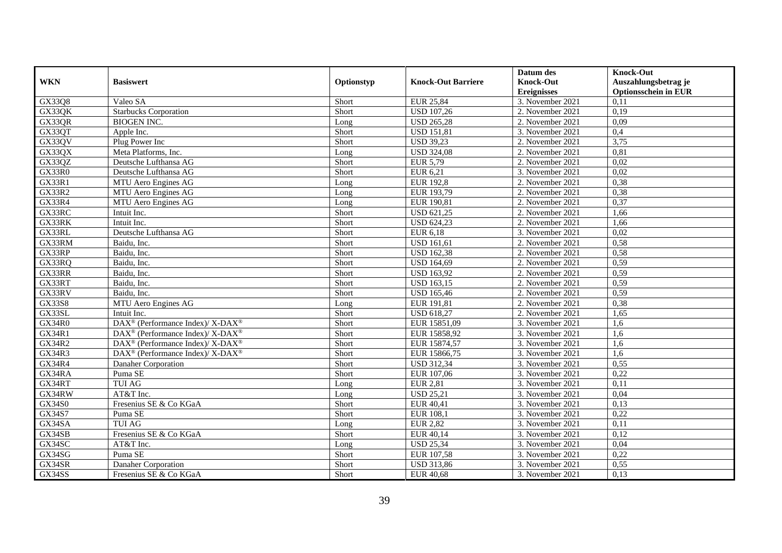|               |                                                                  |            |                           | Datum des          | <b>Knock-Out</b>            |
|---------------|------------------------------------------------------------------|------------|---------------------------|--------------------|-----------------------------|
| <b>WKN</b>    | <b>Basiswert</b>                                                 | Optionstyp | <b>Knock-Out Barriere</b> | <b>Knock-Out</b>   | Auszahlungsbetrag je        |
|               |                                                                  |            |                           | <b>Ereignisses</b> | <b>Optionsschein in EUR</b> |
| GX33Q8        | Valeo SA                                                         | Short      | <b>EUR 25,84</b>          | 3. November 2021   | 0,11                        |
| GX33QK        | <b>Starbucks Corporation</b>                                     | Short      | <b>USD 107,26</b>         | 2. November 2021   | 0,19                        |
| GX33QR        | <b>BIOGEN INC.</b>                                               | Long       | <b>USD 265,28</b>         | 2. November 2021   | 0,09                        |
| GX33QT        | Apple Inc.                                                       | Short      | <b>USD 151,81</b>         | 3. November 2021   | 0,4                         |
| GX33QV        | Plug Power Inc                                                   | Short      | <b>USD 39,23</b>          | 2. November 2021   | 3,75                        |
| GX33QX        | Meta Platforms, Inc.                                             | Long       | <b>USD 324,08</b>         | 2. November 2021   | 0,81                        |
| GX33QZ        | Deutsche Lufthansa AG                                            | Short      | EUR 5,79                  | 2. November 2021   | 0,02                        |
| GX33R0        | Deutsche Lufthansa AG                                            | Short      | EUR 6,21                  | 3. November 2021   | 0,02                        |
| <b>GX33R1</b> | MTU Aero Engines AG                                              | Long       | <b>EUR 192,8</b>          | 2. November 2021   | 0,38                        |
| <b>GX33R2</b> | MTU Aero Engines AG                                              | Long       | EUR 193,79                | 2. November 2021   | 0,38                        |
| GX33R4        | MTU Aero Engines AG                                              | Long       | EUR 190,81                | 2. November 2021   | 0,37                        |
| GX33RC        | Intuit Inc.                                                      | Short      | <b>USD 621,25</b>         | 2. November 2021   | 1,66                        |
| GX33RK        | Intuit Inc.                                                      | Short      | <b>USD 624,23</b>         | 2. November 2021   | 1,66                        |
| GX33RL        | Deutsche Lufthansa AG                                            | Short      | EUR 6,18                  | 3. November 2021   | 0,02                        |
| GX33RM        | Baidu, Inc.                                                      | Short      | <b>USD 161,61</b>         | 2. November 2021   | 0,58                        |
| GX33RP        | Baidu, Inc.                                                      | Short      | <b>USD 162,38</b>         | 2. November 2021   | 0,58                        |
| GX33RQ        | Baidu, Inc.                                                      | Short      | <b>USD 164,69</b>         | 2. November 2021   | 0,59                        |
| GX33RR        | Baidu. Inc.                                                      | Short      | <b>USD 163,92</b>         | 2. November 2021   | 0,59                        |
| GX33RT        | Baidu, Inc.                                                      | Short      | <b>USD 163,15</b>         | 2. November 2021   | 0,59                        |
| GX33RV        | Baidu, Inc.                                                      | Short      | <b>USD 165,46</b>         | 2. November 2021   | 0,59                        |
| <b>GX33S8</b> | MTU Aero Engines AG                                              | Long       | EUR 191,81                | 2. November 2021   | 0,38                        |
| GX33SL        | Intuit Inc.                                                      | Short      | <b>USD 618,27</b>         | 2. November 2021   | 1,65                        |
| <b>GX34R0</b> | $\text{DAX}^{\circledR}$ (Performance Index)/ X-DAX <sup>®</sup> | Short      | EUR 15851,09              | 3. November 2021   | 1,6                         |
| <b>GX34R1</b> | DAX <sup>®</sup> (Performance Index)/ X-DAX <sup>®</sup>         | Short      | EUR 15858,92              | 3. November 2021   | 1,6                         |
| GX34R2        | $\text{DAX}^{\circledR}$ (Performance Index)/ X-DAX <sup>®</sup> | Short      | EUR 15874,57              | 3. November 2021   | 1,6                         |
| GX34R3        | $\text{DAX}^{\circledR}$ (Performance Index)/X-DAX <sup>®</sup>  | Short      | EUR 15866,75              | 3. November 2021   | 1,6                         |
| GX34R4        | Danaher Corporation                                              | Short      | <b>USD 312,34</b>         | 3. November 2021   | 0,55                        |
| GX34RA        | Puma SE                                                          | Short      | EUR 107,06                | 3. November 2021   | 0,22                        |
| GX34RT        | <b>TUI AG</b>                                                    | Long       | <b>EUR 2,81</b>           | 3. November 2021   | 0,11                        |
| GX34RW        | AT&T Inc.                                                        | Long       | <b>USD 25,21</b>          | 3. November 2021   | 0,04                        |
| GX34S0        | Fresenius SE & Co KGaA                                           | Short      | <b>EUR 40,41</b>          | 3. November 2021   | 0,13                        |
| GX34S7        | Puma SE                                                          | Short      | <b>EUR 108,1</b>          | 3. November 2021   | 0,22                        |
| GX34SA        | <b>TUI AG</b>                                                    | Long       | <b>EUR 2,82</b>           | 3. November 2021   | 0,11                        |
| GX34SB        | Fresenius SE & Co KGaA                                           | Short      | EUR 40,14                 | 3. November 2021   | 0,12                        |
| GX34SC        | AT&T Inc.                                                        | Long       | <b>USD 25,34</b>          | 3. November 2021   | 0,04                        |
| GX34SG        | Puma SE                                                          | Short      | EUR 107,58                | 3. November 2021   | 0,22                        |
| GX34SR        | Danaher Corporation                                              | Short      | <b>USD 313,86</b>         | 3. November 2021   | 0,55                        |
| GX34SS        | Fresenius SE & Co KGaA                                           | Short      | <b>EUR 40,68</b>          | 3. November 2021   | 0,13                        |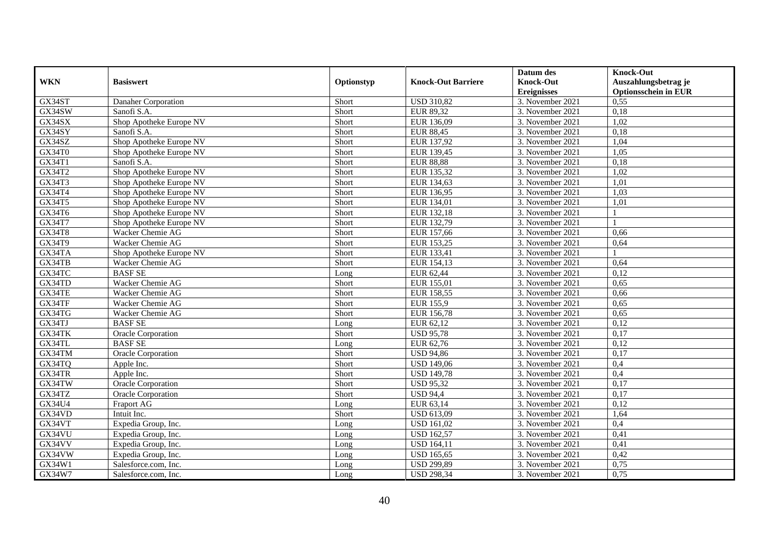|               |                           |            |                           | Datum des          | <b>Knock-Out</b>            |
|---------------|---------------------------|------------|---------------------------|--------------------|-----------------------------|
| <b>WKN</b>    | <b>Basiswert</b>          | Optionstyp | <b>Knock-Out Barriere</b> | <b>Knock-Out</b>   | Auszahlungsbetrag je        |
|               |                           |            |                           | <b>Ereignisses</b> | <b>Optionsschein in EUR</b> |
| GX34ST        | Danaher Corporation       | Short      | <b>USD 310,82</b>         | 3. November 2021   | 0.55                        |
| GX34SW        | Sanofi S.A.               | Short      | EUR 89,32                 | 3. November 2021   | 0,18                        |
| GX34SX        | Shop Apotheke Europe NV   | Short      | EUR 136,09                | 3. November 2021   | 1,02                        |
| GX34SY        | Sanofi S.A.               | Short      | <b>EUR 88,45</b>          | 3. November 2021   | 0,18                        |
| GX34SZ        | Shop Apotheke Europe NV   | Short      | EUR 137,92                | 3. November 2021   | 1,04                        |
| GX34T0        | Shop Apotheke Europe NV   | Short      | EUR 139,45                | 3. November 2021   | 1,05                        |
| GX34T1        | Sanofi S.A.               | Short      | <b>EUR 88,88</b>          | 3. November 2021   | 0,18                        |
| GX34T2        | Shop Apotheke Europe NV   | Short      | EUR 135,32                | 3. November 2021   | 1,02                        |
| GX34T3        | Shop Apotheke Europe NV   | Short      | EUR 134,63                | 3. November 2021   | 1,01                        |
| GX34T4        | Shop Apotheke Europe NV   | Short      | EUR 136,95                | 3. November 2021   | 1,03                        |
| GX34T5        | Shop Apotheke Europe NV   | Short      | EUR 134,01                | 3. November 2021   | 1,01                        |
| GX34T6        | Shop Apotheke Europe NV   | Short      | EUR 132,18                | 3. November 2021   |                             |
| GX34T7        | Shop Apotheke Europe NV   | Short      | EUR 132,79                | 3. November 2021   |                             |
| <b>GX34T8</b> | Wacker Chemie AG          | Short      | EUR 157,66                | 3. November 2021   | 0.66                        |
| GX34T9        | Wacker Chemie AG          | Short      | EUR 153,25                | 3. November 2021   | 0,64                        |
| GX34TA        | Shop Apotheke Europe NV   | Short      | EUR 133,41                | 3. November 2021   |                             |
| GX34TB        | Wacker Chemie AG          | Short      | EUR 154,13                | 3. November 2021   | 0,64                        |
| GX34TC        | <b>BASF SE</b>            | Long       | EUR 62,44                 | 3. November 2021   | 0.12                        |
| GX34TD        | <b>Wacker Chemie AG</b>   | Short      | EUR 155,01                | 3. November 2021   | 0,65                        |
| GX34TE        | Wacker Chemie AG          | Short      | <b>EUR 158,55</b>         | 3. November 2021   | 0,66                        |
| GX34TF        | Wacker Chemie AG          | Short      | EUR 155,9                 | 3. November 2021   | 0,65                        |
| GX34TG        | Wacker Chemie AG          | Short      | EUR 156,78                | 3. November 2021   | 0,65                        |
| GX34TJ        | <b>BASF SE</b>            | Long       | EUR 62,12                 | 3. November 2021   | 0,12                        |
| GX34TK        | Oracle Corporation        | Short      | <b>USD 95,78</b>          | 3. November 2021   | 0,17                        |
| GX34TL        | <b>BASF SE</b>            | Long       | EUR 62,76                 | 3. November 2021   | 0,12                        |
| GX34TM        | Oracle Corporation        | Short      | <b>USD 94,86</b>          | 3. November 2021   | 0,17                        |
| GX34TQ        | Apple Inc.                | Short      | <b>USD 149,06</b>         | 3. November 2021   | 0,4                         |
| GX34TR        | Apple Inc.                | Short      | <b>USD 149,78</b>         | 3. November 2021   | 0,4                         |
| GX34TW        | <b>Oracle Corporation</b> | Short      | <b>USD 95,32</b>          | 3. November 2021   | 0,17                        |
| GX34TZ        | Oracle Corporation        | Short      | <b>USD 94,4</b>           | 3. November 2021   | 0,17                        |
| GX34U4        | Fraport AG                | Long       | EUR 63,14                 | 3. November 2021   | 0,12                        |
| GX34VD        | Intuit Inc.               | Short      | <b>USD 613,09</b>         | 3. November 2021   | 1,64                        |
| GX34VT        | Expedia Group, Inc.       | Long       | <b>USD 161,02</b>         | 3. November 2021   | 0,4                         |
| GX34VU        | Expedia Group, Inc.       | Long       | <b>USD 162,57</b>         | 3. November 2021   | 0,41                        |
| GX34VV        | Expedia Group, Inc.       | Long       | <b>USD 164,11</b>         | 3. November 2021   | 0,41                        |
| GX34VW        | Expedia Group, Inc.       | Long       | <b>USD 165,65</b>         | 3. November 2021   | 0,42                        |
| GX34W1        | Salesforce.com, Inc.      | Long       | <b>USD 299,89</b>         | 3. November 2021   | 0,75                        |
| GX34W7        | Salesforce.com, Inc.      | Long       | <b>USD 298,34</b>         | 3. November 2021   | 0,75                        |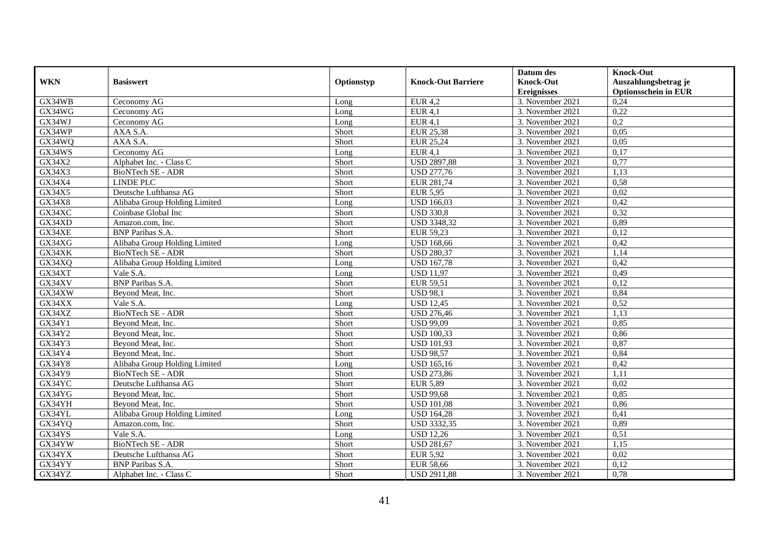|               |                               |            |                           | Datum des          | <b>Knock-Out</b>            |
|---------------|-------------------------------|------------|---------------------------|--------------------|-----------------------------|
| <b>WKN</b>    | <b>Basiswert</b>              | Optionstyp | <b>Knock-Out Barriere</b> | <b>Knock-Out</b>   | Auszahlungsbetrag je        |
|               |                               |            |                           | <b>Ereignisses</b> | <b>Optionsschein in EUR</b> |
| GX34WB        | Ceconomy AG                   | Long       | <b>EUR 4,2</b>            | 3. November 2021   | 0,24                        |
| GX34WG        | Ceconomy AG                   | Long       | EUR $4,1$                 | 3. November 2021   | 0,22                        |
| GX34WJ        | Ceconomy AG                   | Long       | <b>EUR 4,1</b>            | 3. November 2021   | 0,2                         |
| GX34WP        | AXA S.A.                      | Short      | <b>EUR 25,38</b>          | 3. November 2021   | 0,05                        |
| GX34WQ        | AXA S.A.                      | Short      | <b>EUR 25,24</b>          | 3. November 2021   | 0,05                        |
| GX34WS        | Ceconomy AG                   | Long       | <b>EUR 4,1</b>            | 3. November 2021   | 0,17                        |
| GX34X2        | Alphabet Inc. - Class C       | Short      | <b>USD 2897,88</b>        | 3. November 2021   | 0,77                        |
| GX34X3        | BioNTech SE - ADR             | Short      | <b>USD 277,76</b>         | 3. November 2021   | 1,13                        |
| GX34X4        | <b>LINDE PLC</b>              | Short      | EUR 281,74                | 3. November 2021   | 0,58                        |
| GX34X5        | Deutsche Lufthansa AG         | Short      | <b>EUR 5,95</b>           | 3. November 2021   | 0,02                        |
| GX34X8        | Alibaba Group Holding Limited | Long       | <b>USD 166,03</b>         | 3. November 2021   | 0,42                        |
| GX34XC        | Coinbase Global Inc           | Short      | <b>USD 330,8</b>          | 3. November 2021   | 0,32                        |
| GX34XD        | Amazon.com, Inc.              | Short      | <b>USD 3348,32</b>        | 3. November 2021   | 0,89                        |
| GX34XE        | <b>BNP</b> Paribas S.A.       | Short      | EUR 59,23                 | 3. November 2021   | 0,12                        |
| GX34XG        | Alibaba Group Holding Limited | Long       | <b>USD 168,66</b>         | 3. November 2021   | 0,42                        |
| GX34XK        | BioNTech SE - ADR             | Short      | <b>USD 280,37</b>         | 3. November 2021   | 1,14                        |
| GX34XQ        | Alibaba Group Holding Limited | Long       | <b>USD 167,78</b>         | 3. November 2021   | 0,42                        |
| GX34XT        | Vale S.A.                     | Long       | <b>USD 11,97</b>          | 3. November 2021   | 0,49                        |
| GX34XV        | <b>BNP</b> Paribas S.A.       | Short      | <b>EUR 59,51</b>          | 3. November 2021   | 0,12                        |
| GX34XW        | Beyond Meat, Inc.             | Short      | <b>USD 98,1</b>           | 3. November 2021   | 0,84                        |
| GX34XX        | Vale S.A.                     | Long       | <b>USD 12,45</b>          | 3. November 2021   | 0,52                        |
| GX34XZ        | <b>BioNTech SE - ADR</b>      | Short      | <b>USD 276,46</b>         | 3. November 2021   | 1,13                        |
| GX34Y1        | Beyond Meat, Inc.             | Short      | <b>USD 99,09</b>          | 3. November 2021   | 0,85                        |
| GX34Y2        | Beyond Meat, Inc.             | Short      | <b>USD 100,33</b>         | 3. November 2021   | 0,86                        |
| GX34Y3        | Beyond Meat, Inc.             | Short      | <b>USD 101,93</b>         | 3. November 2021   | 0,87                        |
| GX34Y4        | Beyond Meat, Inc.             | Short      | <b>USD 98,57</b>          | 3. November 2021   | 0,84                        |
| <b>GX34Y8</b> | Alibaba Group Holding Limited | Long       | <b>USD 165,16</b>         | 3. November 2021   | 0,42                        |
| GX34Y9        | <b>BioNTech SE - ADR</b>      | Short      | <b>USD 273,86</b>         | 3. November 2021   | 1,11                        |
| GX34YC        | Deutsche Lufthansa AG         | Short      | <b>EUR 5,89</b>           | 3. November 2021   | 0,02                        |
| GX34YG        | Beyond Meat, Inc.             | Short      | <b>USD 99,68</b>          | 3. November 2021   | 0,85                        |
| GX34YH        | Beyond Meat, Inc.             | Short      | <b>USD 101,08</b>         | 3. November 2021   | 0,86                        |
| GX34YL        | Alibaba Group Holding Limited | Long       | <b>USD 164,28</b>         | 3. November 2021   | 0,41                        |
| GX34YQ        | Amazon.com, Inc.              | Short      | <b>USD 3332,35</b>        | 3. November 2021   | 0,89                        |
| GX34YS        | Vale S.A.                     | Long       | <b>USD 12,26</b>          | 3. November 2021   | 0,51                        |
| GX34YW        | BioNTech SE - ADR             | Short      | <b>USD 281,67</b>         | 3. November 2021   | 1,15                        |
| GX34YX        | Deutsche Lufthansa AG         | Short      | <b>EUR 5,92</b>           | 3. November 2021   | 0,02                        |
| GX34YY        | <b>BNP</b> Paribas S.A.       | Short      | <b>EUR 58,66</b>          | 3. November 2021   | 0,12                        |
| GX34YZ        | Alphabet Inc. - Class C       | Short      | <b>USD 2911,88</b>        | 3. November 2021   | 0,78                        |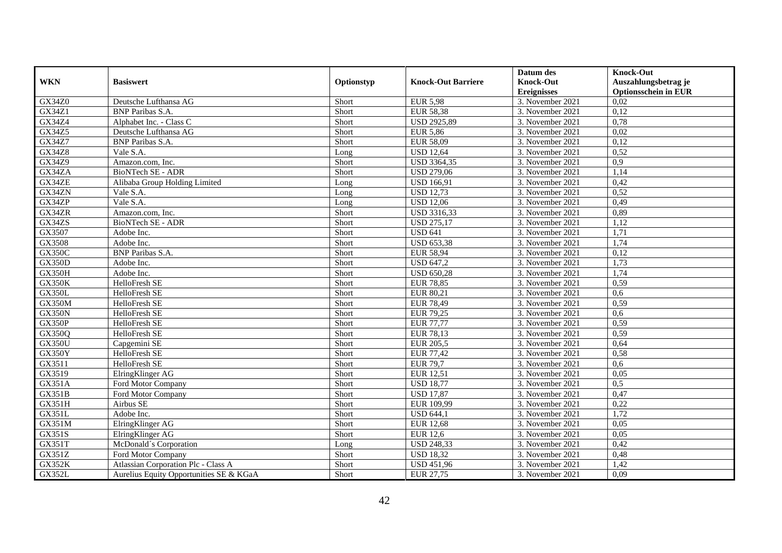|               |                                         |            |                           | Datum des                              | <b>Knock-Out</b>                                    |
|---------------|-----------------------------------------|------------|---------------------------|----------------------------------------|-----------------------------------------------------|
| <b>WKN</b>    | <b>Basiswert</b>                        | Optionstyp | <b>Knock-Out Barriere</b> | <b>Knock-Out</b><br><b>Ereignisses</b> | Auszahlungsbetrag je<br><b>Optionsschein in EUR</b> |
| GX34Z0        | Deutsche Lufthansa AG                   | Short      | <b>EUR 5,98</b>           | 3. November 2021                       | 0,02                                                |
| GX34Z1        | <b>BNP</b> Paribas S.A.                 | Short      | <b>EUR 58,38</b>          | 3. November 2021                       | 0,12                                                |
| GX34Z4        | Alphabet Inc. - Class C                 | Short      | <b>USD 2925,89</b>        | 3. November 2021                       | 0,78                                                |
| GX34Z5        | Deutsche Lufthansa AG                   | Short      | <b>EUR 5,86</b>           | 3. November 2021                       | 0,02                                                |
| <b>GX34Z7</b> | <b>BNP</b> Paribas S.A.                 | Short      | <b>EUR 58,09</b>          | 3. November 2021                       | 0,12                                                |
| <b>GX34Z8</b> | Vale S.A.                               | Long       | <b>USD 12,64</b>          | 3. November 2021                       | 0,52                                                |
| GX34Z9        | Amazon.com, Inc.                        | Short      | USD 3364,35               | 3. November 2021                       | 0,9                                                 |
| GX34ZA        | BioNTech SE - ADR                       | Short      | <b>USD 279,06</b>         | 3. November 2021                       | 1,14                                                |
| GX34ZE        | Alibaba Group Holding Limited           | Long       | <b>USD 166,91</b>         | 3. November 2021                       | 0,42                                                |
| GX34ZN        | Vale S.A.                               | Long       | <b>USD 12,73</b>          | 3. November 2021                       | 0,52                                                |
| GX34ZP        | Vale S.A.                               | Long       | <b>USD 12,06</b>          | 3. November 2021                       | 0,49                                                |
| GX34ZR        | Amazon.com, Inc.                        | Short      | USD 3316,33               | 3. November 2021                       | 0,89                                                |
| GX34ZS        | BioNTech SE - ADR                       | Short      | <b>USD 275,17</b>         | 3. November 2021                       | 1,12                                                |
| GX3507        | Adobe Inc.                              | Short      | <b>USD 641</b>            | 3. November 2021                       | 1,71                                                |
| GX3508        | Adobe Inc.                              | Short      | <b>USD 653,38</b>         | 3. November 2021                       | 1,74                                                |
| <b>GX350C</b> | <b>BNP</b> Paribas S.A.                 | Short      | <b>EUR 58,94</b>          | 3. November 2021                       | 0,12                                                |
| <b>GX350D</b> | Adobe Inc.                              | Short      | <b>USD 647,2</b>          | 3. November 2021                       | 1,73                                                |
| GX350H        | Adobe Inc.                              | Short      | <b>USD 650,28</b>         | 3. November 2021                       | 1.74                                                |
| <b>GX350K</b> | HelloFresh SE                           | Short      | <b>EUR 78,85</b>          | 3. November 2021                       | 0,59                                                |
| <b>GX350L</b> | HelloFresh SE                           | Short      | <b>EUR 80,21</b>          | 3. November 2021                       | 0.6                                                 |
| GX350M        | <b>HelloFresh SE</b>                    | Short      | <b>EUR 78,49</b>          | 3. November 2021                       | 0,59                                                |
| GX350N        | HelloFresh SE                           | Short      | <b>EUR 79,25</b>          | 3. November 2021                       | 0.6                                                 |
| GX350P        | HelloFresh SE                           | Short      | <b>EUR 77,77</b>          | 3. November 2021                       | 0,59                                                |
| GX350Q        | HelloFresh SE                           | Short      | <b>EUR 78,13</b>          | 3. November 2021                       | 0,59                                                |
| <b>GX350U</b> | Capgemini SE                            | Short      | <b>EUR 205,5</b>          | 3. November 2021                       | 0,64                                                |
| GX350Y        | HelloFresh SE                           | Short      | <b>EUR 77,42</b>          | 3. November 2021                       | 0,58                                                |
| GX3511        | HelloFresh SE                           | Short      | <b>EUR 79,7</b>           | 3. November 2021                       | 0,6                                                 |
| GX3519        | ElringKlinger AG                        | Short      | <b>EUR 12,51</b>          | 3. November 2021                       | 0.05                                                |
| <b>GX351A</b> | Ford Motor Company                      | Short      | <b>USD 18,77</b>          | 3. November 2021                       | 0,5                                                 |
| <b>GX351B</b> | Ford Motor Company                      | Short      | <b>USD 17,87</b>          | 3. November 2021                       | 0,47                                                |
| GX351H        | Airbus SE                               | Short      | EUR 109,99                | 3. November 2021                       | 0,22                                                |
| GX351L        | Adobe Inc.                              | Short      | <b>USD 644,1</b>          | 3. November 2021                       | 1,72                                                |
| GX351M        | ElringKlinger AG                        | Short      | <b>EUR 12,68</b>          | 3. November 2021                       | 0.05                                                |
| <b>GX351S</b> | ElringKlinger AG                        | Short      | <b>EUR 12,6</b>           | 3. November 2021                       | 0,05                                                |
| GX351T        | McDonald's Corporation                  | Long       | <b>USD 248,33</b>         | 3. November 2021                       | 0,42                                                |
| GX351Z        | Ford Motor Company                      | Short      | <b>USD 18,32</b>          | 3. November 2021                       | 0,48                                                |
| <b>GX352K</b> | Atlassian Corporation Plc - Class A     | Short      | <b>USD 451,96</b>         | 3. November 2021                       | 1,42                                                |
| <b>GX352L</b> | Aurelius Equity Opportunities SE & KGaA | Short      | EUR 27,75                 | 3. November 2021                       | 0,09                                                |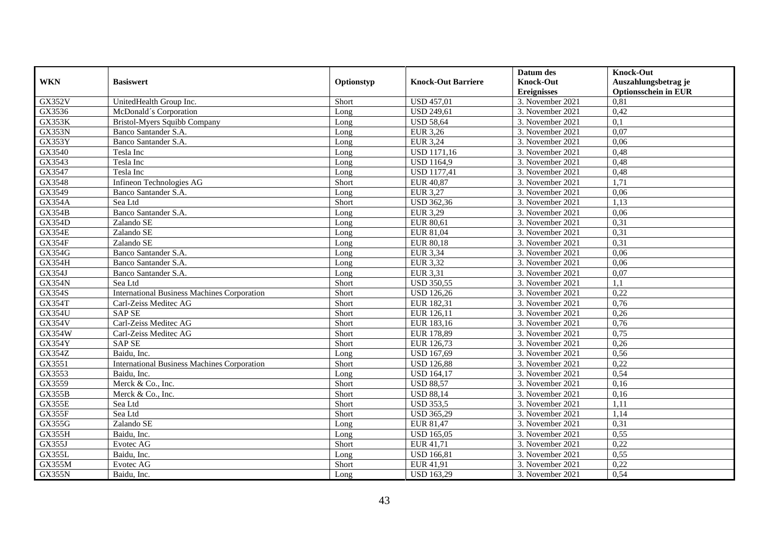|               |                                                    |            |                           | Datum des          | <b>Knock-Out</b>            |
|---------------|----------------------------------------------------|------------|---------------------------|--------------------|-----------------------------|
| <b>WKN</b>    | <b>Basiswert</b>                                   | Optionstyp | <b>Knock-Out Barriere</b> | <b>Knock-Out</b>   | Auszahlungsbetrag je        |
|               |                                                    |            |                           | <b>Ereignisses</b> | <b>Optionsschein in EUR</b> |
| <b>GX352V</b> | UnitedHealth Group Inc.                            | Short      | <b>USD 457,01</b>         | 3. November 2021   | 0,81                        |
| GX3536        | McDonald's Corporation                             | Long       | <b>USD 249,61</b>         | 3. November 2021   | 0,42                        |
| GX353K        | Bristol-Myers Squibb Company                       | Long       | <b>USD 58,64</b>          | 3. November 2021   | 0,1                         |
| GX353N        | Banco Santander S.A.                               | Long       | <b>EUR 3,26</b>           | 3. November 2021   | 0,07                        |
| GX353Y        | Banco Santander S.A.                               | Long       | <b>EUR 3,24</b>           | 3. November 2021   | 0,06                        |
| GX3540        | Tesla Inc                                          | Long       | <b>USD 1171,16</b>        | 3. November 2021   | 0,48                        |
| GX3543        | Tesla Inc                                          | Long       | <b>USD 1164,9</b>         | 3. November 2021   | 0,48                        |
| GX3547        | Tesla Inc                                          | Long       | <b>USD 1177,41</b>        | 3. November 2021   | 0,48                        |
| GX3548        | Infineon Technologies AG                           | Short      | <b>EUR 40,87</b>          | 3. November 2021   | 1,71                        |
| GX3549        | Banco Santander S.A.                               | Long       | <b>EUR 3,27</b>           | 3. November 2021   | 0,06                        |
| <b>GX354A</b> | Sea Ltd                                            | Short      | <b>USD 362,36</b>         | 3. November 2021   | 1,13                        |
| <b>GX354B</b> | Banco Santander S.A.                               | Long       | <b>EUR 3,29</b>           | 3. November 2021   | 0,06                        |
| GX354D        | Zalando SE                                         | Long       | <b>EUR 80,61</b>          | 3. November 2021   | 0,31                        |
| <b>GX354E</b> | Zalando SE                                         | Long       | EUR 81,04                 | 3. November 2021   | 0,31                        |
| <b>GX354F</b> | Zalando SE                                         | Long       | <b>EUR 80,18</b>          | 3. November 2021   | 0,31                        |
| GX354G        | Banco Santander S.A.                               | Long       | <b>EUR 3,34</b>           | 3. November 2021   | 0,06                        |
| <b>GX354H</b> | Banco Santander S.A.                               | Long       | <b>EUR 3,32</b>           | 3. November 2021   | 0,06                        |
| GX354J        | Banco Santander S.A.                               | Long       | <b>EUR 3,31</b>           | 3. November 2021   | 0,07                        |
| <b>GX354N</b> | Sea Ltd                                            | Short      | <b>USD 350,55</b>         | 3. November 2021   | 1,1                         |
| <b>GX354S</b> | <b>International Business Machines Corporation</b> | Short      | <b>USD 126,26</b>         | 3. November 2021   | 0,22                        |
| GX354T        | Carl-Zeiss Meditec AG                              | Short      | EUR 182,31                | 3. November 2021   | 0,76                        |
| <b>GX354U</b> | <b>SAP SE</b>                                      | Short      | EUR 126,11                | 3. November 2021   | 0,26                        |
| GX354V        | Carl-Zeiss Meditec AG                              | Short      | EUR 183,16                | 3. November 2021   | 0,76                        |
| <b>GX354W</b> | Carl-Zeiss Meditec AG                              | Short      | EUR 178,89                | 3. November 2021   | 0,75                        |
| <b>GX354Y</b> | <b>SAP SE</b>                                      | Short      | EUR 126,73                | 3. November 2021   | 0,26                        |
| GX354Z        | Baidu, Inc.                                        | Long       | <b>USD 167,69</b>         | 3. November 2021   | 0,56                        |
| GX3551        | <b>International Business Machines Corporation</b> | Short      | <b>USD 126,88</b>         | 3. November 2021   | 0,22                        |
| GX3553        | Baidu, Inc.                                        | Long       | <b>USD 164,17</b>         | 3. November 2021   | 0,54                        |
| GX3559        | Merck & Co., Inc.                                  | Short      | <b>USD 88,57</b>          | 3. November 2021   | 0,16                        |
| <b>GX355B</b> | Merck & Co., Inc.                                  | Short      | <b>USD 88,14</b>          | 3. November 2021   | 0,16                        |
| GX355E        | Sea Ltd                                            | Short      | <b>USD 353,5</b>          | 3. November 2021   | 1,11                        |
| GX355F        | Sea Ltd                                            | Short      | <b>USD 365,29</b>         | 3. November 2021   | 1,14                        |
| <b>GX355G</b> | Zalando SE                                         | Long       | EUR 81,47                 | 3. November 2021   | 0,31                        |
| GX355H        | Baidu, Inc.                                        | Long       | <b>USD 165,05</b>         | 3. November 2021   | 0,55                        |
| GX355J        | Evotec AG                                          | Short      | EUR 41,71                 | 3. November 2021   | 0,22                        |
| GX355L        | Baidu, Inc.                                        | Long       | <b>USD 166,81</b>         | 3. November 2021   | 0,55                        |
| GX355M        | Evotec AG                                          | Short      | EUR 41,91                 | 3. November 2021   | 0,22                        |
| <b>GX355N</b> | Baidu, Inc.                                        | Long       | <b>USD 163,29</b>         | 3. November 2021   | 0,54                        |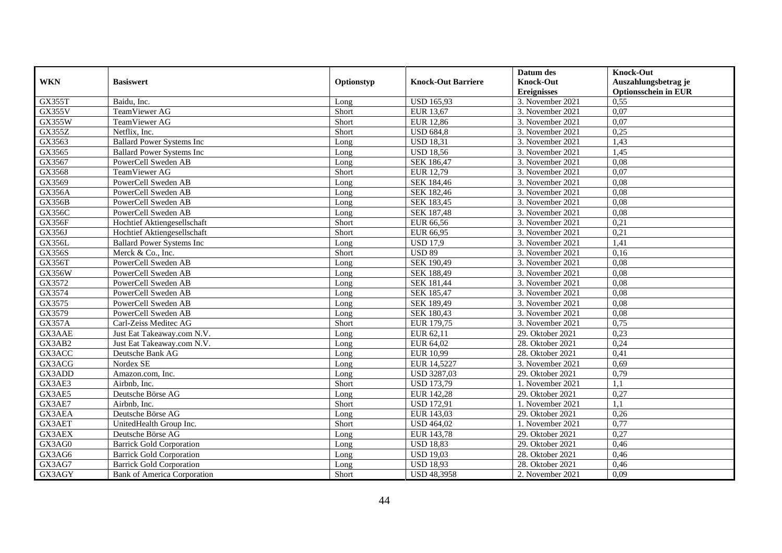|               |                                  |            |                           | Datum des          | <b>Knock-Out</b>            |
|---------------|----------------------------------|------------|---------------------------|--------------------|-----------------------------|
| <b>WKN</b>    | <b>Basiswert</b>                 | Optionstyp | <b>Knock-Out Barriere</b> | <b>Knock-Out</b>   | Auszahlungsbetrag je        |
|               |                                  |            |                           | <b>Ereignisses</b> | <b>Optionsschein in EUR</b> |
| GX355T        | Baidu, Inc.                      | Long       | <b>USD 165,93</b>         | 3. November 2021   | 0,55                        |
| <b>GX355V</b> | TeamViewer AG                    | Short      | EUR 13,67                 | 3. November 2021   | $0,\overline{07}$           |
| <b>GX355W</b> | TeamViewer AG                    | Short      | <b>EUR 12,86</b>          | 3. November 2021   | 0,07                        |
| GX355Z        | Netflix, Inc.                    | Short      | <b>USD 684,8</b>          | 3. November 2021   | 0,25                        |
| GX3563        | <b>Ballard Power Systems Inc</b> | Long       | <b>USD 18,31</b>          | 3. November 2021   | 1,43                        |
| GX3565        | <b>Ballard Power Systems Inc</b> | Long       | <b>USD 18,56</b>          | 3. November 2021   | 1,45                        |
| GX3567        | PowerCell Sweden AB              | Long       | SEK 186,47                | 3. November 2021   | 0,08                        |
| GX3568        | TeamViewer AG                    | Short      | <b>EUR 12,79</b>          | 3. November 2021   | 0,07                        |
| GX3569        | PowerCell Sweden AB              | Long       | SEK 184,46                | 3. November 2021   | 0,08                        |
| <b>GX356A</b> | PowerCell Sweden AB              | Long       | SEK 182,46                | 3. November 2021   | 0.08                        |
| <b>GX356B</b> | PowerCell Sweden AB              | Long       | SEK 183,45                | 3. November 2021   | 0,08                        |
| <b>GX356C</b> | PowerCell Sweden AB              | Long       | <b>SEK 187,48</b>         | 3. November 2021   | 0,08                        |
| GX356F        | Hochtief Aktiengesellschaft      | Short      | EUR 66,56                 | 3. November 2021   | 0,21                        |
| GX356J        | Hochtief Aktiengesellschaft      | Short      | EUR 66,95                 | 3. November 2021   | 0,21                        |
| GX356L        | <b>Ballard Power Systems Inc</b> | Long       | <b>USD 17,9</b>           | 3. November 2021   | 1,41                        |
| <b>GX356S</b> | Merck & Co., Inc.                | Short      | <b>USD 89</b>             | 3. November 2021   | 0,16                        |
| GX356T        | PowerCell Sweden AB              | Long       | SEK 190,49                | 3. November 2021   | 0,08                        |
| <b>GX356W</b> | PowerCell Sweden AB              | Long       | <b>SEK 188.49</b>         | 3. November 2021   | 0.08                        |
| GX3572        | PowerCell Sweden AB              | Long       | <b>SEK 181,44</b>         | 3. November 2021   | 0,08                        |
| GX3574        | PowerCell Sweden AB              | Long       | <b>SEK 185,47</b>         | 3. November 2021   | 0,08                        |
| GX3575        | PowerCell Sweden AB              | Long       | SEK 189,49                | 3. November 2021   | 0.08                        |
| GX3579        | PowerCell Sweden AB              | Long       | <b>SEK 180,43</b>         | 3. November 2021   | 0.08                        |
| <b>GX357A</b> | Carl-Zeiss Meditec AG            | Short      | EUR 179,75                | 3. November 2021   | 0,75                        |
| GX3AAE        | Just Eat Takeaway.com N.V.       | Long       | EUR 62,11                 | 29. Oktober 2021   | 0,23                        |
| GX3AB2        | Just Eat Takeaway.com N.V.       | Long       | EUR 64,02                 | 28. Oktober 2021   | 0,24                        |
| GX3ACC        | Deutsche Bank AG                 | Long       | <b>EUR 10,99</b>          | 28. Oktober 2021   | 0,41                        |
| GX3ACG        | Nordex SE                        | Long       | EUR 14,5227               | 3. November 2021   | 0,69                        |
| GX3ADD        | Amazon.com, Inc.                 | Long       | <b>USD 3287,03</b>        | 29. Oktober 2021   | 0,79                        |
| GX3AE3        | Airbnb, Inc.                     | Short      | <b>USD 173,79</b>         | 1. November 2021   | 1,1                         |
| GX3AE5        | Deutsche Börse AG                | Long       | EUR 142,28                | 29. Oktober 2021   | 0,27                        |
| GX3AE7        | Airbnb. Inc.                     | Short      | <b>USD 172,91</b>         | 1. November 2021   | 1,1                         |
| GX3AEA        | Deutsche Börse AG                | Long       | EUR 143,03                | 29. Oktober 2021   | 0,26                        |
| GX3AET        | UnitedHealth Group Inc.          | Short      | <b>USD 464,02</b>         | 1. November 2021   | 0,77                        |
| GX3AEX        | Deutsche Börse AG                | Long       | EUR 143,78                | 29. Oktober 2021   | 0,27                        |
| GX3AG0        | <b>Barrick Gold Corporation</b>  | Long       | <b>USD 18,83</b>          | 29. Oktober 2021   | 0,46                        |
| GX3AG6        | <b>Barrick Gold Corporation</b>  | Long       | <b>USD 19,03</b>          | 28. Oktober 2021   | 0,46                        |
| GX3AG7        | <b>Barrick Gold Corporation</b>  | Long       | <b>USD 18,93</b>          | 28. Oktober 2021   | 0,46                        |
| GX3AGY        | Bank of America Corporation      | Short      | <b>USD 48,3958</b>        | 2. November 2021   | 0,09                        |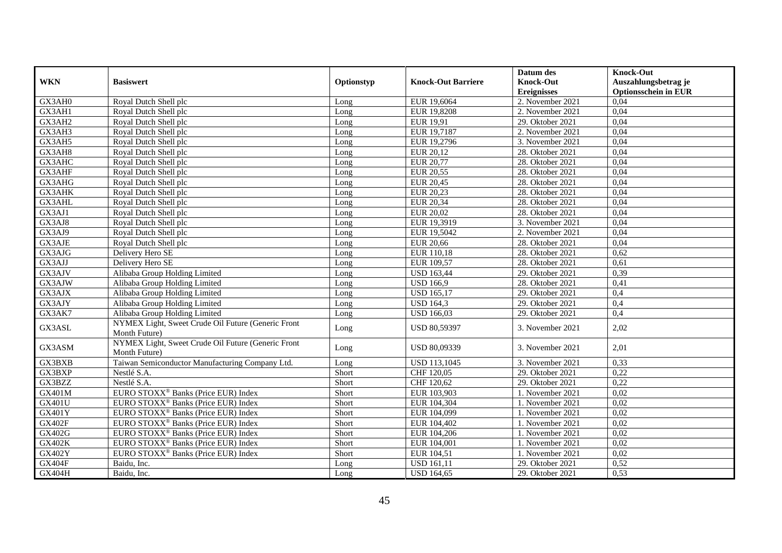|               |                                                    |            |                           | Datum des          | <b>Knock-Out</b>            |
|---------------|----------------------------------------------------|------------|---------------------------|--------------------|-----------------------------|
| <b>WKN</b>    | <b>Basiswert</b>                                   | Optionstyp | <b>Knock-Out Barriere</b> | <b>Knock-Out</b>   | Auszahlungsbetrag je        |
|               |                                                    |            |                           | <b>Ereignisses</b> | <b>Optionsschein in EUR</b> |
| GX3AH0        | Royal Dutch Shell plc                              | Long       | EUR 19,6064               | 2. November 2021   | 0,04                        |
| GX3AH1        | Royal Dutch Shell plc                              | Long       | EUR 19,8208               | 2. November 2021   | 0,04                        |
| GX3AH2        | Royal Dutch Shell plc                              | Long       | <b>EUR 19,91</b>          | 29. Oktober 2021   | 0,04                        |
| GX3AH3        | Royal Dutch Shell plc                              | Long       | EUR 19,7187               | 2. November 2021   | 0,04                        |
| GX3AH5        | Royal Dutch Shell plc                              | Long       | EUR 19,2796               | 3. November 2021   | 0,04                        |
| GX3AH8        | Royal Dutch Shell plc                              | Long       | <b>EUR 20,12</b>          | 28. Oktober 2021   | 0,04                        |
| GX3AHC        | Royal Dutch Shell plc                              | Long       | <b>EUR 20,77</b>          | 28. Oktober 2021   | 0,04                        |
| GX3AHF        | Royal Dutch Shell plc                              | Long       | EUR 20,55                 | 28. Oktober 2021   | 0,04                        |
| GX3AHG        | Royal Dutch Shell plc                              | Long       | <b>EUR 20,45</b>          | 28. Oktober 2021   | 0,04                        |
| GX3AHK        | Royal Dutch Shell plc                              | Long       | <b>EUR 20,23</b>          | 28. Oktober 2021   | 0,04                        |
| GX3AHL        | Royal Dutch Shell plc                              | Long       | <b>EUR 20,34</b>          | 28. Oktober 2021   | 0,04                        |
| GX3AJ1        | Royal Dutch Shell plc                              | Long       | <b>EUR 20,02</b>          | 28. Oktober 2021   | 0,04                        |
| GX3AJ8        | Royal Dutch Shell plc                              | Long       | EUR 19,3919               | 3. November 2021   | 0,04                        |
| GX3AJ9        | Royal Dutch Shell plc                              | Long       | EUR 19,5042               | 2. November 2021   | 0,04                        |
| GX3AJE        | Royal Dutch Shell plc                              | Long       | <b>EUR 20,66</b>          | 28. Oktober 2021   | 0,04                        |
| GX3AJG        | Delivery Hero SE                                   | Long       | EUR 110,18                | 28. Oktober 2021   | 0,62                        |
| GX3AJJ        | Delivery Hero SE                                   | Long       | EUR 109,57                | 28. Oktober 2021   | 0,61                        |
| GX3AJV        | Alibaba Group Holding Limited                      | Long       | <b>USD 163,44</b>         | 29. Oktober 2021   | 0,39                        |
| GX3AJW        | Alibaba Group Holding Limited                      | Long       | <b>USD 166,9</b>          | 28. Oktober 2021   | 0,41                        |
| GX3AJX        | Alibaba Group Holding Limited                      | Long       | <b>USD 165,17</b>         | 29. Oktober 2021   | 0,4                         |
| GX3AJY        | Alibaba Group Holding Limited                      | Long       | <b>USD 164,3</b>          | 29. Oktober 2021   | 0,4                         |
| GX3AK7        | Alibaba Group Holding Limited                      | Long       | <b>USD 166,03</b>         | 29. Oktober 2021   | 0,4                         |
|               | NYMEX Light, Sweet Crude Oil Future (Generic Front |            |                           |                    |                             |
| GX3ASL        | Month Future)                                      | Long       | USD 80,59397              | 3. November 2021   | 2,02                        |
| GX3ASM        | NYMEX Light, Sweet Crude Oil Future (Generic Front |            | USD 80,09339              | 3. November 2021   | 2,01                        |
|               | Month Future)                                      | Long       |                           |                    |                             |
| GX3BXB        | Taiwan Semiconductor Manufacturing Company Ltd.    | Long       | USD 113,1045              | 3. November 2021   | 0,33                        |
| GX3BXP        | Nestlé S.A.                                        | Short      | CHF 120,05                | 29. Oktober 2021   | 0,22                        |
| GX3BZZ        | Nestlé S.A.                                        | Short      | CHF 120,62                | 29. Oktober 2021   | 0,22                        |
| GX401M        | EURO STOXX <sup>®</sup> Banks (Price EUR) Index    | Short      | EUR 103,903               | 1. November 2021   | 0,02                        |
| <b>GX401U</b> | EURO STOXX <sup>®</sup> Banks (Price EUR) Index    | Short      | EUR 104,304               | 1. November 2021   | 0,02                        |
| <b>GX401Y</b> | EURO STOXX <sup>®</sup> Banks (Price EUR) Index    | Short      | EUR 104,099               | 1. November 2021   | 0,02                        |
| <b>GX402F</b> | EURO STOXX <sup>®</sup> Banks (Price EUR) Index    | Short      | EUR 104,402               | 1. November 2021   | 0,02                        |
| GX402G        | EURO STOXX <sup>®</sup> Banks (Price EUR) Index    | Short      | EUR 104,206               | 1. November 2021   | 0,02                        |
| <b>GX402K</b> | EURO STOXX <sup>®</sup> Banks (Price EUR) Index    | Short      | EUR 104,001               | 1. November 2021   | 0,02                        |
| <b>GX402Y</b> | EURO STOXX <sup>®</sup> Banks (Price EUR) Index    | Short      | EUR 104,51                | 1. November 2021   | 0,02                        |
| <b>GX404F</b> | Baidu, Inc.                                        | Long       | <b>USD 161,11</b>         | 29. Oktober 2021   | 0,52                        |
| GX404H        | Baidu, Inc.                                        | Long       | <b>USD 164,65</b>         | 29. Oktober 2021   | 0,53                        |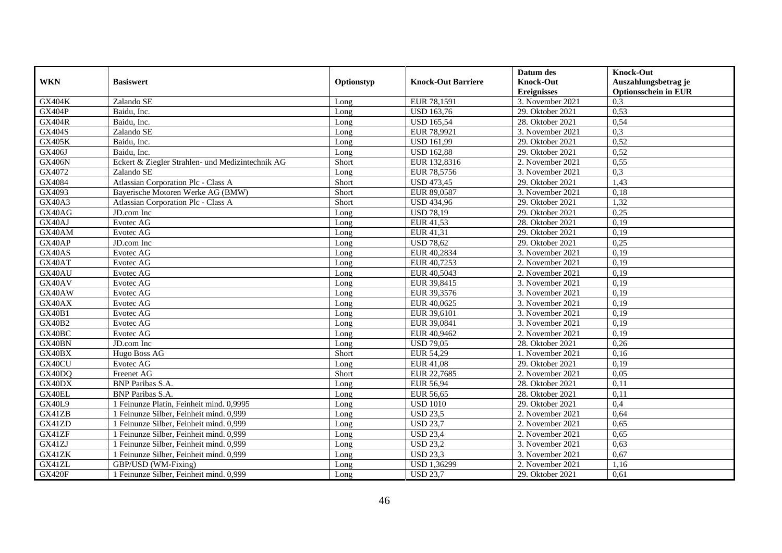|               |                                                  |            |                           | Datum des          | <b>Knock-Out</b>            |
|---------------|--------------------------------------------------|------------|---------------------------|--------------------|-----------------------------|
| <b>WKN</b>    | <b>Basiswert</b>                                 | Optionstyp | <b>Knock-Out Barriere</b> | <b>Knock-Out</b>   | Auszahlungsbetrag je        |
|               |                                                  |            |                           | <b>Ereignisses</b> | <b>Optionsschein in EUR</b> |
| <b>GX404K</b> | Zalando SE                                       | Long       | EUR 78,1591               | 3. November 2021   | 0,3                         |
| GX404P        | Baidu, Inc.                                      | Long       | <b>USD 163,76</b>         | 29. Oktober 2021   | 0,53                        |
| <b>GX404R</b> | Baidu, Inc.                                      | Long       | <b>USD 165,54</b>         | 28. Oktober 2021   | 0,54                        |
| GX404S        | Zalando SE                                       | Long       | EUR 78,9921               | 3. November 2021   | 0,3                         |
| <b>GX405K</b> | Baidu, Inc.                                      | Long       | <b>USD 161,99</b>         | 29. Oktober 2021   | 0,52                        |
| GX406J        | Baidu, Inc.                                      | Long       | <b>USD 162,88</b>         | 29. Oktober 2021   | 0,52                        |
| <b>GX406N</b> | Eckert & Ziegler Strahlen- und Medizintechnik AG | Short      | EUR 132,8316              | 2. November 2021   | 0,55                        |
| GX4072        | Zalando SE                                       | Long       | EUR 78,5756               | 3. November 2021   | 0,3                         |
| GX4084        | Atlassian Corporation Plc - Class A              | Short      | <b>USD 473,45</b>         | 29. Oktober 2021   | 1,43                        |
| GX4093        | Bayerische Motoren Werke AG (BMW)                | Short      | EUR 89,0587               | 3. November 2021   | 0,18                        |
| <b>GX40A3</b> | Atlassian Corporation Plc - Class A              | Short      | <b>USD 434,96</b>         | 29. Oktober 2021   | 1,32                        |
| GX40AG        | JD.com Inc                                       | Long       | <b>USD 78,19</b>          | 29. Oktober 2021   | 0,25                        |
| GX40AJ        | Evotec AG                                        | Long       | EUR 41,53                 | 28. Oktober 2021   | 0,19                        |
| GX40AM        | Evotec AG                                        | Long       | EUR 41,31                 | 29. Oktober 2021   | 0,19                        |
| GX40AP        | JD.com Inc                                       | Long       | <b>USD 78,62</b>          | 29. Oktober 2021   | 0,25                        |
| GX40AS        | Evotec AG                                        | Long       | EUR 40,2834               | 3. November 2021   | 0,19                        |
| GX40AT        | Evotec AG                                        | Long       | EUR 40,7253               | 2. November 2021   | 0,19                        |
| GX40AU        | Evotec AG                                        | Long       | EUR 40,5043               | 2. November 2021   | 0,19                        |
| GX40AV        | Evotec AG                                        | Long       | EUR 39,8415               | 3. November 2021   | 0,19                        |
| GX40AW        | Evotec AG                                        | Long       | EUR 39,3576               | 3. November 2021   | 0,19                        |
| GX40AX        | Evotec AG                                        | Long       | EUR 40,0625               | 3. November 2021   | 0,19                        |
| <b>GX40B1</b> | Evotec AG                                        | Long       | EUR 39,6101               | 3. November 2021   | 0,19                        |
| <b>GX40B2</b> | Evotec AG                                        | Long       | EUR 39,0841               | 3. November 2021   | 0,19                        |
| GX40BC        | Evotec AG                                        | Long       | EUR 40,9462               | 2. November 2021   | 0,19                        |
| GX40BN        | JD.com Inc.                                      | Long       | <b>USD 79,05</b>          | 28. Oktober 2021   | 0,26                        |
| GX40BX        | Hugo Boss AG                                     | Short      | <b>EUR 54,29</b>          | 1. November 2021   | 0,16                        |
| GX40CU        | Evotec AG                                        | Long       | <b>EUR 41,08</b>          | 29. Oktober 2021   | 0,19                        |
| GX40DQ        | Freenet AG                                       | Short      | EUR 22,7685               | 2. November 2021   | 0.05                        |
| GX40DX        | <b>BNP</b> Paribas S.A.                          | Long       | <b>EUR 56,94</b>          | 28. Oktober 2021   | 0,11                        |
| GX40EL        | <b>BNP</b> Paribas S.A.                          | Long       | EUR 56,65                 | 28. Oktober 2021   | 0,11                        |
| <b>GX40L9</b> | 1 Feinunze Platin, Feinheit mind. 0,9995         | Long       | <b>USD 1010</b>           | 29. Oktober 2021   | 0,4                         |
| GX41ZB        | 1 Feinunze Silber, Feinheit mind. 0,999          | Long       | <b>USD 23,5</b>           | 2. November 2021   | 0,64                        |
| GX41ZD        | 1 Feinunze Silber, Feinheit mind. 0,999          | Long       | <b>USD 23,7</b>           | 2. November 2021   | 0,65                        |
| GX41ZF        | 1 Feinunze Silber, Feinheit mind. 0,999          | Long       | <b>USD 23,4</b>           | 2. November 2021   | 0,65                        |
| GX41ZJ        | 1 Feinunze Silber, Feinheit mind. 0,999          | Long       | <b>USD 23,2</b>           | 3. November 2021   | 0,63                        |
| GX41ZK        | 1 Feinunze Silber, Feinheit mind. 0,999          | Long       | <b>USD 23,3</b>           | 3. November 2021   | 0,67                        |
| GX41ZL        | GBP/USD (WM-Fixing)                              | Long       | USD 1,36299               | 2. November 2021   | 1,16                        |
| <b>GX420F</b> | 1 Feinunze Silber, Feinheit mind. 0,999          | Long       | <b>USD 23,7</b>           | 29. Oktober 2021   | 0,61                        |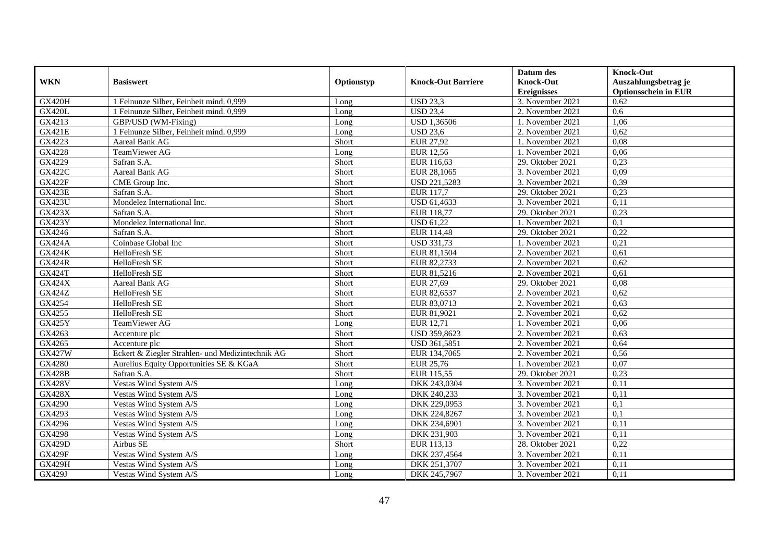|               |                                                  |            |                           | Datum des          | <b>Knock-Out</b>            |
|---------------|--------------------------------------------------|------------|---------------------------|--------------------|-----------------------------|
| <b>WKN</b>    | <b>Basiswert</b>                                 | Optionstyp | <b>Knock-Out Barriere</b> | <b>Knock-Out</b>   | Auszahlungsbetrag je        |
|               |                                                  |            |                           | <b>Ereignisses</b> | <b>Optionsschein in EUR</b> |
| <b>GX420H</b> | 1 Feinunze Silber, Feinheit mind. 0,999          | Long       | <b>USD 23,3</b>           | 3. November 2021   | 0,62                        |
| <b>GX420L</b> | 1 Feinunze Silber, Feinheit mind. 0,999          | Long       | <b>USD 23,4</b>           | 2. November 2021   | 0,6                         |
| GX4213        | GBP/USD (WM-Fixing)                              | Long       | <b>USD 1,36506</b>        | 1. November 2021   | 1,06                        |
| <b>GX421E</b> | 1 Feinunze Silber, Feinheit mind. 0,999          | Long       | <b>USD 23,6</b>           | 2. November 2021   | 0,62                        |
| GX4223        | Aareal Bank AG                                   | Short      | <b>EUR 27,92</b>          | 1. November 2021   | 0,08                        |
| GX4228        | TeamViewer AG                                    | Long       | <b>EUR 12,56</b>          | 1. November 2021   | 0,06                        |
| GX4229        | Safran S.A.                                      | Short      | EUR 116,63                | 29. Oktober 2021   | 0,23                        |
| <b>GX422C</b> | <b>Aareal Bank AG</b>                            | Short      | EUR 28,1065               | 3. November 2021   | 0,09                        |
| <b>GX422F</b> | CME Group Inc.                                   | Short      | USD 221,5283              | 3. November 2021   | 0,39                        |
| <b>GX423E</b> | Safran S.A.                                      | Short      | EUR 117,7                 | 29. Oktober 2021   | 0,23                        |
| <b>GX423U</b> | Mondelez International Inc.                      | Short      | USD 61,4633               | 3. November 2021   | 0,11                        |
| <b>GX423X</b> | Safran S.A.                                      | Short      | EUR 118,77                | 29. Oktober 2021   | 0,23                        |
| <b>GX423Y</b> | Mondelez International Inc.                      | Short      | <b>USD 61,22</b>          | 1. November 2021   | 0,1                         |
| GX4246        | Safran S.A.                                      | Short      | EUR 114,48                | 29. Oktober 2021   | 0,22                        |
| <b>GX424A</b> | Coinbase Global Inc                              | Short      | <b>USD 331,73</b>         | 1. November 2021   | 0,21                        |
| <b>GX424K</b> | HelloFresh SE                                    | Short      | EUR 81,1504               | 2. November 2021   | 0,61                        |
| <b>GX424R</b> | HelloFresh SE                                    | Short      | EUR 82,2733               | 2. November 2021   | 0.62                        |
| <b>GX424T</b> | HelloFresh SE                                    | Short      | EUR 81,5216               | 2. November 2021   | 0,61                        |
| <b>GX424X</b> | Aareal Bank AG                                   | Short      | EUR 27,69                 | 29. Oktober 2021   | 0,08                        |
| <b>GX424Z</b> | HelloFresh SE                                    | Short      | EUR 82,6537               | 2. November 2021   | 0,62                        |
| GX4254        | HelloFresh SE                                    | Short      | EUR 83,0713               | 2. November 2021   | 0,63                        |
| GX4255        | HelloFresh SE                                    | Short      | EUR 81,9021               | 2. November 2021   | 0,62                        |
| <b>GX425Y</b> | TeamViewer AG                                    | Long       | <b>EUR 12,71</b>          | 1. November 2021   | 0,06                        |
| GX4263        | Accenture plc                                    | Short      | USD 359,8623              | 2. November 2021   | 0.63                        |
| GX4265        | Accenture plc                                    | Short      | USD 361,5851              | 2. November 2021   | 0,64                        |
| GX427W        | Eckert & Ziegler Strahlen- und Medizintechnik AG | Short      | EUR 134,7065              | 2. November 2021   | 0,56                        |
| GX4280        | Aurelius Equity Opportunities SE & KGaA          | Short      | EUR 25,76                 | 1. November 2021   | 0,07                        |
| <b>GX428B</b> | Safran S.A.                                      | Short      | EUR 115,55                | 29. Oktober 2021   | 0,23                        |
| <b>GX428V</b> | Vestas Wind System A/S                           | Long       | DKK 243,0304              | 3. November 2021   | 0,11                        |
| <b>GX428X</b> | Vestas Wind System A/S                           | Long       | DKK 240,233               | 3. November 2021   | 0,11                        |
| GX4290        | Vestas Wind System A/S                           | Long       | DKK 229,0953              | 3. November 2021   | 0,1                         |
| GX4293        | Vestas Wind System A/S                           | Long       | DKK 224,8267              | 3. November 2021   | 0,1                         |
| GX4296        | Vestas Wind System A/S                           | Long       | DKK 234,6901              | 3. November 2021   | 0,11                        |
| GX4298        | Vestas Wind System A/S                           | Long       | DKK 231,903               | 3. November 2021   | 0,11                        |
| <b>GX429D</b> | Airbus SE                                        | Short      | EUR 113,13                | 28. Oktober 2021   | 0,22                        |
| <b>GX429F</b> | Vestas Wind System A/S                           | Long       | DKK 237,4564              | 3. November 2021   | 0,11                        |
| <b>GX429H</b> | Vestas Wind System A/S                           | Long       | DKK 251,3707              | 3. November 2021   | 0,11                        |
| GX429J        | Vestas Wind System A/S                           | Long       | DKK 245,7967              | 3. November 2021   | 0,11                        |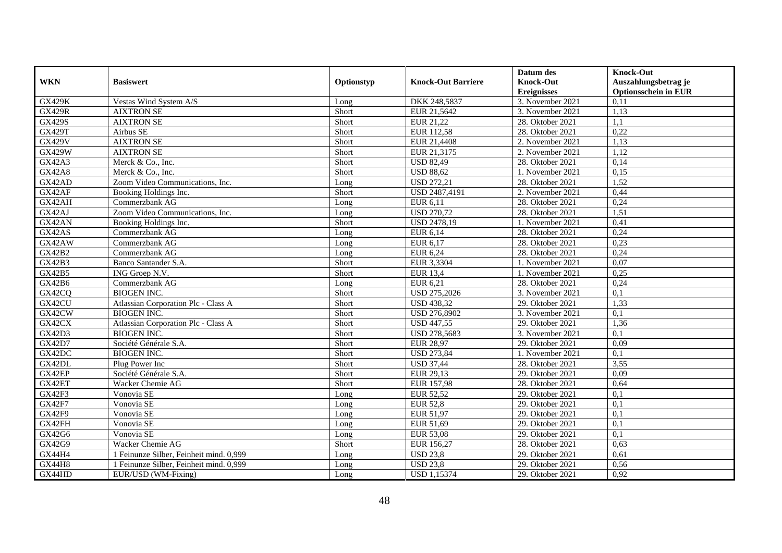|               |                                         |            |                           | Datum des                              | <b>Knock-Out</b>                                    |
|---------------|-----------------------------------------|------------|---------------------------|----------------------------------------|-----------------------------------------------------|
| <b>WKN</b>    | <b>Basiswert</b>                        | Optionstyp | <b>Knock-Out Barriere</b> | <b>Knock-Out</b><br><b>Ereignisses</b> | Auszahlungsbetrag je<br><b>Optionsschein in EUR</b> |
| <b>GX429K</b> | Vestas Wind System A/S                  | Long       | DKK 248,5837              | 3. November 2021                       | 0,11                                                |
| <b>GX429R</b> | <b>AIXTRON SE</b>                       | Short      | EUR 21,5642               | 3. November 2021                       | 1,13                                                |
| GX429S        | <b>AIXTRON SE</b>                       | Short      | EUR 21,22                 | 28. Oktober 2021                       | 1.1                                                 |
| <b>GX429T</b> | Airbus SE                               | Short      | EUR 112,58                | 28. Oktober 2021                       | 0,22                                                |
| <b>GX429V</b> | <b>AIXTRON SE</b>                       | Short      | EUR 21,4408               | 2. November 2021                       | 1,13                                                |
| <b>GX429W</b> | <b>AIXTRON SE</b>                       | Short      | EUR 21,3175               | 2. November 2021                       | 1,12                                                |
| <b>GX42A3</b> | Merck & Co., Inc.                       | Short      | <b>USD 82,49</b>          | 28. Oktober 2021                       | 0,14                                                |
| <b>GX42A8</b> | Merck & Co., Inc.                       | Short      | <b>USD 88,62</b>          | 1. November 2021                       | 0,15                                                |
| GX42AD        | Zoom Video Communications, Inc.         | Long       | <b>USD 272,21</b>         | 28. Oktober 2021                       | 1,52                                                |
| GX42AF        | Booking Holdings Inc.                   | Short      | USD 2487,4191             | 2. November 2021                       | 0,44                                                |
| GX42AH        | Commerzbank AG                          | Long       | EUR 6,11                  | 28. Oktober 2021                       | 0,24                                                |
| GX42AJ        | Zoom Video Communications, Inc.         | Long       | <b>USD 270,72</b>         | 28. Oktober 2021                       | 1,51                                                |
| GX42AN        | Booking Holdings Inc.                   | Short      | <b>USD 2478,19</b>        | 1. November 2021                       | 0,41                                                |
| GX42AS        | Commerzbank AG                          | Long       | EUR 6,14                  | 28. Oktober 2021                       | 0,24                                                |
| GX42AW        | Commerzbank AG                          | Long       | EUR 6,17                  | 28. Oktober 2021                       | 0,23                                                |
| GX42B2        | Commerzbank AG                          | Long       | <b>EUR 6,24</b>           | 28. Oktober 2021                       | 0,24                                                |
| GX42B3        | Banco Santander S.A.                    | Short      | EUR 3,3304                | 1. November 2021                       | 0,07                                                |
| GX42B5        | ING Groep N.V.                          | Short      | <b>EUR 13,4</b>           | 1. November 2021                       | 0,25                                                |
| GX42B6        | Commerzbank AG                          | Long       | EUR 6,21                  | 28. Oktober 2021                       | 0,24                                                |
| GX42CQ        | <b>BIOGEN INC.</b>                      | Short      | USD 275,2026              | 3. November 2021                       | 0,1                                                 |
| GX42CU        | Atlassian Corporation Plc - Class A     | Short      | <b>USD 438,32</b>         | 29. Oktober 2021                       | 1,33                                                |
| GX42CW        | <b>BIOGEN INC.</b>                      | Short      | <b>USD 276,8902</b>       | 3. November 2021                       | 0,1                                                 |
| GX42CX        | Atlassian Corporation Plc - Class A     | Short      | <b>USD 447,55</b>         | 29. Oktober 2021                       | 1,36                                                |
| GX42D3        | <b>BIOGEN INC.</b>                      | Short      | USD 278,5683              | 3. November 2021                       | 0,1                                                 |
| GX42D7        | Société Générale S.A.                   | Short      | <b>EUR 28,97</b>          | 29. Oktober 2021                       | 0,09                                                |
| GX42DC        | <b>BIOGEN INC.</b>                      | Short      | <b>USD 273,84</b>         | 1. November 2021                       | 0,1                                                 |
| GX42DL        | Plug Power Inc                          | Short      | <b>USD 37,44</b>          | 28. Oktober 2021                       | 3,55                                                |
| GX42EP        | Société Générale S.A.                   | Short      | EUR 29,13                 | 29. Oktober 2021                       | 0,09                                                |
| GX42ET        | Wacker Chemie AG                        | Short      | <b>EUR 157,98</b>         | 28. Oktober 2021                       | 0,64                                                |
| GX42F3        | Vonovia SE                              | Long       | EUR 52,52                 | 29. Oktober 2021                       | 0,1                                                 |
| <b>GX42F7</b> | Vonovia SE                              | Long       | <b>EUR 52,8</b>           | 29. Oktober 2021                       | 0,1                                                 |
| GX42F9        | Vonovia SE                              | Long       | EUR 51,97                 | 29. Oktober 2021                       | 0,1                                                 |
| GX42FH        | Vonovia SE                              | Long       | EUR 51,69                 | 29. Oktober 2021                       | 0,1                                                 |
| GX42G6        | Vonovia SE                              | Long       | <b>EUR 53,08</b>          | 29. Oktober 2021                       | 0,1                                                 |
| GX42G9        | Wacker Chemie AG                        | Short      | EUR 156,27                | 28. Oktober 2021                       | 0,63                                                |
| GX44H4        | 1 Feinunze Silber, Feinheit mind. 0,999 | Long       | <b>USD 23,8</b>           | 29. Oktober 2021                       | 0,61                                                |
| <b>GX44H8</b> | 1 Feinunze Silber, Feinheit mind. 0,999 | Long       | <b>USD 23,8</b>           | 29. Oktober 2021                       | 0,56                                                |
| GX44HD        | EUR/USD (WM-Fixing)                     | Long       | <b>USD 1,15374</b>        | 29. Oktober 2021                       | 0,92                                                |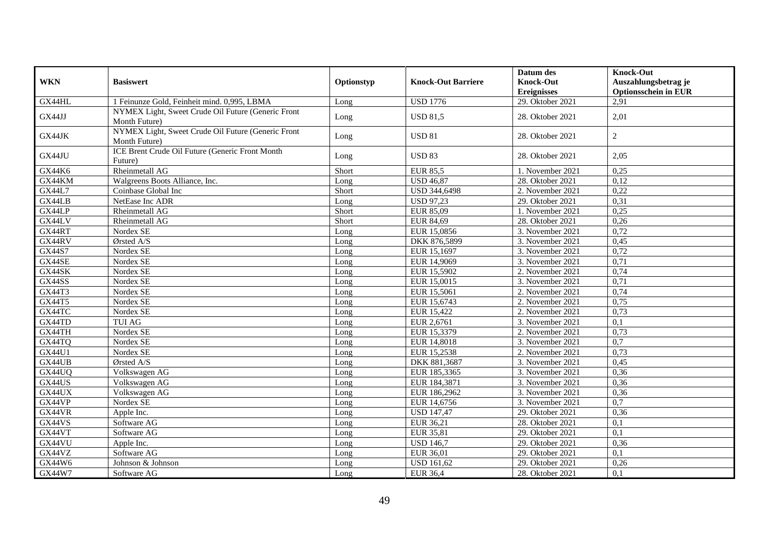| <b>WKN</b> | <b>Basiswert</b>                                                    | Optionstyp | <b>Knock-Out Barriere</b> | Datum des<br><b>Knock-Out</b><br><b>Ereignisses</b> | <b>Knock-Out</b><br>Auszahlungsbetrag je<br><b>Optionsschein in EUR</b> |
|------------|---------------------------------------------------------------------|------------|---------------------------|-----------------------------------------------------|-------------------------------------------------------------------------|
| GX44HL     | 1 Feinunze Gold, Feinheit mind. 0,995, LBMA                         | Long       | <b>USD 1776</b>           | 29. Oktober 2021                                    | 2,91                                                                    |
| GX44JJ     | NYMEX Light, Sweet Crude Oil Future (Generic Front<br>Month Future) | Long       | <b>USD 81,5</b>           | 28. Oktober 2021                                    | 2,01                                                                    |
| GX44JK     | NYMEX Light, Sweet Crude Oil Future (Generic Front<br>Month Future) | Long       | <b>USD 81</b>             | 28. Oktober 2021                                    | $\sqrt{2}$                                                              |
| GX44JU     | ICE Brent Crude Oil Future (Generic Front Month<br>Future)          | Long       | <b>USD 83</b>             | 28. Oktober 2021                                    | 2,05                                                                    |
| GX44K6     | Rheinmetall AG                                                      | Short      | <b>EUR 85,5</b>           | 1. November 2021                                    | 0,25                                                                    |
| GX44KM     | Walgreens Boots Alliance, Inc.                                      | Long       | <b>USD 46,87</b>          | 28. Oktober 2021                                    | 0,12                                                                    |
| GX44L7     | Coinbase Global Inc                                                 | Short      | USD 344,6498              | 2. November 2021                                    | 0,22                                                                    |
| GX44LB     | NetEase Inc ADR                                                     | Long       | <b>USD 97,23</b>          | 29. Oktober 2021                                    | 0,31                                                                    |
| GX44LP     | Rheinmetall AG                                                      | Short      | EUR 85,09                 | 1. November 2021                                    | 0,25                                                                    |
| GX44LV     | Rheinmetall AG                                                      | Short      | EUR 84,69                 | 28. Oktober 2021                                    | 0,26                                                                    |
| GX44RT     | Nordex SE                                                           | Long       | EUR 15,0856               | 3. November 2021                                    | 0,72                                                                    |
| GX44RV     | Ørsted A/S                                                          | Long       | DKK 876,5899              | 3. November 2021                                    | 0,45                                                                    |
| GX44S7     | Nordex SE                                                           | Long       | EUR 15,1697               | 3. November 2021                                    | 0,72                                                                    |
| GX44SE     | Nordex SE                                                           | Long       | EUR 14,9069               | 3. November 2021                                    | 0,71                                                                    |
| GX44SK     | Nordex SE                                                           | Long       | EUR 15,5902               | 2. November 2021                                    | 0,74                                                                    |
| GX44SS     | Nordex SE                                                           | Long       | EUR 15,0015               | 3. November $2021$                                  | 0,71                                                                    |
| GX44T3     | Nordex SE                                                           | Long       | EUR 15,5061               | 2. November 2021                                    | 0,74                                                                    |
| GX44T5     | Nordex SE                                                           | Long       | EUR 15,6743               | 2. November 2021                                    | 0,75                                                                    |
| GX44TC     | Nordex SE                                                           | Long       | EUR 15,422                | 2. November 2021                                    | 0,73                                                                    |
| GX44TD     | <b>TUI AG</b>                                                       | Long       | EUR 2,6761                | 3. November 2021                                    | 0,1                                                                     |
| GX44TH     | Nordex SE                                                           | Long       | EUR 15,3379               | 2. November 2021                                    | 0,73                                                                    |
| GX44TQ     | Nordex SE                                                           | Long       | EUR 14,8018               | 3. November 2021                                    | 0,7                                                                     |
| GX44U1     | Nordex SE                                                           | Long       | EUR 15,2538               | 2. November 2021                                    | 0,73                                                                    |
| GX44UB     | Ørsted A/S                                                          | Long       | DKK 881,3687              | 3. November 2021                                    | 0,45                                                                    |
| GX44UQ     | Volkswagen AG                                                       | Long       | EUR 185,3365              | 3. November 2021                                    | 0,36                                                                    |
| GX44US     | Volkswagen AG                                                       | Long       | EUR 184,3871              | 3. November 2021                                    | 0,36                                                                    |
| GX44UX     | Volkswagen AG                                                       | Long       | EUR 186,2962              | 3. November 2021                                    | 0,36                                                                    |
| GX44VP     | Nordex SE                                                           | Long       | EUR 14,6756               | 3. November 2021                                    | $\overline{0.7}$                                                        |
| GX44VR     | Apple Inc.                                                          | Long       | <b>USD 147,47</b>         | 29. Oktober 2021                                    | 0,36                                                                    |
| GX44VS     | Software AG                                                         | Long       | EUR 36,21                 | $28.$ Oktober 2021                                  | 0,1                                                                     |
| GX44VT     | Software AG                                                         | Long       | EUR 35,81                 | 29. Oktober 2021                                    | 0,1                                                                     |
| GX44VU     | Apple Inc.                                                          | Long       | <b>USD 146.7</b>          | 29. Oktober 2021                                    | 0,36                                                                    |
| GX44VZ     | Software AG                                                         | Long       | EUR 36,01                 | 29. Oktober 2021                                    | 0,1                                                                     |
| GX44W6     | Johnson & Johnson                                                   | Long       | <b>USD 161,62</b>         | 29. Oktober 2021                                    | 0,26                                                                    |
| GX44W7     | Software AG                                                         | Long       | <b>EUR 36,4</b>           | 28. Oktober 2021                                    | 0,1                                                                     |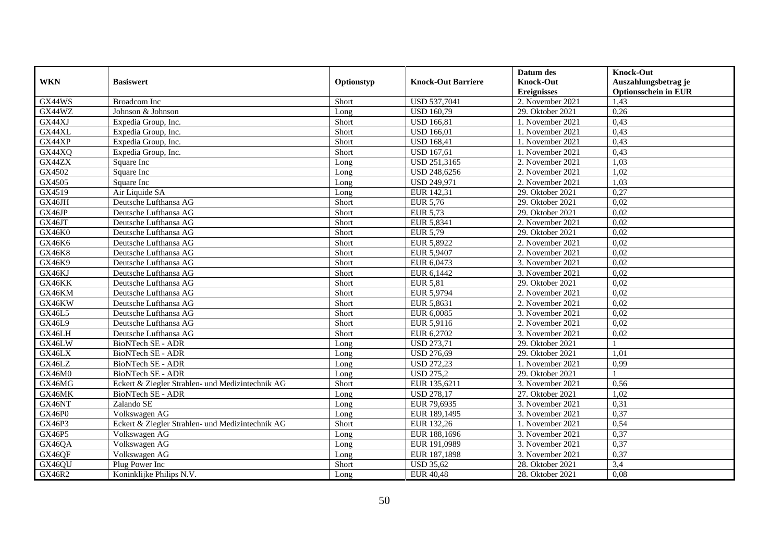|               |                                                  |            |                           | Datum des          | <b>Knock-Out</b>            |
|---------------|--------------------------------------------------|------------|---------------------------|--------------------|-----------------------------|
| <b>WKN</b>    | <b>Basiswert</b>                                 | Optionstyp | <b>Knock-Out Barriere</b> | <b>Knock-Out</b>   | Auszahlungsbetrag je        |
|               |                                                  |            |                           | <b>Ereignisses</b> | <b>Optionsschein in EUR</b> |
| GX44WS        | <b>Broadcom</b> Inc                              | Short      | USD 537,7041              | 2. November 2021   | 1,43                        |
| GX44WZ        | Johnson & Johnson                                | Long       | <b>USD 160,79</b>         | $29.$ Oktober 2021 | 0,26                        |
| GX44XJ        | Expedia Group, Inc.                              | Short      | <b>USD 166,81</b>         | 1. November 2021   | 0,43                        |
| GX44XL        | Expedia Group, Inc.                              | Short      | <b>USD 166,01</b>         | 1. November 2021   | 0,43                        |
| GX44XP        | Expedia Group, Inc.                              | Short      | <b>USD 168,41</b>         | 1. November 2021   | 0,43                        |
| GX44XQ        | Expedia Group, Inc.                              | Short      | <b>USD 167,61</b>         | 1. November 2021   | 0,43                        |
| GX44ZX        | Square Inc                                       | Long       | USD 251,3165              | 2. November 2021   | 1,03                        |
| GX4502        | Square Inc                                       | Long       | USD 248,6256              | 2. November 2021   | 1,02                        |
| GX4505        | Square Inc                                       | Long       | <b>USD 249,971</b>        | 2. November 2021   | 1,03                        |
| GX4519        | Air Liquide SA                                   | Long       | EUR 142,31                | 29. Oktober 2021   | 0,27                        |
| GX46JH        | Deutsche Lufthansa AG                            | Short      | <b>EUR 5,76</b>           | 29. Oktober 2021   | 0,02                        |
| GX46JP        | Deutsche Lufthansa AG                            | Short      | EUR 5,73                  | 29. Oktober 2021   | 0,02                        |
| GX46JT        | Deutsche Lufthansa AG                            | Short      | EUR 5,8341                | 2. November 2021   | 0,02                        |
| <b>GX46K0</b> | Deutsche Lufthansa AG                            | Short      | EUR 5,79                  | 29. Oktober 2021   | 0,02                        |
| GX46K6        | Deutsche Lufthansa AG                            | Short      | EUR 5,8922                | 2. November 2021   | 0,02                        |
| GX46K8        | Deutsche Lufthansa AG                            | Short      | EUR 5,9407                | 2. November 2021   | 0,02                        |
| GX46K9        | Deutsche Lufthansa AG                            | Short      | EUR 6,0473                | 3. November 2021   | 0,02                        |
| GX46KJ        | Deutsche Lufthansa AG                            | Short      | EUR 6.1442                | 3. November 2021   | 0,02                        |
| GX46KK        | Deutsche Lufthansa AG                            | Short      | <b>EUR 5,81</b>           | 29. Oktober 2021   | 0,02                        |
| GX46KM        | Deutsche Lufthansa AG                            | Short      | EUR 5,9794                | 2. November 2021   | 0,02                        |
| GX46KW        | Deutsche Lufthansa AG                            | Short      | EUR 5,8631                | 2. November 2021   | 0,02                        |
| <b>GX46L5</b> | Deutsche Lufthansa AG                            | Short      | EUR 6,0085                | 3. November 2021   | 0,02                        |
| GX46L9        | Deutsche Lufthansa AG                            | Short      | EUR 5,9116                | 2. November 2021   | 0,02                        |
| GX46LH        | Deutsche Lufthansa AG                            | Short      | EUR 6,2702                | 3. November 2021   | 0,02                        |
| GX46LW        | <b>BioNTech SE - ADR</b>                         | Long       | <b>USD 273,71</b>         | 29. Oktober 2021   |                             |
| GX46LX        | BioNTech SE - ADR                                | Long       | <b>USD 276,69</b>         | 29. Oktober 2021   | 1,01                        |
| GX46LZ        | BioNTech SE - ADR                                | Long       | <b>USD 272,23</b>         | 1. November 2021   | 0,99                        |
| GX46M0        | <b>BioNTech SE - ADR</b>                         | Long       | <b>USD 275,2</b>          | 29. Oktober 2021   |                             |
| GX46MG        | Eckert & Ziegler Strahlen- und Medizintechnik AG | Short      | EUR 135,6211              | 3. November 2021   | 0,56                        |
| GX46MK        | BioNTech SE - ADR                                | Long       | <b>USD 278,17</b>         | 27. Oktober 2021   | 1,02                        |
| GX46NT        | Zalando SE                                       | Long       | EUR 79,6935               | 3. November 2021   | 0,31                        |
| GX46P0        | Volkswagen AG                                    | Long       | EUR 189,1495              | 3. November 2021   | 0,37                        |
| GX46P3        | Eckert & Ziegler Strahlen- und Medizintechnik AG | Short      | EUR 132,26                | 1. November 2021   | 0,54                        |
| GX46P5        | Volkswagen AG                                    | Long       | EUR 188,1696              | 3. November 2021   | 0,37                        |
| GX46QA        | Volkswagen AG                                    | Long       | EUR 191,0989              | 3. November 2021   | 0,37                        |
| GX46QF        | Volkswagen AG                                    | Long       | EUR 187,1898              | 3. November 2021   | 0,37                        |
| GX46QU        | Plug Power Inc                                   | Short      | <b>USD 35,62</b>          | 28. Oktober 2021   | 3,4                         |
| GX46R2        | Koninklijke Philips N.V.                         | Long       | <b>EUR 40,48</b>          | 28. Oktober 2021   | 0,08                        |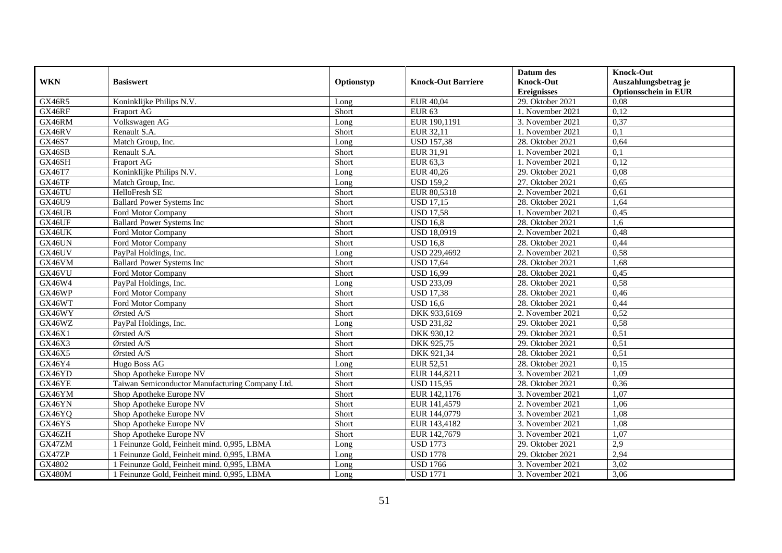|               |                                                 |            |                           | Datum des          | <b>Knock-Out</b>            |
|---------------|-------------------------------------------------|------------|---------------------------|--------------------|-----------------------------|
| <b>WKN</b>    | <b>Basiswert</b>                                | Optionstyp | <b>Knock-Out Barriere</b> | <b>Knock-Out</b>   | Auszahlungsbetrag je        |
|               |                                                 |            |                           | <b>Ereignisses</b> | <b>Optionsschein in EUR</b> |
| GX46R5        | Koninklijke Philips N.V.                        | Long       | <b>EUR 40,04</b>          | 29. Oktober 2021   | 0.08                        |
| GX46RF        | <b>Fraport AG</b>                               | Short      | <b>EUR 63</b>             | 1. November 2021   | 0,12                        |
| GX46RM        | Volkswagen AG                                   | Long       | EUR 190,1191              | 3. November 2021   | 0,37                        |
| GX46RV        | Renault S.A.                                    | Short      | EUR 32,11                 | 1. November 2021   | 0,1                         |
| GX46S7        | Match Group, Inc.                               | Long       | <b>USD 157,38</b>         | 28. Oktober 2021   | 0,64                        |
| GX46SB        | Renault S.A.                                    | Short      | EUR 31,91                 | 1. November 2021   | 0,1                         |
| GX46SH        | <b>Fraport AG</b>                               | Short      | EUR 63,3                  | 1. November 2021   | 0,12                        |
| GX46T7        | Koninklijke Philips N.V.                        | Long       | EUR 40,26                 | 29. Oktober 2021   | 0.08                        |
| GX46TF        | Match Group, Inc.                               | Long       | <b>USD 159,2</b>          | 27. Oktober 2021   | 0,65                        |
| GX46TU        | HelloFresh SE                                   | Short      | EUR 80,5318               | 2. November 2021   | 0,61                        |
| GX46U9        | <b>Ballard Power Systems Inc</b>                | Short      | <b>USD 17,15</b>          | 28. Oktober 2021   | 1,64                        |
| GX46UB        | Ford Motor Company                              | Short      | <b>USD 17,58</b>          | 1. November 2021   | 0,45                        |
| GX46UF        | <b>Ballard Power Systems Inc</b>                | Short      | <b>USD 16.8</b>           | 28. Oktober 2021   | 1,6                         |
| GX46UK        | Ford Motor Company                              | Short      | <b>USD 18,0919</b>        | 2. November 2021   | 0,48                        |
| GX46UN        | Ford Motor Company                              | Short      | <b>USD 16,8</b>           | 28. Oktober 2021   | 0,44                        |
| GX46UV        | PayPal Holdings, Inc.                           | Long       | USD 229,4692              | 2. November 2021   | 0,58                        |
| GX46VM        | <b>Ballard Power Systems Inc</b>                | Short      | <b>USD 17,64</b>          | 28. Oktober 2021   | 1,68                        |
| GX46VU        | Ford Motor Company                              | Short      | <b>USD 16,99</b>          | 28. Oktober 2021   | 0,45                        |
| GX46W4        | PayPal Holdings, Inc.                           | Long       | <b>USD 233,09</b>         | 28. Oktober 2021   | 0,58                        |
| GX46WP        | Ford Motor Company                              | Short      | <b>USD 17,38</b>          | 28. Oktober 2021   | 0,46                        |
| GX46WT        | Ford Motor Company                              | Short      | <b>USD 16,6</b>           | 28. Oktober 2021   | 0,44                        |
| GX46WY        | Ørsted A/S                                      | Short      | DKK 933,6169              | 2. November 2021   | 0,52                        |
| GX46WZ        | PayPal Holdings, Inc.                           | Long       | <b>USD 231,82</b>         | 29. Oktober 2021   | 0,58                        |
| GX46X1        | Ørsted A/S                                      | Short      | DKK 930,12                | 29. Oktober 2021   | 0,51                        |
| GX46X3        | Ørsted A/S                                      | Short      | DKK 925,75                | 29. Oktober 2021   | 0,51                        |
| GX46X5        | Ørsted A/S                                      | Short      | DKK 921,34                | 28. Oktober 2021   | 0,51                        |
| GX46Y4        | Hugo Boss AG                                    | Long       | <b>EUR 52,51</b>          | 28. Oktober 2021   | 0,15                        |
| GX46YD        | Shop Apotheke Europe NV                         | Short      | EUR 144,8211              | 3. November 2021   | 1,09                        |
| GX46YE        | Taiwan Semiconductor Manufacturing Company Ltd. | Short      | <b>USD 115,95</b>         | 28. Oktober 2021   | 0,36                        |
| GX46YM        | Shop Apotheke Europe NV                         | Short      | EUR 142,1176              | 3. November 2021   | 1,07                        |
| GX46YN        | Shop Apotheke Europe NV                         | Short      | EUR 141,4579              | 2. November 2021   | 1,06                        |
| GX46YQ        | Shop Apotheke Europe NV                         | Short      | EUR 144,0779              | 3. November 2021   | 1,08                        |
| GX46YS        | Shop Apotheke Europe NV                         | Short      | EUR 143,4182              | 3. November 2021   | 1,08                        |
| GX46ZH        | Shop Apotheke Europe NV                         | Short      | EUR 142,7679              | 3. November 2021   | 1,07                        |
| GX47ZM        | 1 Feinunze Gold, Feinheit mind. 0,995, LBMA     | Long       | <b>USD 1773</b>           | 29. Oktober 2021   | 2,9                         |
| GX47ZP        | 1 Feinunze Gold, Feinheit mind. 0,995, LBMA     | Long       | <b>USD 1778</b>           | 29. Oktober 2021   | 2,94                        |
| GX4802        | 1 Feinunze Gold, Feinheit mind. 0,995, LBMA     | Long       | <b>USD 1766</b>           | 3. November 2021   | 3,02                        |
| <b>GX480M</b> | 1 Feinunze Gold, Feinheit mind. 0,995, LBMA     | Long       | <b>USD 1771</b>           | 3. November 2021   | 3,06                        |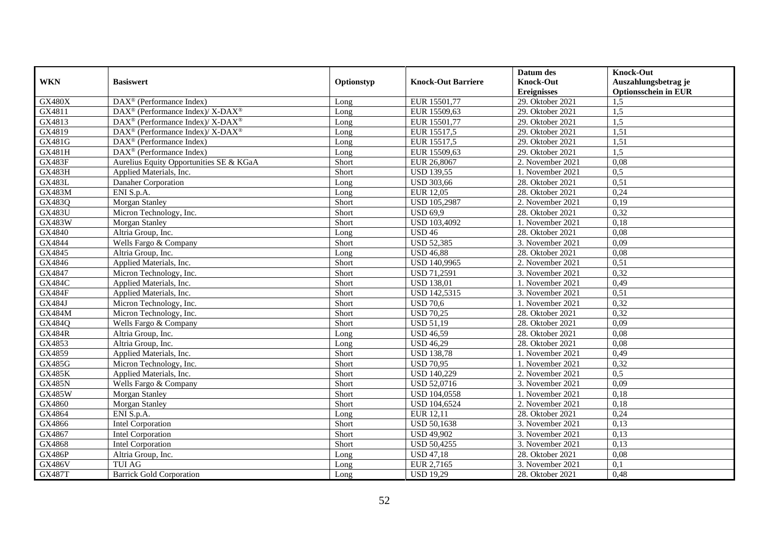|               |                                                                 |            |                           | Datum des                      | <b>Knock-Out</b>            |
|---------------|-----------------------------------------------------------------|------------|---------------------------|--------------------------------|-----------------------------|
| <b>WKN</b>    | <b>Basiswert</b>                                                | Optionstyp | <b>Knock-Out Barriere</b> | <b>Knock-Out</b>               | Auszahlungsbetrag je        |
|               |                                                                 |            |                           | <b>Ereignisses</b>             | <b>Optionsschein in EUR</b> |
| <b>GX480X</b> | DAX <sup>®</sup> (Performance Index)                            | Long       | EUR 15501,77              | 29. Oktober 2021               | 1,5                         |
| GX4811        | DAX <sup>®</sup> (Performance Index)/ X-DAX <sup>®</sup>        | Long       | EUR 15509,63              | $\overline{29}$ . Oktober 2021 | 1,5                         |
| GX4813        | $\text{DAX}^{\circledR}$ (Performance Index)/X-DAX <sup>®</sup> | Long       | EUR 15501,77              | 29. Oktober 2021               | 1,5                         |
| GX4819        | DAX <sup>®</sup> (Performance Index)/ X-DAX <sup>®</sup>        | Long       | EUR 15517,5               | 29. Oktober 2021               | 1,51                        |
| GX481G        | DAX <sup>®</sup> (Performance Index)                            | Long       | EUR 15517,5               | 29. Oktober 2021               | 1,51                        |
| <b>GX481H</b> | $\overline{\text{DAX}^{\otimes}}$ (Performance Index)           | Long       | EUR 15509,63              | 29. Oktober 2021               | 1,5                         |
| <b>GX483F</b> | Aurelius Equity Opportunities SE & KGaA                         | Short      | EUR 26,8067               | 2. November 2021               | 0,08                        |
| <b>GX483H</b> | Applied Materials, Inc.                                         | Short      | <b>USD 139,55</b>         | 1. November 2021               | 0,5                         |
| <b>GX483L</b> | Danaher Corporation                                             | Long       | <b>USD 303,66</b>         | 28. Oktober 2021               | 0,51                        |
| <b>GX483M</b> | ENI S.p.A.                                                      | Long       | EUR 12,05                 | 28. Oktober 2021               | 0,24                        |
| GX483Q        | Morgan Stanley                                                  | Short      | USD 105,2987              | 2. November 2021               | 0,19                        |
| <b>GX483U</b> | Micron Technology, Inc.                                         | Short      | <b>USD 69,9</b>           | 28. Oktober 2021               | 0,32                        |
| <b>GX483W</b> | Morgan Stanley                                                  | Short      | USD 103,4092              | 1. November 2021               | 0,18                        |
| GX4840        | Altria Group, Inc.                                              | Long       | <b>USD 46</b>             | 28. Oktober 2021               | 0,08                        |
| GX4844        | Wells Fargo & Company                                           | Short      | <b>USD 52,385</b>         | 3. November 2021               | 0,09                        |
| GX4845        | Altria Group, Inc.                                              | Long       | <b>USD 46,88</b>          | 28. Oktober 2021               | 0,08                        |
| GX4846        | Applied Materials, Inc.                                         | Short      | USD 140,9965              | 2. November 2021               | 0,51                        |
| GX4847        | Micron Technology, Inc.                                         | Short      | <b>USD 71,2591</b>        | 3. November 2021               | 0,32                        |
| <b>GX484C</b> | Applied Materials, Inc.                                         | Short      | <b>USD 138,01</b>         | 1. November 2021               | 0,49                        |
| <b>GX484F</b> | Applied Materials, Inc.                                         | Short      | USD 142,5315              | 3. November 2021               | 0,51                        |
| GX484J        | Micron Technology, Inc.                                         | Short      | <b>USD 70,6</b>           | 1. November 2021               | 0,32                        |
| <b>GX484M</b> | Micron Technology, Inc.                                         | Short      | <b>USD 70,25</b>          | 28. Oktober 2021               | 0,32                        |
| GX484Q        | Wells Fargo & Company                                           | Short      | <b>USD 51,19</b>          | 28. Oktober 2021               | 0,09                        |
| <b>GX484R</b> | Altria Group, Inc.                                              | Long       | <b>USD 46,59</b>          | 28. Oktober 2021               | 0,08                        |
| GX4853        | Altria Group, Inc.                                              | Long       | <b>USD 46,29</b>          | 28. Oktober 2021               | 0,08                        |
| GX4859        | Applied Materials, Inc.                                         | Short      | <b>USD 138,78</b>         | 1. November 2021               | 0,49                        |
| <b>GX485G</b> | Micron Technology, Inc.                                         | Short      | <b>USD 70,95</b>          | 1. November 2021               | 0,32                        |
| <b>GX485K</b> | Applied Materials, Inc.                                         | Short      | <b>USD 140,229</b>        | 2. November 2021               | 0,5                         |
| <b>GX485N</b> | Wells Fargo & Company                                           | Short      | <b>USD 52,0716</b>        | 3. November 2021               | 0,09                        |
| <b>GX485W</b> | Morgan Stanley                                                  | Short      | USD 104,0558              | 1. November 2021               | 0,18                        |
| GX4860        | Morgan Stanley                                                  | Short      | USD 104,6524              | 2. November 2021               | 0,18                        |
| GX4864        | ENI S.p.A.                                                      | Long       | EUR 12,11                 | 28. Oktober 2021               | 0,24                        |
| GX4866        | Intel Corporation                                               | Short      | <b>USD 50,1638</b>        | 3. November 2021               | 0,13                        |
| GX4867        | Intel Corporation                                               | Short      | <b>USD 49,902</b>         | 3. November 2021               | 0,13                        |
| GX4868        | <b>Intel Corporation</b>                                        | Short      | <b>USD 50,4255</b>        | 3. November 2021               | 0,13                        |
| <b>GX486P</b> | Altria Group, Inc.                                              | Long       | <b>USD 47,18</b>          | 28. Oktober 2021               | 0,08                        |
| <b>GX486V</b> | TUI AG                                                          | Long       | EUR 2,7165                | 3. November 2021               | 0,1                         |
| <b>GX487T</b> | <b>Barrick Gold Corporation</b>                                 | Long       | <b>USD 19,29</b>          | 28. Oktober 2021               | 0,48                        |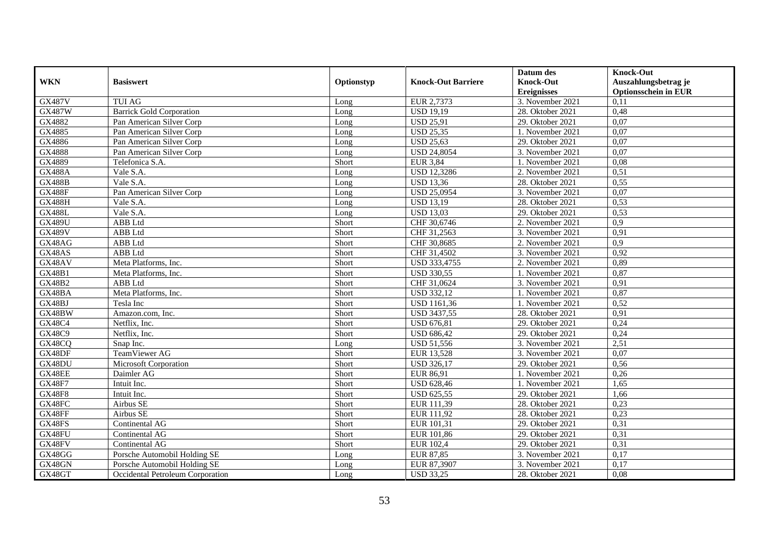| <b>WKN</b>    | <b>Basiswert</b>                 | Optionstyp | <b>Knock-Out Barriere</b> | Datum des<br><b>Knock-Out</b> | <b>Knock-Out</b><br>Auszahlungsbetrag je |
|---------------|----------------------------------|------------|---------------------------|-------------------------------|------------------------------------------|
|               |                                  |            |                           | <b>Ereignisses</b>            | <b>Optionsschein in EUR</b>              |
| <b>GX487V</b> | <b>TUI AG</b>                    | Long       | EUR 2,7373                | 3. November 2021              | 0,11                                     |
| <b>GX487W</b> | <b>Barrick Gold Corporation</b>  | Long       | <b>USD 19,19</b>          | 28. Oktober 2021              | 0,48                                     |
| GX4882        | Pan American Silver Corp         | Long       | <b>USD 25,91</b>          | 29. Oktober 2021              | 0,07                                     |
| GX4885        | Pan American Silver Corp         | Long       | <b>USD 25,35</b>          | 1. November 2021              | 0,07                                     |
| GX4886        | Pan American Silver Corp         | Long       | <b>USD 25,63</b>          | 29. Oktober 2021              | 0,07                                     |
| GX4888        | Pan American Silver Corp         | Long       | <b>USD 24,8054</b>        | 3. November 2021              | 0,07                                     |
| GX4889        | Telefonica S.A.                  | Short      | <b>EUR 3,84</b>           | 1. November 2021              | 0,08                                     |
| <b>GX488A</b> | Vale S.A.                        | Long       | <b>USD 12,3286</b>        | 2. November 2021              | 0,51                                     |
| <b>GX488B</b> | Vale S.A.                        | Long       | <b>USD 13,36</b>          | 28. Oktober 2021              | 0,55                                     |
| <b>GX488F</b> | Pan American Silver Corp         | Long       | <b>USD 25,0954</b>        | 3. November 2021              | 0,07                                     |
| GX488H        | Vale S.A.                        | Long       | <b>USD 13,19</b>          | 28. Oktober 2021              | 0,53                                     |
| <b>GX488L</b> | Vale S.A.                        | Long       | <b>USD 13,03</b>          | 29. Oktober 2021              | 0,53                                     |
| <b>GX489U</b> | ABB Ltd                          | Short      | CHF 30,6746               | 2. November 2021              | 0,9                                      |
| <b>GX489V</b> | ABB Ltd                          | Short      | CHF 31,2563               | 3. November 2021              | 0,91                                     |
| GX48AG        | ABB Ltd                          | Short      | CHF 30,8685               | 2. November 2021              | 0,9                                      |
| GX48AS        | ABB Ltd                          | Short      | CHF 31,4502               | 3. November 2021              | 0,92                                     |
| GX48AV        | Meta Platforms, Inc.             | Short      | USD 333,4755              | 2. November 2021              | 0,89                                     |
| <b>GX48B1</b> | Meta Platforms, Inc.             | Short      | <b>USD 330,55</b>         | 1. November 2021              | 0,87                                     |
| <b>GX48B2</b> | ABB Ltd                          | Short      | CHF 31,0624               | 3. November 2021              | 0,91                                     |
| GX48BA        | Meta Platforms, Inc.             | Short      | <b>USD 332,12</b>         | 1. November 2021              | 0,87                                     |
| GX48BJ        | Tesla Inc                        | Short      | <b>USD 1161,36</b>        | 1. November 2021              | 0,52                                     |
| GX48BW        | Amazon.com, Inc.                 | Short      | <b>USD 3437,55</b>        | 28. Oktober 2021              | 0,91                                     |
| <b>GX48C4</b> | Netflix, Inc.                    | Short      | <b>USD 676,81</b>         | 29. Oktober 2021              | 0,24                                     |
| GX48C9        | Netflix, Inc.                    | Short      | <b>USD 686,42</b>         | 29. Oktober 2021              | 0,24                                     |
| GX48CQ        | Snap Inc.                        | Long       | <b>USD 51,556</b>         | 3. November 2021              | 2,51                                     |
| GX48DF        | TeamViewer AG                    | Short      | EUR 13,528                | 3. November 2021              | 0,07                                     |
| GX48DU        | Microsoft Corporation            | Short      | <b>USD 326,17</b>         | 29. Oktober 2021              | 0,56                                     |
| GX48EE        | Daimler AG                       | Short      | EUR 86,91                 | 1. November 2021              | 0,26                                     |
| <b>GX48F7</b> | Intuit Inc.                      | Short      | <b>USD 628,46</b>         | 1. November 2021              | 1,65                                     |
| <b>GX48F8</b> | Intuit Inc.                      | Short      | <b>USD 625,55</b>         | 29. Oktober 2021              | 1,66                                     |
| GX48FC        | Airbus SE                        | Short      | EUR 111,39                | 28. Oktober 2021              | 0,23                                     |
| GX48FF        | Airbus SE                        | Short      | EUR 111,92                | 28. Oktober 2021              | 0,23                                     |
| GX48FS        | Continental AG                   | Short      | EUR 101,31                | 29. Oktober 2021              | 0,31                                     |
| GX48FU        | Continental AG                   | Short      | EUR 101,86                | 29. Oktober 2021              | 0,31                                     |
| GX48FV        | Continental AG                   | Short      | EUR 102,4                 | 29. Oktober 2021              | 0,31                                     |
| GX48GG        | Porsche Automobil Holding SE     | Long       | <b>EUR 87,85</b>          | 3. November 2021              | 0,17                                     |
| GX48GN        | Porsche Automobil Holding SE     | Long       | EUR 87,3907               | 3. November 2021              | 0,17                                     |
| GX48GT        | Occidental Petroleum Corporation | Long       | <b>USD 33,25</b>          | 28. Oktober 2021              | 0,08                                     |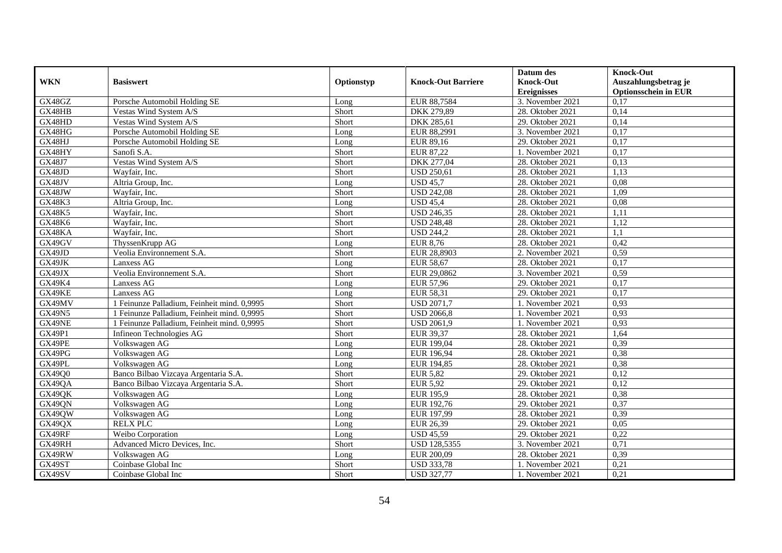|               |                                             |            |                           | Datum des          | <b>Knock-Out</b>            |
|---------------|---------------------------------------------|------------|---------------------------|--------------------|-----------------------------|
| <b>WKN</b>    | <b>Basiswert</b>                            | Optionstyp | <b>Knock-Out Barriere</b> | <b>Knock-Out</b>   | Auszahlungsbetrag je        |
|               |                                             |            |                           | <b>Ereignisses</b> | <b>Optionsschein in EUR</b> |
| GX48GZ        | Porsche Automobil Holding SE                | Long       | EUR 88,7584               | 3. November 2021   | 0,17                        |
| GX48HB        | Vestas Wind System A/S                      | Short      | DKK 279,89                | 28. Oktober 2021   | 0,14                        |
| GX48HD        | Vestas Wind System A/S                      | Short      | DKK 285,61                | 29. Oktober 2021   | 0,14                        |
| GX48HG        | Porsche Automobil Holding SE                | Long       | EUR 88,2991               | 3. November 2021   | 0,17                        |
| GX48HJ        | Porsche Automobil Holding SE                | Long       | EUR 89,16                 | 29. Oktober 2021   | 0,17                        |
| GX48HY        | Sanofi S.A.                                 | Short      | <b>EUR 87,22</b>          | 1. November 2021   | 0,17                        |
| GX48J7        | Vestas Wind System A/S                      | Short      | <b>DKK 277,04</b>         | 28. Oktober 2021   | 0,13                        |
| GX48JD        | Wayfair, Inc.                               | Short      | <b>USD 250,61</b>         | 28. Oktober 2021   | 1,13                        |
| GX48JV        | Altria Group, Inc.                          | Long       | <b>USD 45,7</b>           | 28. Oktober 2021   | 0,08                        |
| GX48JW        | Wayfair, Inc.                               | Short      | <b>USD 242,08</b>         | 28. Oktober 2021   | 1,09                        |
| GX48K3        | Altria Group, Inc.                          | Long       | <b>USD 45,4</b>           | 28. Oktober 2021   | 0,08                        |
| <b>GX48K5</b> | Wayfair, Inc.                               | Short      | <b>USD 246,35</b>         | 28. Oktober 2021   | 1,11                        |
| GX48K6        | Wayfair, Inc.                               | Short      | <b>USD 248,48</b>         | 28. Oktober 2021   | 1,12                        |
| GX48KA        | Wavfair, Inc.                               | Short      | <b>USD 244.2</b>          | 28. Oktober 2021   | 1.1                         |
| GX49GV        | ThyssenKrupp AG                             | Long       | <b>EUR 8,76</b>           | 28. Oktober 2021   | 0,42                        |
| GX49JD        | Veolia Environnement S.A.                   | Short      | EUR 28,8903               | 2. November 2021   | 0,59                        |
| GX49JK        | Lanxess AG                                  | Long       | <b>EUR 58,67</b>          | 28. Oktober 2021   | 0,17                        |
| GX49JX        | Veolia Environnement S.A.                   | Short      | EUR 29,0862               | 3. November 2021   | 0,59                        |
| GX49K4        | Lanxess AG                                  | Long       | <b>EUR 57,96</b>          | 29. Oktober 2021   | 0,17                        |
| GX49KE        | Lanxess AG                                  | Long       | EUR 58,31                 | 29. Oktober 2021   | 0,17                        |
| GX49MV        | 1 Feinunze Palladium, Feinheit mind. 0,9995 | Short      | <b>USD 2071,7</b>         | 1. November 2021   | 0,93                        |
| <b>GX49N5</b> | 1 Feinunze Palladium. Feinheit mind. 0.9995 | Short      | <b>USD 2066,8</b>         | 1. November 2021   | 0,93                        |
| GX49NE        | 1 Feinunze Palladium, Feinheit mind. 0,9995 | Short      | <b>USD 2061,9</b>         | 1. November 2021   | 0,93                        |
| <b>GX49P1</b> | Infineon Technologies AG                    | Short      | EUR 39,37                 | 28. Oktober 2021   | 1,64                        |
| GX49PE        | Volkswagen AG                               | Long       | EUR 199,04                | 28. Oktober 2021   | 0,39                        |
| GX49PG        | Volkswagen AG                               | Long       | EUR 196,94                | 28. Oktober 2021   | 0,38                        |
| GX49PL        | Volkswagen AG                               | Long       | EUR 194,85                | 28. Oktober 2021   | 0,38                        |
| GX49Q0        | Banco Bilbao Vizcaya Argentaria S.A.        | Short      | <b>EUR 5,82</b>           | 29. Oktober 2021   | 0,12                        |
| GX49QA        | Banco Bilbao Vizcaya Argentaria S.A.        | Short      | <b>EUR 5,92</b>           | 29. Oktober 2021   | 0,12                        |
| GX49QK        | Volkswagen AG                               | Long       | <b>EUR 195,9</b>          | 28. Oktober 2021   | 0,38                        |
| GX49QN        | Volkswagen AG                               | Long       | EUR 192,76                | 29. Oktober 2021   | 0,37                        |
| GX49QW        | Volkswagen AG                               | Long       | EUR 197,99                | 28. Oktober 2021   | 0,39                        |
| GX49QX        | <b>RELX PLC</b>                             | Long       | EUR 26,39                 | 29. Oktober 2021   | 0.05                        |
| GX49RF        | Weibo Corporation                           | Long       | <b>USD 45,59</b>          | 29. Oktober 2021   | 0,22                        |
| GX49RH        | Advanced Micro Devices, Inc.                | Short      | USD 128,5355              | 3. November 2021   | 0,71                        |
| GX49RW        | Volkswagen AG                               | Long       | EUR 200,09                | 28. Oktober 2021   | 0,39                        |
| GX49ST        | Coinbase Global Inc                         | Short      | <b>USD 333,78</b>         | 1. November 2021   | 0,21                        |
| GX49SV        | Coinbase Global Inc                         | Short      | <b>USD 327,77</b>         | 1. November 2021   | 0,21                        |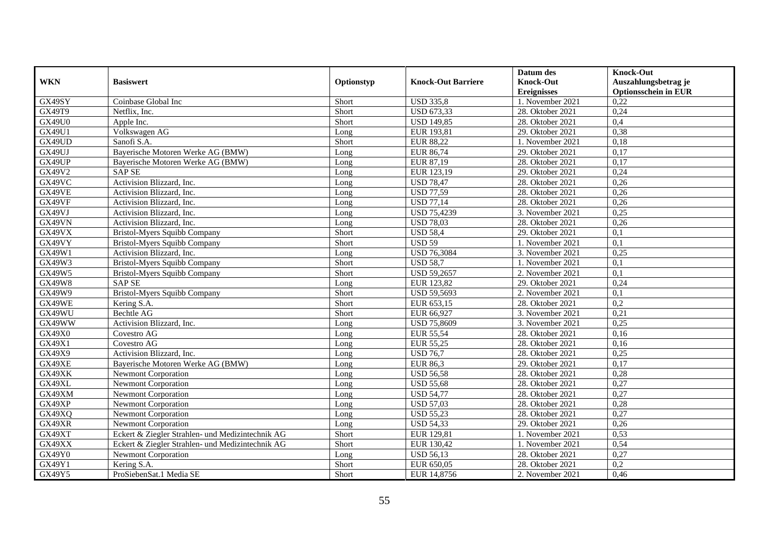|               |                                                  |            |                           | Datum des          | <b>Knock-Out</b>            |
|---------------|--------------------------------------------------|------------|---------------------------|--------------------|-----------------------------|
| <b>WKN</b>    | <b>Basiswert</b>                                 | Optionstyp | <b>Knock-Out Barriere</b> | <b>Knock-Out</b>   | Auszahlungsbetrag je        |
|               |                                                  |            |                           | <b>Ereignisses</b> | <b>Optionsschein in EUR</b> |
| GX49SY        | Coinbase Global Inc                              | Short      | <b>USD 335,8</b>          | 1. November 2021   | 0,22                        |
| <b>GX49T9</b> | Netflix. Inc.                                    | Short      | <b>USD 673,33</b>         | 28. Oktober 2021   | 0,24                        |
| <b>GX49U0</b> | Apple Inc.                                       | Short      | <b>USD 149,85</b>         | 28. Oktober 2021   | 0,4                         |
| GX49U1        | Volkswagen AG                                    | Long       | EUR 193,81                | 29. Oktober 2021   | 0,38                        |
| GX49UD        | Sanofi S.A.                                      | Short      | <b>EUR 88,22</b>          | 1. November 2021   | 0,18                        |
| GX49UJ        | Bayerische Motoren Werke AG (BMW)                | Long       | <b>EUR 86,74</b>          | 29. Oktober 2021   | 0,17                        |
| GX49UP        | Bayerische Motoren Werke AG (BMW)                | Long       | EUR 87,19                 | 28. Oktober 2021   | 0,17                        |
| GX49V2        | <b>SAP SE</b>                                    | Long       | EUR 123,19                | 29. Oktober 2021   | 0,24                        |
| GX49VC        | Activision Blizzard, Inc.                        | Long       | <b>USD 78,47</b>          | 28. Oktober 2021   | 0,26                        |
| GX49VE        | Activision Blizzard, Inc.                        | Long       | <b>USD 77,59</b>          | 28. Oktober 2021   | 0,26                        |
| GX49VF        | Activision Blizzard, Inc.                        | Long       | <b>USD 77,14</b>          | 28. Oktober 2021   | 0,26                        |
| GX49VJ        | Activision Blizzard, Inc.                        | Long       | <b>USD 75,4239</b>        | 3. November 2021   | 0,25                        |
| GX49VN        | Activision Blizzard, Inc.                        | Long       | <b>USD 78.03</b>          | 28. Oktober 2021   | 0,26                        |
| GX49VX        | <b>Bristol-Myers Squibb Company</b>              | Short      | <b>USD 58,4</b>           | 29. Oktober 2021   | 0,1                         |
| GX49VY        | <b>Bristol-Myers Squibb Company</b>              | Short      | <b>USD 59</b>             | 1. November 2021   | 0,1                         |
| GX49W1        | Activision Blizzard, Inc.                        | Long       | <b>USD 76,3084</b>        | 3. November 2021   | 0,25                        |
| GX49W3        | <b>Bristol-Myers Squibb Company</b>              | Short      | <b>USD 58.7</b>           | 1. November 2021   | 0,1                         |
| GX49W5        | <b>Bristol-Myers Squibb Company</b>              | Short      | <b>USD 59,2657</b>        | 2. November 2021   | 0,1                         |
| <b>GX49W8</b> | <b>SAP SE</b>                                    | Long       | EUR 123,82                | 29. Oktober 2021   | 0,24                        |
| GX49W9        | <b>Bristol-Myers Squibb Company</b>              | Short      | USD 59,5693               | 2. November 2021   | 0,1                         |
| GX49WE        | Kering S.A.                                      | Short      | EUR 653,15                | 28. Oktober 2021   | $\overline{0,2}$            |
| GX49WU        | <b>Bechtle AG</b>                                | Short      | EUR 66,927                | 3. November 2021   | 0,21                        |
| GX49WW        | Activision Blizzard, Inc.                        | Long       | <b>USD 75,8609</b>        | 3. November 2021   | 0,25                        |
| GX49X0        | Covestro AG                                      | Long       | <b>EUR 55,54</b>          | 28. Oktober 2021   | 0,16                        |
| GX49X1        | Covestro AG                                      | Long       | EUR 55,25                 | 28. Oktober 2021   | 0,16                        |
| GX49X9        | Activision Blizzard, Inc.                        | Long       | <b>USD 76,7</b>           | 28. Oktober 2021   | 0,25                        |
| GX49XE        | Bayerische Motoren Werke AG (BMW)                | Long       | <b>EUR 86,3</b>           | 29. Oktober 2021   | 0,17                        |
| GX49XK        | <b>Newmont Corporation</b>                       | Long       | <b>USD 56,58</b>          | 28. Oktober 2021   | 0,28                        |
| GX49XL        | <b>Newmont Corporation</b>                       | Long       | <b>USD 55,68</b>          | 28. Oktober 2021   | 0,27                        |
| GX49XM        | <b>Newmont Corporation</b>                       | Long       | <b>USD 54,77</b>          | 28. Oktober 2021   | 0,27                        |
| GX49XP        | Newmont Corporation                              | Long       | <b>USD 57,03</b>          | 28. Oktober 2021   | 0,28                        |
| GX49XQ        | <b>Newmont Corporation</b>                       | Long       | <b>USD 55,23</b>          | 28. Oktober 2021   | 0,27                        |
| GX49XR        | Newmont Corporation                              | Long       | <b>USD 54,33</b>          | 29. Oktober 2021   | 0,26                        |
| GX49XT        | Eckert & Ziegler Strahlen- und Medizintechnik AG | Short      | EUR 129,81                | 1. November 2021   | 0,53                        |
| GX49XX        | Eckert & Ziegler Strahlen- und Medizintechnik AG | Short      | EUR 130,42                | 1. November 2021   | 0,54                        |
| <b>GX49Y0</b> | <b>Newmont Corporation</b>                       | Long       | <b>USD 56,13</b>          | 28. Oktober 2021   | 0,27                        |
| GX49Y1        | Kering S.A.                                      | Short      | EUR 650,05                | 28. Oktober 2021   | 0,2                         |
| GX49Y5        | ProSiebenSat.1 Media SE                          | Short      | EUR 14,8756               | 2. November 2021   | 0,46                        |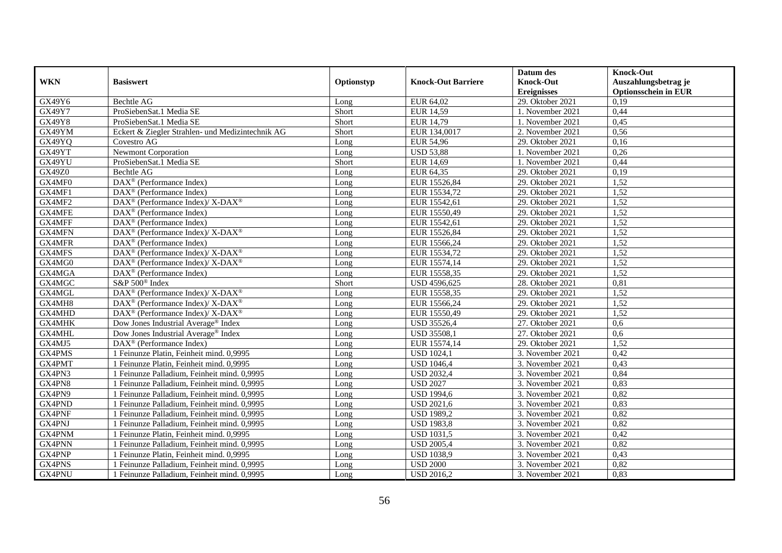|               |                                                             |            |                           | Datum des          | <b>Knock-Out</b>            |
|---------------|-------------------------------------------------------------|------------|---------------------------|--------------------|-----------------------------|
| <b>WKN</b>    | <b>Basiswert</b>                                            | Optionstyp | <b>Knock-Out Barriere</b> | <b>Knock-Out</b>   | Auszahlungsbetrag je        |
|               |                                                             |            |                           | <b>Ereignisses</b> | <b>Optionsschein in EUR</b> |
| GX49Y6        | <b>Bechtle AG</b>                                           | Long       | EUR 64,02                 | 29. Oktober 2021   | 0,19                        |
| GX49Y7        | ProSiebenSat.1 Media SE                                     | Short      | <b>EUR 14,59</b>          | 1. November 2021   | 0,44                        |
| GX49Y8        | ProSiebenSat.1 Media SE                                     | Short      | EUR 14,79                 | 1. November 2021   | 0,45                        |
| GX49YM        | Eckert & Ziegler Strahlen- und Medizintechnik AG            | Short      | EUR 134,0017              | 2. November 2021   | 0,56                        |
| GX49YQ        | Covestro AG                                                 | Long       | <b>EUR 54,96</b>          | 29. Oktober 2021   | 0,16                        |
| GX49YT        | Newmont Corporation                                         | Long       | <b>USD 53,88</b>          | 1. November 2021   | 0,26                        |
| GX49YU        | ProSiebenSat.1 Media SE                                     | Short      | <b>EUR 14,69</b>          | 1. November 2021   | 0,44                        |
| <b>GX49Z0</b> | <b>Bechtle AG</b>                                           | Long       | EUR 64,35                 | 29. Oktober 2021   | 0,19                        |
| GX4MF0        | $DAX^{\circledR}$ (Performance Index)                       | Long       | EUR 15526,84              | 29. Oktober 2021   | 1,52                        |
| GX4MF1        | $DAX^{\circledR}$ (Performance Index)                       | Long       | EUR 15534,72              | 29. Oktober 2021   | 1,52                        |
| GX4MF2        | DAX <sup>®</sup> (Performance Index)/X-DAX <sup>®</sup>     | Long       | EUR 15542,61              | 29. Oktober 2021   | 1,52                        |
| <b>GX4MFE</b> | $\overline{\text{DAX}^{\otimes}}$ (Performance Index)       | Long       | EUR 15550,49              | 29. Oktober 2021   | 1,52                        |
| GX4MFF        | $\overline{\text{DAX}^{\otimes}}$ (Performance Index)       | Long       | EUR 15542,61              | 29. Oktober 2021   | 1,52                        |
| GX4MFN        | $DAX^{\circledast}$ (Performance Index)/ X-DAX <sup>®</sup> | Long       | EUR 15526,84              | 29. Oktober 2021   | 1,52                        |
| GX4MFR        | $DAX^{\circledast}$ (Performance Index)                     | Long       | EUR 15566,24              | 29. Oktober 2021   | 1,52                        |
| GX4MFS        | DAX <sup>®</sup> (Performance Index)/X-DAX <sup>®</sup>     | Long       | EUR 15534,72              | 29. Oktober 2021   | 1,52                        |
| GX4MG0        | DAX <sup>®</sup> (Performance Index)/X-DAX <sup>®</sup>     | Long       | EUR 15574,14              | 29. Oktober 2021   | 1,52                        |
| GX4MGA        | DAX <sup>®</sup> (Performance Index)                        | Long       | EUR 15558.35              | 29. Oktober 2021   | 1,52                        |
| GX4MGC        | S&P 500 <sup>®</sup> Index                                  | Short      | USD 4596,625              | 28. Oktober 2021   | 0,81                        |
| GX4MGL        | DAX <sup>®</sup> (Performance Index)/ X-DAX <sup>®</sup>    | Long       | EUR 15558,35              | 29. Oktober 2021   | 1,52                        |
| GX4MH8        | DAX <sup>®</sup> (Performance Index)/ X-DAX <sup>®</sup>    | Long       | EUR 15566,24              | 29. Oktober 2021   | 1,52                        |
| GX4MHD        | DAX <sup>®</sup> (Performance Index)/ X-DAX <sup>®</sup>    | Long       | EUR 15550,49              | 29. Oktober 2021   | 1,52                        |
| GX4MHK        | Dow Jones Industrial Average® Index                         | Long       | <b>USD 35526,4</b>        | 27. Oktober 2021   | 0,6                         |
| GX4MHL        | Dow Jones Industrial Average <sup>®</sup> Index             | Long       | <b>USD 35508,1</b>        | 27. Oktober 2021   | 0,6                         |
| GX4MJ5        | $DAX^{\circledast}$ (Performance Index)                     | Long       | EUR 15574,14              | 29. Oktober 2021   | 1,52                        |
| GX4PMS        | 1 Feinunze Platin, Feinheit mind. 0,9995                    | Long       | <b>USD 1024,1</b>         | 3. November 2021   | 0,42                        |
| GX4PMT        | 1 Feinunze Platin, Feinheit mind. 0,9995                    | Long       | <b>USD 1046,4</b>         | 3. November 2021   | 0,43                        |
| GX4PN3        | 1 Feinunze Palladium, Feinheit mind. 0,9995                 | Long       | <b>USD 2032,4</b>         | 3. November 2021   | 0,84                        |
| GX4PN8        | 1 Feinunze Palladium. Feinheit mind. 0.9995                 | Long       | <b>USD 2027</b>           | 3. November 2021   | 0,83                        |
| GX4PN9        | 1 Feinunze Palladium, Feinheit mind. 0,9995                 | Long       | <b>USD 1994,6</b>         | 3. November 2021   | 0,82                        |
| GX4PND        | 1 Feinunze Palladium, Feinheit mind. 0,9995                 | Long       | <b>USD 2021,6</b>         | 3. November 2021   | 0,83                        |
| GX4PNF        | 1 Feinunze Palladium, Feinheit mind. 0,9995                 | Long       | <b>USD 1989,2</b>         | 3. November 2021   | 0,82                        |
| GX4PNJ        | 1 Feinunze Palladium, Feinheit mind. 0,9995                 | Long       | <b>USD 1983,8</b>         | 3. November 2021   | 0,82                        |
| GX4PNM        | 1 Feinunze Platin, Feinheit mind. 0,9995                    | Long       | <b>USD 1031,5</b>         | 3. November 2021   | 0,42                        |
| GX4PNN        | 1 Feinunze Palladium, Feinheit mind. 0,9995                 | Long       | <b>USD 2005,4</b>         | 3. November 2021   | 0,82                        |
| GX4PNP        | 1 Feinunze Platin, Feinheit mind. 0,9995                    | Long       | <b>USD 1038,9</b>         | 3. November 2021   | 0,43                        |
| GX4PNS        | 1 Feinunze Palladium, Feinheit mind. 0,9995                 | Long       | <b>USD 2000</b>           | 3. November 2021   | 0,82                        |
| <b>GX4PNU</b> | 1 Feinunze Palladium, Feinheit mind. 0,9995                 | Long       | <b>USD 2016,2</b>         | 3. November 2021   | 0,83                        |